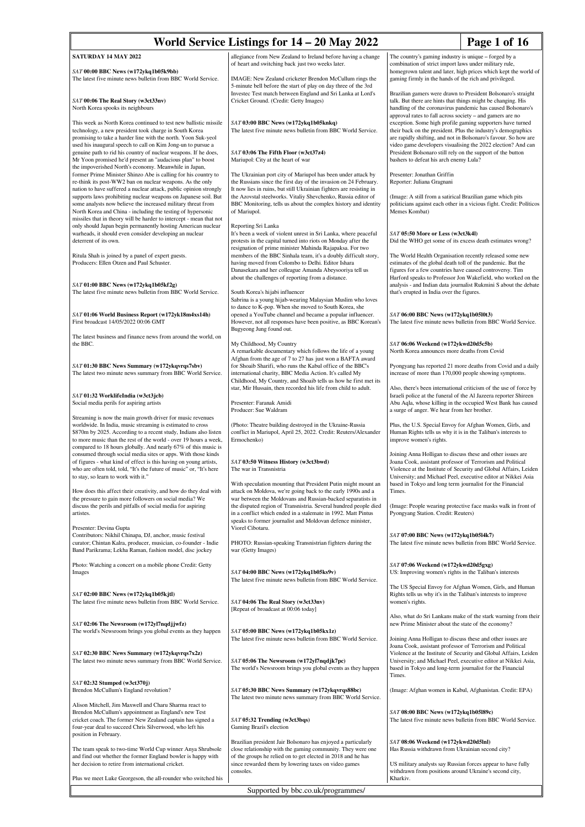| World Service Listings for 14 – 20 May 2022<br>Page 1 of 16                                                                                                                                                                                                                                                                        |                                                                                                                                                                                                                                                                                                                                |                                                                                                                                                                                                                                                                                                                               |  |
|------------------------------------------------------------------------------------------------------------------------------------------------------------------------------------------------------------------------------------------------------------------------------------------------------------------------------------|--------------------------------------------------------------------------------------------------------------------------------------------------------------------------------------------------------------------------------------------------------------------------------------------------------------------------------|-------------------------------------------------------------------------------------------------------------------------------------------------------------------------------------------------------------------------------------------------------------------------------------------------------------------------------|--|
| SATURDAY 14 MAY 2022                                                                                                                                                                                                                                                                                                               | allegiance from New Zealand to Ireland before having a change<br>of heart and switching back just two weeks later.                                                                                                                                                                                                             | The country's gaming industry is unique – forged by a<br>combination of strict import laws under military rule,                                                                                                                                                                                                               |  |
| SAT 00:00 BBC News (w172ykq1b05k9bb)<br>The latest five minute news bulletin from BBC World Service.                                                                                                                                                                                                                               | IMAGE: New Zealand cricketer Brendon McCullum rings the<br>5-minute bell before the start of play on day three of the 3rd                                                                                                                                                                                                      | homegrown talent and later, high prices which kept the world of<br>gaming firmly in the hands of the rich and privileged.                                                                                                                                                                                                     |  |
| SAT 00:06 The Real Story (w3ct33nv)<br>North Korea spooks its neighbours                                                                                                                                                                                                                                                           | Investec Test match between England and Sri Lanka at Lord's<br>Cricket Ground. (Credit: Getty Images)                                                                                                                                                                                                                          | Brazilian gamers were drawn to President Bolsonaro's straight<br>talk. But there are hints that things might be changing. His<br>handling of the coronavirus pandemic has caused Bolsonaro's<br>approval rates to fall across society - and gamers are no                                                                     |  |
| This week as North Korea continued to test new ballistic missile<br>technology, a new president took charge in South Korea<br>promising to take a harder line with the north. Yoon Suk-yeol<br>used his inaugural speech to call on Kim Jong-un to pursue a<br>genuine path to rid his country of nuclear weapons. If he does,     | SAT 03:00 BBC News (w172ykq1b05knkq)<br>The latest five minute news bulletin from BBC World Service.<br>SAT 03:06 The Fifth Floor (w3ct37z4)                                                                                                                                                                                   | exception. Some high profile gaming supporters have turned<br>their back on the president. Plus the industry's demographics<br>are rapidly shifting, and not in Bolsonaro's favour. So how are<br>video game developers visualising the 2022 election? And can<br>President Bolsonaro still rely on the support of the button |  |
| Mr Yoon promised he'd present an "audacious plan" to boost<br>the impoverished North's economy. Meanwhile in Japan,<br>former Prime Minister Shinzo Abe is calling for his country to                                                                                                                                              | Mariupol: City at the heart of war<br>The Ukrainian port city of Mariupol has been under attack by                                                                                                                                                                                                                             | bashers to defeat his arch enemy Lula?<br>Presenter: Jonathan Griffin                                                                                                                                                                                                                                                         |  |
| re-think its post-WW2 ban on nuclear weapons. As the only<br>nation to have suffered a nuclear attack, public opinion strongly<br>supports laws prohibiting nuclear weapons on Japanese soil. But<br>some analysts now believe the increased military threat from<br>North Korea and China - including the testing of hypersonic   | the Russians since the first day of the invasion on 24 February.<br>It now lies in ruins, but still Ukrainian fighters are resisting in<br>the Azovstal steelworks. Vitaliy Shevchenko, Russia editor of<br>BBC Monitoring, tells us about the complex history and identity<br>of Mariupol.                                    | Reporter: Juliana Gragnani<br>(Image: A still from a satirical Brazilian game which pits<br>politicians against each other in a vicious fight. Credit: Políticos<br>Memes Kombat)                                                                                                                                             |  |
| missiles that in theory will be harder to intercept - mean that not<br>only should Japan begin permanently hosting American nuclear<br>warheads, it should even consider developing an nuclear<br>deterrent of its own.                                                                                                            | Reporting Sri Lanka<br>It's been a week of violent unrest in Sri Lanka, where peaceful<br>protests in the capital turned into riots on Monday after the<br>resignation of prime minister Mahinda Rajapaksa. For two                                                                                                            | SAT 05:50 More or Less (w3ct3k4l)<br>Did the WHO get some of its excess death estimates wrong?                                                                                                                                                                                                                                |  |
| Ritula Shah is joined by a panel of expert guests.<br>Producers: Ellen Otzen and Paul Schuster.<br>SAT 01:00 BBC News (w172ykq1b05kf2g)                                                                                                                                                                                            | members of the BBC Sinhala team, it's a doubly difficult story,<br>having moved from Colombo to Delhi. Editor Ishara<br>Danasekara and her colleague Amanda Abeysooriya tell us<br>about the challenges of reporting from a distance.                                                                                          | The World Health Organisation recently released some new<br>estimates of the global death toll of the pandemic. But the<br>figures for a few countries have caused controversy. Tim<br>Harford speaks to Professor Jon Wakefield, who worked on the<br>analysis - and Indian data journalist Rukmini S about the debate       |  |
| The latest five minute news bulletin from BBC World Service.                                                                                                                                                                                                                                                                       | South Korea's hijabi influencer<br>Sabrina is a young hijab-wearing Malaysian Muslim who loves<br>to dance to K-pop. When she moved to South Korea, she                                                                                                                                                                        | that's erupted in India over the figures.                                                                                                                                                                                                                                                                                     |  |
| SAT 01:06 World Business Report (w172yk18m4xs14h)<br>First broadcast 14/05/2022 00:06 GMT<br>The latest business and finance news from around the world, on                                                                                                                                                                        | opened a YouTube channel and became a popular influencer.<br>However, not all responses have been positive, as BBC Korean's<br>Bugyeong Jung found out.                                                                                                                                                                        | SAT 06:00 BBC News (w172ykq1b05l0t3)<br>The latest five minute news bulletin from BBC World Service.                                                                                                                                                                                                                          |  |
| the BBC.                                                                                                                                                                                                                                                                                                                           | My Childhood, My Country<br>A remarkable documentary which follows the life of a young                                                                                                                                                                                                                                         | SAT 06:06 Weekend (w172ykwd20d5c5b)<br>North Korea announces more deaths from Covid                                                                                                                                                                                                                                           |  |
| SAT 01:30 BBC News Summary (w172ykqvrqs7sbv)<br>The latest two minute news summary from BBC World Service.                                                                                                                                                                                                                         | Afghan from the age of 7 to 27 has just won a BAFTA award<br>for Shoaib Sharifi, who runs the Kabul office of the BBC's<br>international charity, BBC Media Action. It's called My<br>Childhood, My Country, and Shoaib tells us how he first met its                                                                          | Pyongyang has reported 21 more deaths from Covid and a daily<br>increase of more than 170,000 people showing symptoms.                                                                                                                                                                                                        |  |
| SAT 01:32 WorklifeIndia (w3ct3jcb)<br>Social media perils for aspiring artists                                                                                                                                                                                                                                                     | star, Mir Hussain, then recorded his life from child to adult.<br>Presenter: Faranak Amidi<br>Producer: Sue Waldram                                                                                                                                                                                                            | Also, there's been international criticism of the use of force by<br>Israeli police at the funeral of the Al Jazeera reporter Shireen<br>Abu Aqla, whose killing in the occupied West Bank has caused<br>a surge of anger. We hear from her brother.                                                                          |  |
| Streaming is now the main growth driver for music revenues<br>worldwide. In India, music streaming is estimated to cross<br>\$870m by 2025. According to a recent study, Indians also listen<br>to more music than the rest of the world - over 19 hours a week,<br>compared to 18 hours globally. And nearly 67% of this music is | (Photo: Theatre building destroyed in the Ukraine-Russia<br>conflict in Mariupol, April 25, 2022. Credit: Reuters/Alexander<br>Ermochenko)                                                                                                                                                                                     | Plus, the U.S. Special Envoy for Afghan Women, Girls, and<br>Human Rights tells us why it is in the Taliban's interests to<br>improve women's rights.                                                                                                                                                                         |  |
| consumed through social media sites or apps. With those kinds<br>of figures - what kind of effect is this having on young artists,<br>who are often told, told, "It's the future of music" or, "It's here<br>to stay, so learn to work with it."                                                                                   | SAT 03:50 Witness History (w3ct3bwd)<br>The war in Transnistria<br>With speculation mounting that President Putin might mount an                                                                                                                                                                                               | Joining Anna Holligan to discuss these and other issues are<br>Joana Cook, assistant professor of Terrorism and Political<br>Violence at the Institute of Security and Global Affairs, Leiden<br>University; and Michael Peel, executive editor at Nikkei Asia<br>based in Tokyo and long term journalist for the Financial   |  |
| How does this affect their creativity, and how do they deal with<br>the pressure to gain more followers on social media? We<br>discuss the perils and pitfalls of social media for aspiring<br>artistes.                                                                                                                           | attack on Moldova, we're going back to the early 1990s and a<br>war between the Moldovans and Russian-backed separatists in<br>the disputed region of Transnistria. Several hundred people died<br>in a conflict which ended in a stalemate in 1992. Matt Pintus<br>speaks to former journalist and Moldovan defence minister, | Times.<br>(Image: People wearing protective face masks walk in front of<br>Pyongyang Station. Credit: Reuters)                                                                                                                                                                                                                |  |
| Presenter: Devina Gupta<br>Contributors: Nikhil Chinapa, DJ, anchor, music festival<br>curator; Chintan Kalra, producer, musician, co-founder - Indie<br>Band Parikrama; Lekha Raman, fashion model, disc jockey                                                                                                                   | Viorel Cibotaru.<br>PHOTO: Russian-speaking Transnistrian fighters during the<br>war (Getty Images)                                                                                                                                                                                                                            | SAT 07:00 BBC News (w172ykq1b05l4k7)<br>The latest five minute news bulletin from BBC World Service.                                                                                                                                                                                                                          |  |
| Photo: Watching a concert on a mobile phone Credit: Getty<br>Images                                                                                                                                                                                                                                                                | SAT 04:00 BBC News (w172ykq1b05ks9v)<br>The latest five minute news bulletin from BBC World Service.                                                                                                                                                                                                                           | SAT 07:06 Weekend (w172ykwd20d5gxg)<br>US: Improving women's rights in the Taliban's interests                                                                                                                                                                                                                                |  |
| SAT 02:00 BBC News (w172ykq1b05kjtl)<br>The latest five minute news bulletin from BBC World Service.                                                                                                                                                                                                                               | SAT 04:06 The Real Story (w3ct33nv)<br>[Repeat of broadcast at 00:06 today]                                                                                                                                                                                                                                                    | The US Special Envoy for Afghan Women, Girls, and Human<br>Rights tells us why it's in the Taliban's interests to improve<br>women's rights.                                                                                                                                                                                  |  |
| SAT 02:06 The Newsroom (w172yl7nqdjjwfz)<br>The world's Newsroom brings you global events as they happen                                                                                                                                                                                                                           | SAT 05:00 BBC News (w172ykq1b05kx1z)                                                                                                                                                                                                                                                                                           | Also, what do Sri Lankans make of the stark warning from their<br>new Prime Minister about the state of the economy?                                                                                                                                                                                                          |  |
| SAT 02:30 BBC News Summary (w172ykqvrqs7x2z)<br>The latest two minute news summary from BBC World Service.                                                                                                                                                                                                                         | The latest five minute news bulletin from BBC World Service.<br>SAT 05:06 The Newsroom (w172yl7nqdjk7pc)<br>The world's Newsroom brings you global events as they happen                                                                                                                                                       | Joining Anna Holligan to discuss these and other issues are<br>Joana Cook, assistant professor of Terrorism and Political<br>Violence at the Institute of Security and Global Affairs, Leiden<br>University; and Michael Peel, executive editor at Nikkei Asia,<br>based in Tokyo and long-term journalist for the Financial  |  |
| SAT 02:32 Stumped (w3ct370j)<br>Brendon McCullum's England revolution?                                                                                                                                                                                                                                                             | SAT 05:30 BBC News Summary (w172ykqvrqs88bc)<br>The latest two minute news summary from BBC World Service.                                                                                                                                                                                                                     | Times.<br>(Image: Afghan women in Kabul, Afghanistan. Credit: EPA)                                                                                                                                                                                                                                                            |  |
| Alison Mitchell, Jim Maxwell and Charu Sharma react to<br>Brendon McCullum's appointment as England's new Test<br>cricket coach. The former New Zealand captain has signed a<br>four-year deal to succeed Chris Silverwood, who left his                                                                                           | SAT 05:32 Trending (w3ct3bqs)<br>Gaming Brazil's election                                                                                                                                                                                                                                                                      | SAT 08:00 BBC News (w172ykq1b05l89c)<br>The latest five minute news bulletin from BBC World Service.                                                                                                                                                                                                                          |  |
| position in February.<br>The team speak to two-time World Cup winner Anya Shrubsole<br>and find out whether the former England bowler is happy with<br>her decision to retire from international cricket.                                                                                                                          | Brazilian president Jair Bolsonaro has enjoyed a particularly<br>close relationship with the gaming community. They were one<br>of the groups he relied on to get elected in 2018 and he has<br>since rewarded them by lowering taxes on video games                                                                           | SAT 08:06 Weekend (w172ykwd20d5lnl)<br>Has Russia withdrawn from Ukrainian second city?<br>US military analysts say Russian forces appear to have fully                                                                                                                                                                       |  |
| Plus we meet Luke Georgeson, the all-rounder who switched his                                                                                                                                                                                                                                                                      | consoles.                                                                                                                                                                                                                                                                                                                      | withdrawn from positions around Ukraine's second city,<br>Kharkiv.                                                                                                                                                                                                                                                            |  |
| Supported by bbc.co.uk/programmes/                                                                                                                                                                                                                                                                                                 |                                                                                                                                                                                                                                                                                                                                |                                                                                                                                                                                                                                                                                                                               |  |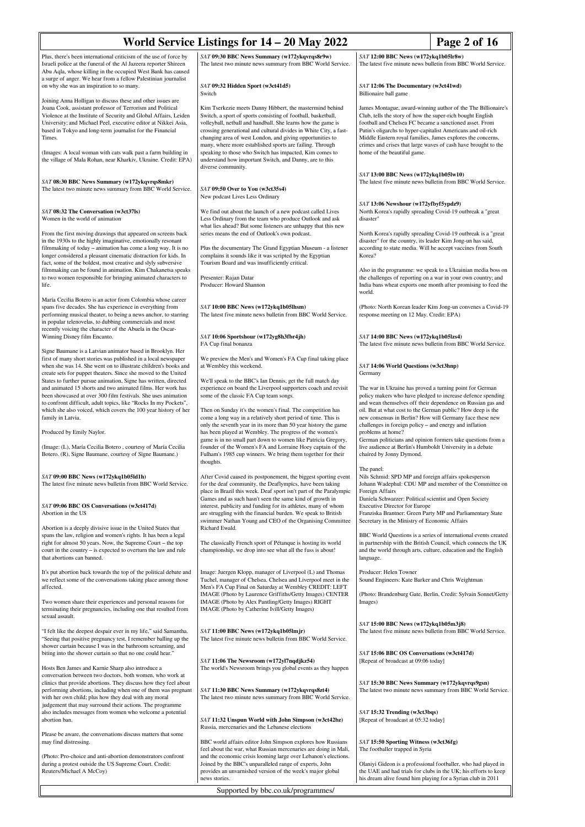| World Service Listings for 14 – 20 May 2022<br>Page 2 of 16                                                                                                                                                                                                                                                                                                                                                                                                               |                                                                                                                                                                                                                                                                                                                                                                                                                                                                                                                                     |                                                                                                                                                                                                                                                                                                                                                                                                                        |  |
|---------------------------------------------------------------------------------------------------------------------------------------------------------------------------------------------------------------------------------------------------------------------------------------------------------------------------------------------------------------------------------------------------------------------------------------------------------------------------|-------------------------------------------------------------------------------------------------------------------------------------------------------------------------------------------------------------------------------------------------------------------------------------------------------------------------------------------------------------------------------------------------------------------------------------------------------------------------------------------------------------------------------------|------------------------------------------------------------------------------------------------------------------------------------------------------------------------------------------------------------------------------------------------------------------------------------------------------------------------------------------------------------------------------------------------------------------------|--|
| Plus, there's been international criticism of the use of force by<br>Israeli police at the funeral of the Al Jazeera reporter Shireen<br>Abu Aqla, whose killing in the occupied West Bank has caused<br>a surge of anger. We hear from a fellow Palestinian journalist                                                                                                                                                                                                   | SAT 09:30 BBC News Summary (w172ykqvrqs8r9w)<br>The latest two minute news summary from BBC World Service.                                                                                                                                                                                                                                                                                                                                                                                                                          | SAT 12:00 BBC News (w172ykq1b05lr8w)<br>The latest five minute news bulletin from BBC World Service.                                                                                                                                                                                                                                                                                                                   |  |
| on why she was an inspiration to so many.                                                                                                                                                                                                                                                                                                                                                                                                                                 | SAT 09:32 Hidden Sport (w3ct41d5)<br>Switch                                                                                                                                                                                                                                                                                                                                                                                                                                                                                         | SAT 12:06 The Documentary (w3ct41wd)<br>Billionaire ball game                                                                                                                                                                                                                                                                                                                                                          |  |
| Joining Anna Holligan to discuss these and other issues are<br>Joana Cook, assistant professor of Terrorism and Political<br>Violence at the Institute of Security and Global Affairs, Leiden<br>University; and Michael Peel, executive editor at Nikkei Asia,<br>based in Tokyo and long-term journalist for the Financial<br>Times.<br>(Images: A local woman with cats walk past a farm building in<br>the village of Mala Rohan, near Kharkiv, Ukraine. Credit: EPA) | Kim Tserkezie meets Danny Hibbert, the mastermind behind<br>Switch, a sport of sports consisting of football, basketball,<br>volleyball, netball and handball. She learns how the game is<br>crossing generational and cultural divides in White City, a fast-<br>changing area of west London, and giving opportunities to<br>many, where more established sports are failing. Through<br>speaking to those who Switch has impacted, Kim comes to<br>understand how important Switch, and Danny, are to this<br>diverse community. | James Montague, award-winning author of the The Billionaire's<br>Club, tells the story of how the super-rich bought English<br>football and Chelsea FC became a sanctioned asset. From<br>Putin's oligarchs to hyper-capitalist Americans and oil-rich<br>Middle Eastern royal families, James explores the concerns,<br>crimes and crises that large waves of cash have brought to the<br>home of the beautiful game. |  |
| SAT 08:30 BBC News Summary (w172ykqvrqs8mkr)<br>The latest two minute news summary from BBC World Service.                                                                                                                                                                                                                                                                                                                                                                | SAT 09:50 Over to You (w3ct35s4)<br>New podcast Lives Less Ordinary                                                                                                                                                                                                                                                                                                                                                                                                                                                                 | SAT 13:00 BBC News (w172ykq1b05lw10)<br>The latest five minute news bulletin from BBC World Service.                                                                                                                                                                                                                                                                                                                   |  |
| SAT 08:32 The Conversation (w3ct37ls)<br>Women in the world of animation<br>From the first moving drawings that appeared on screens back<br>in the 1930s to the highly imaginative, emotionally resonant<br>filmmaking of today – animation has come a long way. It is no                                                                                                                                                                                                 | We find out about the launch of a new podcast called Lives<br>Less Ordinary from the team who produce Outlook and ask<br>what lies ahead? But some listeners are unhappy that this new<br>series means the end of Outlook's own podcast.<br>Plus the documentary The Grand Egyptian Museum - a listener                                                                                                                                                                                                                             | SAT 13:06 Newshour (w172yfbyf5ypdz9)<br>North Korea's rapidly spreading Covid-19 outbreak a "great"<br>disaster"<br>North Korea's rapidly spreading Covid-19 outbreak is a "great<br>disaster" for the country, its leader Kim Jong-un has said,<br>according to state media. Will he accept vaccines from South                                                                                                       |  |
| longer considered a pleasant cinematic distraction for kids. In<br>fact, some of the boldest, most creative and slyly subversive<br>filmmaking can be found in animation. Kim Chakanetsa speaks<br>to two women responsible for bringing animated characters to<br>life.                                                                                                                                                                                                  | complains it sounds like it was scripted by the Egyptian<br>Tourism Board and was insufficiently critical.<br>Presenter: Rajan Datar<br>Producer: Howard Shannon                                                                                                                                                                                                                                                                                                                                                                    | Korea?<br>Also in the programme: we speak to a Ukrainian media boss on<br>the challenges of reporting on a war in your own country; and<br>India bans wheat exports one month after promising to feed the<br>world.                                                                                                                                                                                                    |  |
| María Cecilia Botero is an actor from Colombia whose career<br>spans five decades. She has experience in everything from<br>performing musical theater, to being a news anchor, to starring<br>in popular telenovelas, to dubbing commercials and most<br>recently voicing the character of the Abuela in the Oscar-                                                                                                                                                      | SAT 10:00 BBC News (w172ykq1b05lhsm)<br>The latest five minute news bulletin from BBC World Service.                                                                                                                                                                                                                                                                                                                                                                                                                                | (Photo: North Korean leader Kim Jong-un convenes a Covid-19)<br>response meeting on 12 May. Credit: EPA)                                                                                                                                                                                                                                                                                                               |  |
| Winning Disney film Encanto.<br>Signe Baumane is a Latvian animator based in Brooklyn. Her<br>first of many short stories was published in a local newspaper<br>when she was 14. She went on to illustrate children's books and                                                                                                                                                                                                                                           | SAT 10:06 Sportshour (w172yg8h3fbr4jh)<br>FA Cup final bonanza<br>We preview the Men's and Women's FA Cup final taking place<br>at Wembley this weekend.                                                                                                                                                                                                                                                                                                                                                                            | $SAT 14:00$ BBC News (w172ykq1b05lzs4)<br>The latest five minute news bulletin from BBC World Service.<br>SAT 14:06 World Questions (w3ct3hnp)                                                                                                                                                                                                                                                                         |  |
| create sets for puppet theaters. Since she moved to the United<br>States to further pursue animation, Signe has written, directed<br>and animated 15 shorts and two animated films. Her work has<br>been showcased at over 300 film festivals. She uses animation<br>to confront difficult, adult topics, like "Rocks In my Pockets",<br>which she also voiced, which covers the 100 year history of her<br>family in Latvia.                                             | We'll speak to the BBC's Ian Dennis, get the full match day<br>experience on board the Liverpool supporters coach and revisit<br>some of the classic FA Cup team songs.<br>Then on Sunday it's the women's final. The competition has<br>come a long way in a relatively short period of time. This is                                                                                                                                                                                                                              | Germany<br>The war in Ukraine has proved a turning point for German<br>policy makers who have pledged to increase defence spending<br>and wean themselves off their dependence on Russian gas and<br>oil. But at what cost to the German public? How deep is the<br>new consensus in Berlin? How will Germany face these new                                                                                           |  |
| Produced by Emily Naylor.<br>(Image: (L), María Cecilia Botero, courtesy of María Cecilia<br>Botero. (R), Signe Baumane, courtesy of Signe Baumane.)                                                                                                                                                                                                                                                                                                                      | only the seventh year in its more than 50 year history the game<br>has been played at Wembley. The progress of the women's<br>game is in no small part down to women like Patricia Gregory,<br>founder of the Women's FA and Lorraine Hoey captain of the<br>Fulham's 1985 cup winners. We bring them together for their                                                                                                                                                                                                            | challenges in foreign policy - and energy and inflation<br>problems at home?<br>German politicians and opinion formers take questions from a<br>live audience at Berlin's Humboldt University in a debate<br>chaired by Jonny Dymond.                                                                                                                                                                                  |  |
| SAT 09:00 BBC News (w172ykq1b05ld1h)<br>The latest five minute news bulletin from BBC World Service.                                                                                                                                                                                                                                                                                                                                                                      | thoughts.<br>After Covid caused its postponement, the biggest sporting event<br>for the deaf community, the Deaflympics, have been taking<br>place in Brazil this week. Deaf sport isn't part of the Paralympic                                                                                                                                                                                                                                                                                                                     | The panel:<br>Nils Schmid: SPD MP and foreign affairs spokesperson<br>Johann Wadephul: CDU MP and member of the Committee on<br>Foreign Affairs                                                                                                                                                                                                                                                                        |  |
| SAT 09:06 BBC OS Conversations (w3ct417d)<br>Abortion in the US                                                                                                                                                                                                                                                                                                                                                                                                           | Games and as such hasn't seen the same kind of growth in<br>interest, publicity and funding for its athletes, many of whom<br>are struggling with the financial burden. We speak to British<br>swimmer Nathan Young and CEO of the Organising Committee                                                                                                                                                                                                                                                                             | Daniela Schwarzer: Political scientist and Open Society<br><b>Executive Director for Europe</b><br>Franziska Brantner: Green Party MP and Parliamentary State<br>Secretary in the Ministry of Economic Affairs                                                                                                                                                                                                         |  |
| Abortion is a deeply divisive issue in the United States that<br>spans the law, religion and women's rights. It has been a legal<br>right for almost 50 years. Now, the Supreme Court - the top<br>court in the country – is expected to overturn the law and rule<br>that abortions can banned.                                                                                                                                                                          | Richard Ewald.<br>The classically French sport of Pétanque is hosting its world<br>championship, we drop into see what all the fuss is about!                                                                                                                                                                                                                                                                                                                                                                                       | BBC World Questions is a series of international events created<br>in partnership with the British Council, which connects the UK<br>and the world through arts, culture, education and the English<br>language.                                                                                                                                                                                                       |  |
| It's put abortion back towards the top of the political debate and<br>we reflect some of the conversations taking place among those<br>affected.                                                                                                                                                                                                                                                                                                                          | Image: Juergen Klopp, manager of Liverpool (L) and Thomas<br>Tuchel, manager of Chelsea. Chelsea and Liverpool meet in the<br>Men's FA Cup Final on Saturday at Wembley CREDIT: LEFT<br>IMAGE (Photo by Laurence Griffiths/Getty Images) CENTER                                                                                                                                                                                                                                                                                     | Producer: Helen Towner<br>Sound Engineers: Kate Barker and Chris Weightman<br>(Photo: Brandenburg Gate, Berlin, Credit: Sylvain Sonnet/Getty                                                                                                                                                                                                                                                                           |  |
| Two women share their experiences and personal reasons for<br>terminating their pregnancies, including one that resulted from<br>sexual assault.                                                                                                                                                                                                                                                                                                                          | IMAGE (Photo by Alex Pantling/Getty Images) RIGHT<br>IMAGE (Photo by Catherine Ivill/Getty Images)                                                                                                                                                                                                                                                                                                                                                                                                                                  | Images)<br>SAT 15:00 BBC News (w172ykq1b05m3j8)                                                                                                                                                                                                                                                                                                                                                                        |  |
| "I felt like the deepest despair ever in my life," said Samantha.<br>"Seeing that positive pregnancy test, I remember balling up the<br>shower curtain because I was in the bathroom screaming, and<br>biting into the shower curtain so that no one could hear."                                                                                                                                                                                                         | SAT 11:00 BBC News (w172ykq1b05lmjr)<br>The latest five minute news bulletin from BBC World Service.                                                                                                                                                                                                                                                                                                                                                                                                                                | The latest five minute news bulletin from BBC World Service.<br>SAT 15:06 BBC OS Conversations (w3ct417d)                                                                                                                                                                                                                                                                                                              |  |
| Hosts Ben James and Karnie Sharp also introduce a<br>conversation between two doctors, both women, who work at<br>clinics that provide abortions. They discuss how they feel about                                                                                                                                                                                                                                                                                        | SAT 11:06 The Newsroom (w172yl7nqdjkz54)<br>The world's Newsroom brings you global events as they happen                                                                                                                                                                                                                                                                                                                                                                                                                            | [Repeat of broadcast at 09:06 today]<br>SAT 15:30 BBC News Summary (w172ykqvrqs9gsn)                                                                                                                                                                                                                                                                                                                                   |  |
| performing abortions, including when one of them was pregnant<br>with her own child; plus how they deal with any moral<br>judgement that may surround their actions. The programme<br>also includes messages from women who welcome a potential<br>abortion ban.                                                                                                                                                                                                          | SAT 11:30 BBC News Summary (w172ykqvrqs8zt4)<br>The latest two minute news summary from BBC World Service.<br>SAT 11:32 Unspun World with John Simpson (w3ct42bz)                                                                                                                                                                                                                                                                                                                                                                   | The latest two minute news summary from BBC World Service.<br>SAT 15:32 Trending (w3ct3bqs)<br>[Repeat of broadcast at 05:32 today]                                                                                                                                                                                                                                                                                    |  |
| Please be aware, the conversations discuss matters that some                                                                                                                                                                                                                                                                                                                                                                                                              | Russia, mercenaries and the Lebanese elections<br>BBC world affairs editor John Simpson explores how Russians                                                                                                                                                                                                                                                                                                                                                                                                                       | SAT 15:50 Sporting Witness (w3ct36fg)                                                                                                                                                                                                                                                                                                                                                                                  |  |
| may find distressing.<br>(Photo: Pro-choice and anti-abortion demonstrators confront<br>during a protest outside the US Supreme Court. Credit:<br>Reuters/Michael A McCoy)                                                                                                                                                                                                                                                                                                | feel about the war, what Russian mercenaries are doing in Mali,<br>and the economic crisis looming large over Lebanon's elections.<br>Joined by the BBC's unparalleled range of experts, John<br>provides an unvarnished version of the week's major global                                                                                                                                                                                                                                                                         | The footballer trapped in Syria<br>Olaniyi Gideon is a professional footballer, who had played in<br>the UAE and had trials for clubs in the UK; his efforts to keep                                                                                                                                                                                                                                                   |  |
|                                                                                                                                                                                                                                                                                                                                                                                                                                                                           | news stories.<br>Supported by bbc.co.uk/programmes/                                                                                                                                                                                                                                                                                                                                                                                                                                                                                 | his dream alive found him playing for a Syrian club in 2011                                                                                                                                                                                                                                                                                                                                                            |  |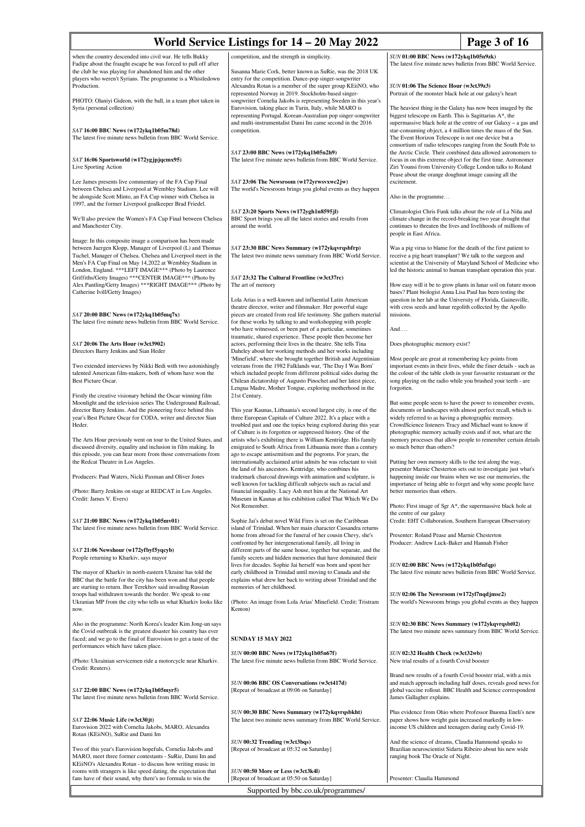| World Service Listings for 14 – 20 May 2022                                                                                                                                                                                                                                                                                                                                                                  | Page 3 of 16                                                                                                                                                                                                                                                                                                                                                                                                              |                                                                                                                                                                                                                                                                                                                                                                                                                |
|--------------------------------------------------------------------------------------------------------------------------------------------------------------------------------------------------------------------------------------------------------------------------------------------------------------------------------------------------------------------------------------------------------------|---------------------------------------------------------------------------------------------------------------------------------------------------------------------------------------------------------------------------------------------------------------------------------------------------------------------------------------------------------------------------------------------------------------------------|----------------------------------------------------------------------------------------------------------------------------------------------------------------------------------------------------------------------------------------------------------------------------------------------------------------------------------------------------------------------------------------------------------------|
| when the country descended into civil war. He tells Bukky                                                                                                                                                                                                                                                                                                                                                    | competition, and the strength in simplicity.                                                                                                                                                                                                                                                                                                                                                                              | SUN 01:00 BBC News (w172ykq1b05n9zk)                                                                                                                                                                                                                                                                                                                                                                           |
| Fadipe about the fraught escape he was forced to pull off after<br>the club he was playing for abandoned him and the other<br>players who weren't Syrians. The programme is a Whistledown<br>Production.                                                                                                                                                                                                     | Susanna Marie Cork, better known as SuRie, was the 2018 UK<br>entry for the competition. Dance-pop singer-songwriter<br>Alexandra Rotan is a member of the super group KEiiNO, who                                                                                                                                                                                                                                        | The latest five minute news bulletin from BBC World Service.<br>SUN 01:06 The Science Hour (w3ct39z3)                                                                                                                                                                                                                                                                                                          |
| PHOTO: Olaniyi Gideon, with the ball, in a team phot taken in<br>Syria (personal collection)                                                                                                                                                                                                                                                                                                                 | represented Norway in 2019. Stockholm-based singer-<br>songwriter Cornelia Jakobs is representing Sweden in this year's<br>Eurovision, taking place in Turin, Italy, while MARO is<br>representing Portugal. Korean-Australian pop singer-songwriter                                                                                                                                                                      | Portrait of the monster black hole at our galaxy's heart<br>The heaviest thing in the Galaxy has now been imaged by the<br>biggest telescope on Earth. This is Sagittarius A*, the                                                                                                                                                                                                                             |
| SAT 16:00 BBC News (w172ykq1b05m78d)<br>The latest five minute news bulletin from BBC World Service.                                                                                                                                                                                                                                                                                                         | and multi-instrumentalist Dami Im came second in the 2016<br>competition.                                                                                                                                                                                                                                                                                                                                                 | supermassive black hole at the centre of our Galaxy – a gas and<br>star-consuming object, a 4 million times the mass of the Sun.<br>The Event Horizon Telescope is not one device but a<br>consortium of radio telescopes ranging from the South Pole to                                                                                                                                                       |
| SAT 16:06 Sportsworld (w172ygjpjqcmx95)<br>Live Sporting Action                                                                                                                                                                                                                                                                                                                                              | SAT 23:00 BBC News (w172ykq1b05n2h9)<br>The latest five minute news bulletin from BBC World Service.                                                                                                                                                                                                                                                                                                                      | the Arctic Circle. Their combined data allowed astronomers to<br>focus in on this extreme object for the first time. Astronomer<br>Ziri Younsi from University College London talks to Roland<br>Pease about the orange doughnut image causing all the                                                                                                                                                         |
| Lee James presents live commentary of the FA Cup Final<br>between Chelsea and Liverpool at Wembley Stadium. Lee will<br>be alongside Scott Minto, an FA Cup winner with Chelsea in<br>1997, and the former Liverpool goalkeeper Brad Friedel.                                                                                                                                                                | SAT 23:06 The Newsroom (w172yrwsvxwc2jw)<br>The world's Newsroom brings you global events as they happen                                                                                                                                                                                                                                                                                                                  | excitement.<br>Also in the programme                                                                                                                                                                                                                                                                                                                                                                           |
| We'll also preview the Women's FA Cup Final between Chelsea<br>and Manchester City.                                                                                                                                                                                                                                                                                                                          | SAT 23:20 Sports News (w172ygh1n8595jl)<br>BBC Sport brings you all the latest stories and results from<br>around the world.                                                                                                                                                                                                                                                                                              | Climatologist Chris Funk talks about the role of La Niña and<br>climate change in the record-breaking two year drought that<br>continues to threaten the lives and livelihoods of millions of<br>people in East Africa.                                                                                                                                                                                        |
| Image: In this composite image a comparison has been made<br>between Juergen Klopp, Manager of Liverpool (L) and Thomas<br>Tuchel, Manager of Chelsea. Chelsea and Liverpool meet in the<br>Men's FA Cup Final on May 14,2022 at Wembley Stadium in<br>London, England. *** LEFT IMAGE*** (Photo by Laurence                                                                                                 | SAT 23:30 BBC News Summary (w172ykqvrqsbfrp)<br>The latest two minute news summary from BBC World Service.                                                                                                                                                                                                                                                                                                                | Was a pig virus to blame for the death of the first patient to<br>receive a pig heart transplant? We talk to the surgeon and<br>scientist at the University of Maryland School of Medicine who<br>led the historic animal to human transplant operation this year.                                                                                                                                             |
| Griffiths/Getty Images) *** CENTER IMAGE*** (Photo by<br>Alex Pantling/Getty Images) *** RIGHT IMAGE*** (Photo by<br>Catherine Ivill/Getty Images)                                                                                                                                                                                                                                                           | SAT 23:32 The Cultural Frontline (w3ct37rc)<br>The art of memory<br>Lola Arias is a well-known and influential Latin American                                                                                                                                                                                                                                                                                             | How easy will it be to grow plants in lunar soil on future moon<br>bases? Plant biologist Anna Lisa Paul has been testing the<br>question in her lab at the University of Florida, Gainesville,                                                                                                                                                                                                                |
| $SAT$ 20:00 BBC News (w172ykq1b05mq7x)<br>The latest five minute news bulletin from BBC World Service.                                                                                                                                                                                                                                                                                                       | theatre director, writer and filmmaker. Her powerful stage<br>pieces are created from real life testimony. She gathers material<br>for these works by talking to and workshopping with people<br>who have witnessed, or been part of a particular, sometimes                                                                                                                                                              | with cress seeds and lunar regolith collected by the Apollo<br>missions.<br>And                                                                                                                                                                                                                                                                                                                                |
| $SAT$ 20:06 The Arts Hour (w3ct3902)<br>Directors Barry Jenkins and Sian Heder                                                                                                                                                                                                                                                                                                                               | traumatic, shared experience. These people then become her<br>actors, performing their lives in the theatre. She tells Tina<br>Daheley about her working methods and her works including                                                                                                                                                                                                                                  | Does photographic memory exist?                                                                                                                                                                                                                                                                                                                                                                                |
| Two extended interviews by Nikki Bedi with two astonishingly<br>talented American film-makers, both of whom have won the<br>Best Picture Oscar.                                                                                                                                                                                                                                                              | 'Minefield', where she brought together British and Argentinian<br>veterans from the 1982 Falklands war, 'The Day I Was Born'<br>which included people from different political sides during the<br>Chilean dictatorship of Augusto Pinochet and her latest piece,<br>Lengua Madre, Mother Tongue, exploring motherhood in the                                                                                            | Most people are great at remembering key points from<br>important events in their lives, while the finer details - such as<br>the colour of the table cloth in your favourite restaurant or the<br>song playing on the radio while you brushed your teeth - are<br>forgotten.                                                                                                                                  |
| Firstly the creative visionary behind the Oscar winning film<br>Moonlight and the television series The Underground Railroad,<br>director Barry Jenkins. And the pioneering force behind this<br>year's Best Picture Oscar for CODA, writer and director Sian<br>Heder.<br>The Arts Hour previously went on tour to the United States, and<br>discussed diversity, equality and inclusion in film making. In | 21st Century.<br>This year Kaunas, Lithuania's second largest city, is one of the<br>three European Capitals of Culture 2022. It's a place with a<br>troubled past and one the topics being explored during this year<br>of Culture is its forgotten or suppressed history. One of the<br>artists who's exhibiting there is William Kentridge. His family<br>emigrated to South Africa from Lithuania more than a century | But some people seem to have the power to remember events,<br>documents or landscapes with almost perfect recall, which is<br>widely referred to as having a photographic memory.<br>CrowdScience listeners Tracy and Michael want to know if<br>photographic memory actually exists and if not, what are the<br>memory processes that allow people to remember certain details<br>so much better than others? |
| this episode, you can hear more from those conversations from<br>the Redcat Theatre in Los Angeles.<br>Producers: Paul Waters, Nicki Paxman and Oliver Jones                                                                                                                                                                                                                                                 | ago to escape antisemitism and the pogroms. For years, the<br>internationally acclaimed artist admits he was reluctant to visit<br>the land of his ancestors. Kentridge, who combines his<br>trademark charcoal drawings with animation and sculpture, is                                                                                                                                                                 | Putting her own memory skills to the test along the way,<br>presenter Marnie Chesterton sets out to investigate just what's                                                                                                                                                                                                                                                                                    |
| (Photo: Barry Jenkins on stage at REDCAT in Los Angeles.<br>Credit: James V. Evers)                                                                                                                                                                                                                                                                                                                          | well known for tackling difficult subjects such as racial and<br>financial inequality. Lucy Ash met him at the National Art<br>Museum in Kaunas at his exhibition called That Which We Do                                                                                                                                                                                                                                 | happening inside our brains when we use our memories, the<br>importance of being able to forget and why some people have<br>better memories than others.                                                                                                                                                                                                                                                       |
| $SAT$ 21:00 BBC News (w172ykq1b05mv01)<br>The latest five minute news bulletin from BBC World Service.                                                                                                                                                                                                                                                                                                       | Not Remember.<br>Sophie Jai's debut novel Wild Fires is set on the Caribbean<br>island of Trinidad. When her main character Cassandra returns                                                                                                                                                                                                                                                                             | Photo: First image of Sgr A*, the supermassive black hole at<br>the centre of our galaxy<br>Credit: EHT Collaboration, Southern European Observatory                                                                                                                                                                                                                                                           |
| SAT 21:06 Newshour (w172yfbyf5yqcyb)<br>People returning to Kharkiv, says mayor                                                                                                                                                                                                                                                                                                                              | home from abroad for the funeral of her cousin Chevy, she's<br>confronted by her intergenerational family, all living in<br>different parts of the same house, together but separate, and the<br>family secrets and hidden memories that have dominated their                                                                                                                                                             | Presenter: Roland Pease and Marnie Chesterton<br>Producer: Andrew Luck-Baker and Hannah Fisher                                                                                                                                                                                                                                                                                                                 |
| The mayor of Kharkiv in north-eastern Ukraine has told the<br>BBC that the battle for the city has been won and that people<br>are starting to return. Ihor Terekhov said invading Russian                                                                                                                                                                                                                   | lives for decades. Sophie Jai herself was born and spent her<br>early childhood in Trinidad until moving to Canada and she<br>explains what drew her back to writing about Trinidad and the<br>memories of her childhood.                                                                                                                                                                                                 | SUN 02:00 BBC News (w172ykq1b05nfqp)<br>The latest five minute news bulletin from BBC World Service.                                                                                                                                                                                                                                                                                                           |
| troops had withdrawn towards the border. We speak to one<br>Ukranian MP from the city who tells us what Kharkiv looks like<br>now.                                                                                                                                                                                                                                                                           | (Photo: An image from Lola Arias' Minefield. Credit: Tristram<br>Kenton)                                                                                                                                                                                                                                                                                                                                                  | SUN 02:06 The Newsroom (w172yl7nqdjmsc2)<br>The world's Newsroom brings you global events as they happen                                                                                                                                                                                                                                                                                                       |
| Also in the programme: North Korea's leader Kim Jong-un says<br>the Covid outbreak is the greatest disaster his country has ever<br>faced; and we go to the final of Eurovision to get a taste of the<br>performances which have taken place.                                                                                                                                                                | <b>SUNDAY 15 MAY 2022</b>                                                                                                                                                                                                                                                                                                                                                                                                 | SUN 02:30 BBC News Summary (w172ykqvrqsbt02)<br>The latest two minute news summary from BBC World Service.                                                                                                                                                                                                                                                                                                     |
| (Photo: Ukrainian servicemen ride a motorcycle near Kharkiv.<br>Credit: Reuters).                                                                                                                                                                                                                                                                                                                            | $SUN$ 00:00 BBC News (w172ykq1b05n67f)<br>The latest five minute news bulletin from BBC World Service.                                                                                                                                                                                                                                                                                                                    | SUN 02:32 Health Check (w3ct32wb)<br>New trial results of a fourth Covid booster<br>Brand new results of a fourth Covid booster trial, with a mix                                                                                                                                                                                                                                                              |
| SAT 22:00 BBC News (w172ykq1b05myr5)<br>The latest five minute news bulletin from BBC World Service.                                                                                                                                                                                                                                                                                                         | SUN 00:06 BBC OS Conversations (w3ct417d)<br>[Repeat of broadcast at 09:06 on Saturday]                                                                                                                                                                                                                                                                                                                                   | and match approach including half doses, reveals good news for<br>global vaccine rollout. BBC Health and Science correspondent<br>James Gallagher explains.                                                                                                                                                                                                                                                    |
| SAT 22:06 Music Life (w3ct30jt)<br>Eurovision 2022 with Cornelia Jakobs, MARO, Alexandra<br>Rotan (KEiiNO), SuRie and Dami Im                                                                                                                                                                                                                                                                                | SUN 00:30 BBC News Summary (w172ykqvrqsbkht)<br>The latest two minute news summary from BBC World Service.                                                                                                                                                                                                                                                                                                                | Plus evidence from Ohio where Professor Ihuoma Eneli's new<br>paper shows how weight gain increased markedly in low-<br>income US children and teenagers during early Covid-19.                                                                                                                                                                                                                                |
| Two of this year's Eurovision hopefuls, Cornelia Jakobs and<br>MARO, meet three former contestants - SuRie, Dami Im and<br>KEiiNO's Alexandra Rotan - to discuss how writing music in                                                                                                                                                                                                                        | SUN 00:32 Trending (w3ct3bqs)<br>[Repeat of broadcast at 05:32 on Saturday]                                                                                                                                                                                                                                                                                                                                               | And the science of dreams, Claudia Hammond speaks to<br>Brazilian neuroscientist Sidarta Ribeiro about his new wide<br>ranging book The Oracle of Night.                                                                                                                                                                                                                                                       |
| rooms with strangers is like speed dating, the expectation that<br>fans have of their sound, why there's no formula to win the                                                                                                                                                                                                                                                                               | SUN 00:50 More or Less (w3ct3k4l)<br>[Repeat of broadcast at 05:50 on Saturday]                                                                                                                                                                                                                                                                                                                                           | Presenter: Claudia Hammond                                                                                                                                                                                                                                                                                                                                                                                     |

Supported by bbc.co.uk/programmes/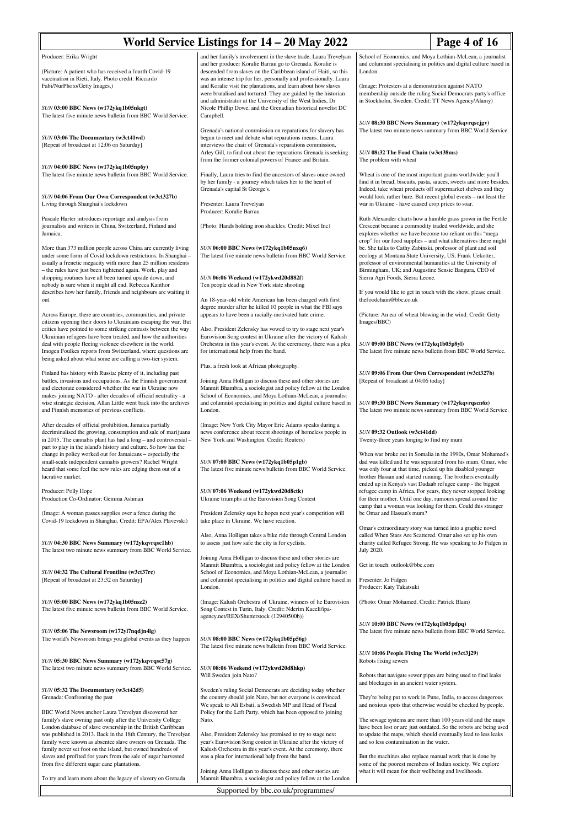| World Service Listings for 14 – 20 May 2022<br>Page 4 of 16                                                                                                                                                                                                                                                                       |                                                                                                                                                                                                                                                                                                                                       |                                                                                                                                                                                                                                                                                                                   |
|-----------------------------------------------------------------------------------------------------------------------------------------------------------------------------------------------------------------------------------------------------------------------------------------------------------------------------------|---------------------------------------------------------------------------------------------------------------------------------------------------------------------------------------------------------------------------------------------------------------------------------------------------------------------------------------|-------------------------------------------------------------------------------------------------------------------------------------------------------------------------------------------------------------------------------------------------------------------------------------------------------------------|
| Producer: Erika Wright                                                                                                                                                                                                                                                                                                            | and her family's involvement in the slave trade, Laura Trevelyan<br>and her producer Koralie Barrau go to Grenada. Koralie is                                                                                                                                                                                                         | School of Economics, and Moya Lothian-McLean, a journalist<br>and columnist specialising in politics and digital culture based in                                                                                                                                                                                 |
| (Picture: A patient who has received a fourth Covid-19)<br>vaccination in Rieti, Italy. Photo credit: Riccardo<br>Fabi/NurPhoto/Getty Images.)                                                                                                                                                                                    | descended from slaves on the Caribbean island of Haiti, so this<br>was an intense trip for her, personally and professionally. Laura<br>and Koralie visit the plantations, and learn about how slaves<br>were brutalised and tortured. They are guided by the historian<br>and administrator at the University of the West Indies, Dr | London.<br>(Image: Protesters at a demonstration against NATO)<br>membership outside the ruling Social Democrats party's office<br>in Stockholm, Sweden. Credit: TT News Agency/Alamy)                                                                                                                            |
| SUN 03:00 BBC News (w172ykq1b05nkgt)<br>The latest five minute news bulletin from BBC World Service.                                                                                                                                                                                                                              | Nicole Phillip Dowe, and the Grenadian historical novelist DC<br>Campbell.                                                                                                                                                                                                                                                            | SUN 08:30 BBC News Summary (w172ykqvrqscjgv)                                                                                                                                                                                                                                                                      |
| SUN 03:06 The Documentary (w3ct41wd)<br>[Repeat of broadcast at 12:06 on Saturday]                                                                                                                                                                                                                                                | Grenada's national commission on reparations for slavery has<br>begun to meet and debate what reparations means. Laura<br>interviews the chair of Grenada's reparations commission,<br>Arley Gill, to find out about the reparations Grenada is seeking<br>from the former colonial powers of France and Britain.                     | The latest two minute news summary from BBC World Service.<br>SUN 08:32 The Food Chain (w3ct38ms)<br>The problem with wheat                                                                                                                                                                                       |
| SUN 04:00 BBC News (w172ykq1b05np6y)<br>The latest five minute news bulletin from BBC World Service.                                                                                                                                                                                                                              | Finally, Laura tries to find the ancestors of slaves once owned<br>by her family - a journey which takes her to the heart of                                                                                                                                                                                                          | Wheat is one of the most important grains worldwide: you'll<br>find it in bread, biscuits, pasta, sauces, sweets and more besides.                                                                                                                                                                                |
| SUN 04:06 From Our Own Correspondent (w3ct327b)<br>Living through Shanghai's lockdown                                                                                                                                                                                                                                             | Grenada's capital St George's.<br>Presenter: Laura Trevelyan<br>Producer: Koralie Barrau                                                                                                                                                                                                                                              | Indeed, take wheat products off supermarket shelves and they<br>would look rather bare. But recent global events - not least the<br>war in Ukraine - have caused crop prices to soar.                                                                                                                             |
| Pascale Harter introduces reportage and analysis from<br>journalists and writers in China, Switzerland, Finland and<br>Jamaica.                                                                                                                                                                                                   | (Photo: Hands holding iron shackles. Credit: Mixel Inc)                                                                                                                                                                                                                                                                               | Ruth Alexander charts how a humble grass grown in the Fertile<br>Crescent became a commodity traded worldwide, and she<br>explores whether we have become too reliant on this "mega                                                                                                                               |
| More than 373 million people across China are currently living<br>under some form of Covid lockdown restrictions. In Shanghai -<br>usually a frenetic megacity with more than 25 million residents<br>- the rules have just been tightened again. Work, play and                                                                  | SUN 06:00 BBC News (w172ykq1b05nxq6)<br>The latest five minute news bulletin from BBC World Service.                                                                                                                                                                                                                                  | crop" for our food supplies - and what alternatives there might<br>be. She talks to Cathy Zabinski, professor of plant and soil<br>ecology at Montana State University, US; Frank Uekotter,<br>professor of environmental humanities at the University of<br>Birmingham, UK; and Augustine Sensie Bangura, CEO of |
| shopping routines have all been turned upside down, and<br>nobody is sure when it might all end. Rebecca Kanthor<br>describes how her family, friends and neighbours are waiting it                                                                                                                                               | SUN 06:06 Weekend (w172ykwd20d882f)<br>Ten people dead in New York state shooting                                                                                                                                                                                                                                                     | Sierra Agri Foods, Sierra Leone.<br>If you would like to get in touch with the show, please email:                                                                                                                                                                                                                |
| out.<br>Across Europe, there are countries, communities, and private                                                                                                                                                                                                                                                              | An 18-year-old white American has been charged with first<br>degree murder after he killed 10 people in what the FBI says<br>appears to have been a racially-motivated hate crime.                                                                                                                                                    | thefoodchain@bbc.co.uk<br>(Picture: An ear of wheat blowing in the wind. Credit: Getty                                                                                                                                                                                                                            |
| citizens opening their doors to Ukrainians escaping the war. But<br>critics have pointed to some striking contrasts between the way<br>Ukrainian refugees have been treated, and how the authorities<br>deal with people fleeing violence elsewhere in the world.<br>Imogen Foulkes reports from Switzerland, where questions are | Also, President Zelensky has vowed to try to stage next year's<br>Eurovision Song contest in Ukraine after the victory of Kalush<br>Orchestra in this year's event. At the ceremony, there was a plea<br>for international help from the band.                                                                                        | Images/BBC)<br>SUN 09:00 BBC News (w172ykq1b05p8yl)<br>The latest five minute news bulletin from BBC World Service.                                                                                                                                                                                               |
| being asked about what some are calling a two-tier system.                                                                                                                                                                                                                                                                        | Plus, a fresh look at African photography.                                                                                                                                                                                                                                                                                            |                                                                                                                                                                                                                                                                                                                   |
| Finland has history with Russia: plenty of it, including past<br>battles, invasions and occupations. As the Finnish government<br>and electorate considered whether the war in Ukraine now<br>makes joining NATO - after decades of official neutrality - a<br>wise strategic decision, Allan Little went back into the archives  | Joining Anna Holligan to discuss these and other stories are<br>Manmit Bhambra, a sociologist and policy fellow at the London<br>School of Economics, and Moya Lothian-McLean, a journalist<br>and columnist specialising in politics and digital culture based in                                                                    | SUN 09:06 From Our Own Correspondent (w3ct327b)<br>[Repeat of broadcast at 04:06 today]<br>SUN 09:30 BBC News Summary (w172ykqvrqscn6z)                                                                                                                                                                           |
| and Finnish memories of previous conflicts.                                                                                                                                                                                                                                                                                       | London.                                                                                                                                                                                                                                                                                                                               | The latest two minute news summary from BBC World Service.                                                                                                                                                                                                                                                        |
| After decades of official prohibition, Jamaica partially<br>decriminalised the growing, consumption and sale of marijuana<br>in 2015. The cannabis plant has had a long – and controversial –<br>part to play in the island's history and culture. So how has the                                                                 | (Image: New York City Mayor Eric Adams speaks during a<br>news conference about recent shootings of homeless people in<br>New York and Washington. Credit: Reuters)                                                                                                                                                                   | SUN 09:32 Outlook (w3ct41dd)<br>Twenty-three years longing to find my mum<br>When war broke out in Somalia in the 1990s, Omar Mohamed's                                                                                                                                                                           |
| change in policy worked out for Jamaicans - especially the<br>small-scale independent cannabis growers? Rachel Wright<br>heard that some feel the new rules are edging them out of a<br>lucrative market.                                                                                                                         | SUN 07:00 BBC News (w172ykq1b05p1gb)<br>The latest five minute news bulletin from BBC World Service.                                                                                                                                                                                                                                  | dad was killed and he was separated from his mum. Omar, who<br>was only four at that time, picked up his disabled younger<br>brother Hassan and started running. The brothers eventually<br>ended up in Kenya's vast Dadaab refugee camp - the biggest                                                            |
| Producer: Polly Hope<br>Production Co-Ordinator: Gemma Ashman<br>(Image: A woman passes supplies over a fence during the                                                                                                                                                                                                          | SUN 07:06 Weekend (w172ykwd20d8ctk)<br>Ukraine triumphs at the Eurovision Song Contest<br>President Zelensky says he hopes next year's competition will                                                                                                                                                                               | refugee camp in Africa. For years, they never stopped looking<br>for their mother. Until one day, rumours spread around the<br>camp that a woman was looking for them. Could this stranger<br>be Omar and Hassan's mum?                                                                                           |
| Covid-19 lockdown in Shanghai. Credit: EPA/Alex Plavevski)                                                                                                                                                                                                                                                                        | take place in Ukraine. We have reaction.                                                                                                                                                                                                                                                                                              | Omar's extraordinary story was turned into a graphic novel                                                                                                                                                                                                                                                        |
| SUN 04:30 BBC News Summary (w172ykqvrqsc1hb)<br>The latest two minute news summary from BBC World Service.                                                                                                                                                                                                                        | Also, Anna Holligan takes a bike ride through Central London<br>to assess just how safe the city is for cyclists.<br>Joining Anna Holligan to discuss these and other stories are                                                                                                                                                     | called When Stars Are Scattered. Omar also set up his own<br>charity called Refugee Strong. He was speaking to Jo Fidgen in<br>July 2020.                                                                                                                                                                         |
| SUN 04:32 The Cultural Frontline (w3ct37rc)                                                                                                                                                                                                                                                                                       | Manmit Bhambra, a sociologist and policy fellow at the London<br>School of Economics, and Moya Lothian-McLean, a journalist                                                                                                                                                                                                           | Get in touch: outlook@bbc.com                                                                                                                                                                                                                                                                                     |
| [Repeat of broadcast at 23:32 on Saturday]                                                                                                                                                                                                                                                                                        | and columnist specialising in politics and digital culture based in<br>London.                                                                                                                                                                                                                                                        | Presenter: Jo Fidgen<br>Producer: Katy Takatsuki                                                                                                                                                                                                                                                                  |
| SUN 05:00 BBC News (w172ykq1b05nsz2)<br>The latest five minute news bulletin from BBC World Service.                                                                                                                                                                                                                              | (Image: Kalush Orchestra of Ukraine, winners of he Eurovision<br>Song Contest in Turin, Italy. Credit: Nderim Kaceli/ipa-<br>agency.net/REX/Shutterstock (12940500b))                                                                                                                                                                 | (Photo: Omar Mohamed. Credit: Patrick Blain)                                                                                                                                                                                                                                                                      |
| SUN 05:06 The Newsroom (w172yl7nqdjn4lg)<br>The world's Newsroom brings you global events as they happen                                                                                                                                                                                                                          | SUN 08:00 BBC News (w172ykq1b05p56g)<br>The latest five minute news bulletin from BBC World Service.                                                                                                                                                                                                                                  | SUN 10:00 BBC News (w172ykq1b05pdpq)<br>The latest five minute news bulletin from BBC World Service.                                                                                                                                                                                                              |
| SUN 05:30 BBC News Summary (w172ykqvrqsc57g)<br>The latest two minute news summary from BBC World Service.                                                                                                                                                                                                                        | SUN 08:06 Weekend (w172ykwd20d8hkp)                                                                                                                                                                                                                                                                                                   | SUN 10:06 People Fixing The World (w3ct3j29)<br>Robots fixing sewers                                                                                                                                                                                                                                              |
| SUN 05:32 The Documentary (w3ct42d5)                                                                                                                                                                                                                                                                                              | Will Sweden join Nato?<br>Sweden's ruling Social Democrats are deciding today whether                                                                                                                                                                                                                                                 | Robots that navigate sewer pipes are being used to find leaks<br>and blockages in an ancient water system.                                                                                                                                                                                                        |
| Grenada: Confronting the past                                                                                                                                                                                                                                                                                                     | the country should join Nato, but not everyone is convinced.<br>We speak to Ali Esbati, a Swedish MP and Head of Fiscal                                                                                                                                                                                                               | They're being put to work in Pune, India, to access dangerous<br>and noxious spots that otherwise would be checked by people.                                                                                                                                                                                     |
| BBC World News anchor Laura Trevelyan discovered her<br>family's slave owning past only after the University College<br>London database of slave ownership in the British Caribbean                                                                                                                                               | Policy for the Left Party, which has been opposed to joining<br>Nato.                                                                                                                                                                                                                                                                 | The sewage systems are more than 100 years old and the maps<br>have been lost or are just outdated. So the robots are being used                                                                                                                                                                                  |
| was published in 2013. Back in the 18th Century, the Trevelyan<br>family were known as absentee slave owners on Grenada. The<br>family never set foot on the island, but owned hundreds of<br>slaves and profited for years from the sale of sugar harvested                                                                      | Also, President Zelensky has promised to try to stage next<br>year's Eurovision Song contest in Ukraine after the victory of<br>Kalush Orchestra in this year's event. At the ceremony, there<br>was a plea for international help from the band.                                                                                     | to update the maps, which should eventually lead to less leaks<br>and so less contamination in the water.<br>But the machines also replace manual work that is done by                                                                                                                                            |
| from five different sugar cane plantations.                                                                                                                                                                                                                                                                                       | Joining Anna Holligan to discuss these and other stories are                                                                                                                                                                                                                                                                          | some of the poorest members of Indian society. We explore<br>what it will mean for their wellbeing and livelihoods.                                                                                                                                                                                               |
| To try and learn more about the legacy of slavery on Grenada<br>Manmit Bhambra, a sociologist and policy fellow at the London<br>Supported by bbc.co.uk/programmes/                                                                                                                                                               |                                                                                                                                                                                                                                                                                                                                       |                                                                                                                                                                                                                                                                                                                   |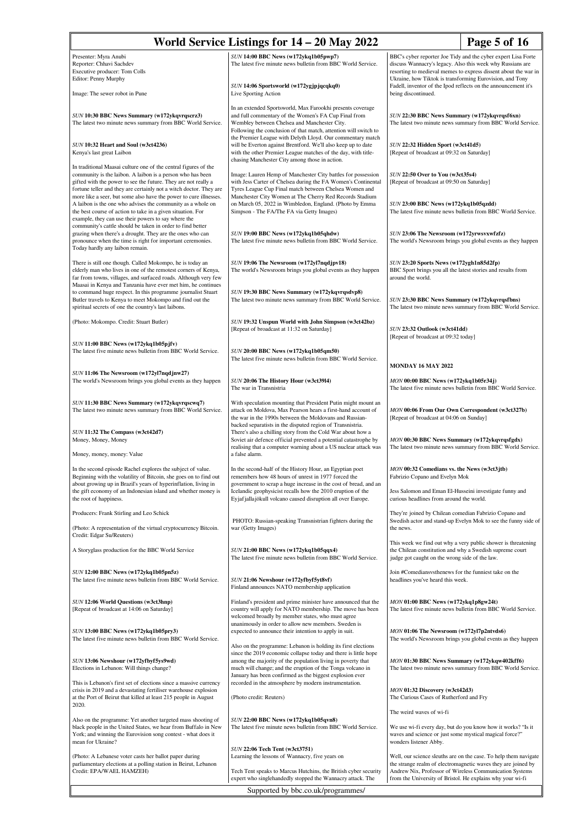| World Service Listings for 14 – 20 May 2022<br>Page 5 of 16                                                                                                                                                                                                           |                                                                                                                                                                                                                                                          |                                                                                                                                                                             |
|-----------------------------------------------------------------------------------------------------------------------------------------------------------------------------------------------------------------------------------------------------------------------|----------------------------------------------------------------------------------------------------------------------------------------------------------------------------------------------------------------------------------------------------------|-----------------------------------------------------------------------------------------------------------------------------------------------------------------------------|
| Presenter: Myra Anubi                                                                                                                                                                                                                                                 | SUN 14:00 BBC News (w172ykq1b05pwp7)                                                                                                                                                                                                                     | BBC's cyber reporter Joe Tidy and the cyber expert Lisa Forte                                                                                                               |
| Reporter: Chhavi Sachdev<br>Executive producer: Tom Colls                                                                                                                                                                                                             | The latest five minute news bulletin from BBC World Service.                                                                                                                                                                                             | discuss Wannacry's legacy. Also this week why Russians are<br>resorting to medieval memes to express dissent about the war in                                               |
| Editor: Penny Murphy<br>Image: The sewer robot in Pune                                                                                                                                                                                                                | SUN 14:06 Sportsworld (w172ygjpjqcqkq0)<br>Live Sporting Action                                                                                                                                                                                          | Ukraine, how Tiktok is transforming Eurovision, and Tony<br>Fadell, inventor of the Ipod reflects on the announcement it's<br>being discontinued.                           |
|                                                                                                                                                                                                                                                                       | In an extended Sportsworld, Max Farookhi presents coverage                                                                                                                                                                                               |                                                                                                                                                                             |
| SUN 10:30 BBC News Summary (w172ykqvrqscrz3)<br>The latest two minute news summary from BBC World Service.                                                                                                                                                            | and full commentary of the Women's FA Cup Final from<br>Wembley between Chelsea and Manchester City.<br>Following the conclusion of that match, attention will switch to<br>the Premier League with Delyth Lloyd. Our commentary match                   | SUN 22:30 BBC News Summary (w172ykqvrqsf6xn)<br>The latest two minute news summary from BBC World Service.                                                                  |
| SUN 10:32 Heart and Soul (w3ct4236)<br>Kenya's last great Laibon                                                                                                                                                                                                      | will be Everton against Brentford. We'll also keep up to date<br>with the other Premier League matches of the day, with title-<br>chasing Manchester City among those in action.                                                                         | SUN 22:32 Hidden Sport (w3ct41d5)<br>[Repeat of broadcast at 09:32 on Saturday]                                                                                             |
| In traditional Maasai culture one of the central figures of the<br>community is the laibon. A laibon is a person who has been<br>gifted with the power to see the future. They are not really a<br>fortune teller and they are certainly not a witch doctor. They are | Image: Lauren Hemp of Manchester City battles for possession<br>with Jess Carter of Chelsea during the FA Women's Continental<br>Tyres League Cup Final match between Chelsea Women and                                                                  | SUN 22:50 Over to You (w3ct35s4)<br>[Repeat of broadcast at 09:50 on Saturday]                                                                                              |
| more like a seer, but some also have the power to cure illnesses.<br>A laibon is the one who advises the community as a whole on<br>the best course of action to take in a given situation. For<br>example, they can use their powers to say where the                | Manchester City Women at The Cherry Red Records Stadium<br>on March 05, 2022 in Wimbledon, England. (Photo by Emma<br>Simpson - The FA/The FA via Getty Images)                                                                                          | SUN 23:00 BBC News (w172ykq1b05qzdd)<br>The latest five minute news bulletin from BBC World Service.                                                                        |
| community's cattle should be taken in order to find better<br>grazing when there's a drought. They are the ones who can<br>pronounce when the time is right for important ceremonies.<br>Today hardly any laibon remain.                                              | SUN 19:00 BBC News (w172ykq1b05qhdw)<br>The latest five minute news bulletin from BBC World Service.                                                                                                                                                     | SUN 23:06 The Newsroom (w172yrwsvxwfzfz)<br>The world's Newsroom brings you global events as they happen                                                                    |
| There is still one though. Called Mokompo, he is today an<br>elderly man who lives in one of the remotest corners of Kenya,<br>far from towns, villages, and surfaced roads. Although very few<br>Maasai in Kenya and Tanzania have ever met him, he continues        | SUN 19:06 The Newsroom (w172yl7nqdjpv18)<br>The world's Newsroom brings you global events as they happen                                                                                                                                                 | SUN 23:20 Sports News (w172ygh1n85d2fp)<br>BBC Sport brings you all the latest stories and results from<br>around the world.                                                |
| to command huge respect. In this programme journalist Stuart<br>Butler travels to Kenya to meet Mokompo and find out the<br>spiritual secrets of one the country's last laibons.                                                                                      | SUN 19:30 BBC News Summary (w172ykqvrqsdvp8)<br>The latest two minute news summary from BBC World Service.                                                                                                                                               | SUN 23:30 BBC News Summary (w172ykqvrqsfbns)<br>The latest two minute news summary from BBC World Service.                                                                  |
| (Photo: Mokompo. Credit: Stuart Butler)<br>SUN 11:00 BBC News (w172ykq1b05pjfv)                                                                                                                                                                                       | SUN 19:32 Unspun World with John Simpson (w3ct42bz)<br>[Repeat of broadcast at 11:32 on Saturday]                                                                                                                                                        | SUN 23:32 Outlook (w3ct41dd)<br>[Repeat of broadcast at 09:32 today]                                                                                                        |
| The latest five minute news bulletin from BBC World Service.                                                                                                                                                                                                          | SUN 20:00 BBC News (w172ykq1b05qm50)<br>The latest five minute news bulletin from BBC World Service.                                                                                                                                                     | <b>MONDAY 16 MAY 2022</b>                                                                                                                                                   |
| SUN 11:06 The Newsroom (w172yl7nqdjnw27)<br>The world's Newsroom brings you global events as they happen                                                                                                                                                              | SUN 20:06 The History Hour (w3ct3914)<br>The war in Transnistria                                                                                                                                                                                         | MON 00:00 BBC News (w172ykq1b05r34j)<br>The latest five minute news bulletin from BBC World Service.                                                                        |
| SUN 11:30 BBC News Summary (w172ykqvrqscwq7)<br>The latest two minute news summary from BBC World Service.                                                                                                                                                            | With speculation mounting that President Putin might mount an<br>attack on Moldova, Max Pearson hears a first-hand account of<br>the war in the 1990s between the Moldovans and Russian-<br>backed separatists in the disputed region of Transnistria.   | MON 00:06 From Our Own Correspondent (w3ct327b)<br>[Repeat of broadcast at 04:06 on Sunday]                                                                                 |
| SUN 11:32 The Compass (w3ct42d7)<br>Money, Money, Money<br>Money, money, money: Value                                                                                                                                                                                 | There's also a chilling story from the Cold War about how a<br>Soviet air defence official prevented a potential catastrophe by<br>realising that a computer warning about a US nuclear attack was<br>a false alarm.                                     | MON 00:30 BBC News Summary (w172ykqvrqsfgdx)<br>The latest two minute news summary from BBC World Service.                                                                  |
| In the second episode Rachel explores the subject of value.                                                                                                                                                                                                           | In the second-half of the History Hour, an Egyptian poet                                                                                                                                                                                                 | <i>MON</i> 00:32 Comedians vs. the News (w3ct3jtb)                                                                                                                          |
| Beginning with the volatility of Bitcoin, she goes on to find out<br>about growing up in Brazil's years of hyperinflation, living in<br>the gift economy of an Indonesian island and whether money is<br>the root of happiness.                                       | remembers how 48 hours of unrest in 1977 forced the<br>government to scrap a huge increase in the cost of bread, and an<br>Icelandic geophysicist recalls how the 2010 eruption of the<br>Eyjaf jalla jökull volcano caused disruption all over Europe.  | Fabrizio Copano and Evelyn Mok<br>Jess Salomon and Eman El-Husseini investigate funny and<br>curious headlines from around the world.                                       |
| Producers: Frank Stirling and Leo Schick                                                                                                                                                                                                                              |                                                                                                                                                                                                                                                          | They're joined by Chilean comedian Fabrizio Copano and                                                                                                                      |
| (Photo: A representation of the virtual cryptocurrency Bitcoin.<br>Credit: Edgar Su/Reuters)                                                                                                                                                                          | PHOTO: Russian-speaking Transnistrian fighters during the<br>war (Getty Images)                                                                                                                                                                          | Swedish actor and stand-up Evelyn Mok to see the funny side of<br>the news.                                                                                                 |
| A Storyglass production for the BBC World Service                                                                                                                                                                                                                     | SUN 21:00 BBC News (w172ykq1b05qqx4)<br>The latest five minute news bulletin from BBC World Service.                                                                                                                                                     | This week we find out why a very public shower is threatening<br>the Chilean constitution and why a Swedish supreme court<br>judge got caught on the wrong side of the law. |
| SUN 12:00 BBC News (w172ykq1b05pn5z)<br>The latest five minute news bulletin from BBC World Service.                                                                                                                                                                  | SUN 21:06 Newshour (w172yfbyf5yt8vf)<br>Finland announces NATO membership application                                                                                                                                                                    | Join #Comediansysthenews for the funniest take on the<br>headlines you've heard this week.                                                                                  |
| SUN 12:06 World Questions (w3ct3hnp)<br>[Repeat of broadcast at 14:06 on Saturday]                                                                                                                                                                                    | Finland's president and prime minister have announced that the<br>country will apply for NATO membership. The move has been<br>welcomed broadly by member states, who must agree                                                                         | MON 01:00 BBC News (w172ykq1p8gw24t)<br>The latest five minute news bulletin from BBC World Service.                                                                        |
| SUN 13:00 BBC News (w172ykq1b05pry3)<br>The latest five minute news bulletin from BBC World Service.                                                                                                                                                                  | unanimously in order to allow new members. Sweden is<br>expected to announce their intention to apply in suit.<br>Also on the programme: Lebanon is holding its first elections                                                                          | MON 01:06 The Newsroom (w172yl7p2ntvds6)<br>The world's Newsroom brings you global events as they happen                                                                    |
| SUN 13:06 Newshour (w172yfbyf5ys9wd)<br>Elections in Lebanon: Will things change?                                                                                                                                                                                     | since the 2019 economic collapse today and there is little hope<br>among the majority of the population living in poverty that<br>much will change; and the eruption of the Tonga volcano in<br>January has been confirmed as the biggest explosion ever | MON 01:30 BBC News Summary (w172ykqw402kff6)<br>The latest two minute news summary from BBC World Service.                                                                  |
| This is Lebanon's first set of elections since a massive currency<br>crisis in 2019 and a devastating fertiliser warehouse explosion<br>at the Port of Beirut that killed at least 215 people in August                                                               | recorded in the atmosphere by modern instrumentation.<br>(Photo credit: Reuters)                                                                                                                                                                         | MON 01:32 Discovery (w3ct42d3)<br>The Curious Cases of Rutherford and Fry                                                                                                   |
| 2020.                                                                                                                                                                                                                                                                 |                                                                                                                                                                                                                                                          | The weird waves of wi-fi                                                                                                                                                    |
| Also on the programme: Yet another targeted mass shooting of<br>black people in the United States, we hear from Buffalo in New<br>York; and winning the Eurovision song contest - what does it<br>mean for Ukraine?                                                   | SUN 22:00 BBC News (w172ykq1b05qvn8)<br>The latest five minute news bulletin from BBC World Service.                                                                                                                                                     | We use wi-fi every day, but do you know how it works? "Is it<br>waves and science or just some mystical magical force?"<br>wonders listener Abby.                           |
| (Photo: A Lebanese voter casts her ballot paper during<br>parliamentary elections at a polling station in Beirut, Lebanon                                                                                                                                             | <b>SUN 22:06 Tech Tent (w3ct3751)</b><br>Learning the lessons of Wannacry, five years on                                                                                                                                                                 | Well, our science sleuths are on the case. To help them navigate<br>the strange realm of electromagnetic waves they are joined by                                           |
| Credit: EPA/WAEL HAMZEH)                                                                                                                                                                                                                                              | Tech Tent speaks to Marcus Hutchins, the British cyber security<br>expert who singlehandedly stopped the Wannacry attack. The                                                                                                                            | Andrew Nix, Professor of Wireless Communication Systems<br>from the University of Bristol. He explains why your wi-fi                                                       |
| Supported by bbc.co.uk/programmes/                                                                                                                                                                                                                                    |                                                                                                                                                                                                                                                          |                                                                                                                                                                             |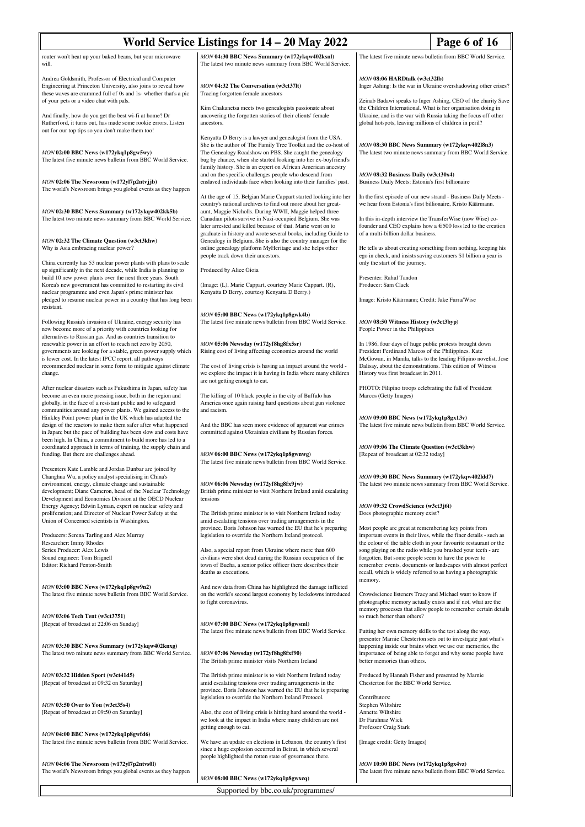| World Service Listings for 14 – 20 May 2022<br>Page 6 of 16                                                                                                                                                                                                   |                                                                                                                                                                                                                                                                                                                              |                                                                                                                                                                                                                                                                       |  |
|---------------------------------------------------------------------------------------------------------------------------------------------------------------------------------------------------------------------------------------------------------------|------------------------------------------------------------------------------------------------------------------------------------------------------------------------------------------------------------------------------------------------------------------------------------------------------------------------------|-----------------------------------------------------------------------------------------------------------------------------------------------------------------------------------------------------------------------------------------------------------------------|--|
| router won't heat up your baked beans, but your microwave<br>will.                                                                                                                                                                                            | MON 04:30 BBC News Summary (w172ykqw402ksnl)<br>The latest two minute news summary from BBC World Service.                                                                                                                                                                                                                   | The latest five minute news bulletin from BBC World Service.                                                                                                                                                                                                          |  |
| Andrea Goldsmith, Professor of Electrical and Computer<br>Engineering at Princeton University, also joins to reveal how<br>these waves are crammed full of 0s and 1s- whether that's a pic<br>of your pets or a video chat with pals.                         | <b>MON 04:32 The Conversation (w3ct37lt)</b><br>Tracing forgotten female ancestors                                                                                                                                                                                                                                           | MON 08:06 HARDtalk (w3ct32lb)<br>Inger Ashing: Is the war in Ukraine overshadowing other crises?<br>Zeinab Badawi speaks to Inger Ashing, CEO of the charity Save                                                                                                     |  |
| And finally, how do you get the best wi-fi at home? Dr<br>Rutherford, it turns out, has made some rookie errors. Listen<br>out for our top tips so you don't make them too!                                                                                   | Kim Chakanetsa meets two genealogists passionate about<br>uncovering the forgotten stories of their clients' female<br>ancestors.                                                                                                                                                                                            | the Children International. What is her organisation doing in<br>Ukraine, and is the war with Russia taking the focus off other<br>global hotspots, leaving millions of children in peril?                                                                            |  |
| MON 02:00 BBC News (w172ykq1p8gw5wy)<br>The latest five minute news bulletin from BBC World Service.                                                                                                                                                          | Kenyatta D Berry is a lawyer and genealogist from the USA.<br>She is the author of The Family Tree Toolkit and the co-host of<br>The Genealogy Roadshow on PBS. She caught the genealogy<br>bug by chance, when she started looking into her ex-boyfriend's<br>family history. She is an expert on African American ancestry | MON 08:30 BBC News Summary (w172ykqw402l8n3)<br>The latest two minute news summary from BBC World Service.                                                                                                                                                            |  |
| MON 02:06 The Newsroom (w172yl7p2ntvjjb)<br>The world's Newsroom brings you global events as they happen                                                                                                                                                      | and on the specific challenges people who descend from<br>enslaved individuals face when looking into their families' past.                                                                                                                                                                                                  | MON 08:32 Business Daily (w3ct30x4)<br>Business Daily Meets: Estonia's first billionaire                                                                                                                                                                              |  |
| MON 02:30 BBC News Summary (w172ykqw402kk5b)<br>The latest two minute news summary from BBC World Service.                                                                                                                                                    | At the age of 15, Belgian Marie Cappart started looking into her<br>country's national archives to find out more about her great-<br>aunt, Maggie Nicholls. During WWII, Maggie helped three<br>Canadian pilots survive in Nazi-occupied Belgium. She was<br>later arrested and killed because of that. Marie went on to     | In the first episode of our new strand - Business Daily Meets -<br>we hear from Estonia's first billionaire, Kristo Käärmann.<br>In this in-depth interview the TransferWise (now Wise) co-<br>founder and CEO explains how a $\epsilon$ 500 loss led to the creation |  |
| MON 02:32 The Climate Question (w3ct3khw)<br>Why is Asia embracing nuclear power?                                                                                                                                                                             | graduate in history and wrote several books, including Guide to<br>Genealogy in Belgium. She is also the country manager for the<br>online genealogy platform MyHeritage and she helps other<br>people track down their ancestors.                                                                                           | of a multi-billion dollar business.<br>He tells us about creating something from nothing, keeping his<br>ego in check, and insists saving customers \$1 billion a year is                                                                                             |  |
| China currently has 53 nuclear power plants with plans to scale<br>up significantly in the next decade, while India is planning to<br>build 10 new power plants over the next three years. South                                                              | Produced by Alice Gioia                                                                                                                                                                                                                                                                                                      | only the start of the journey.<br>Presenter: Rahul Tandon                                                                                                                                                                                                             |  |
| Korea's new government has committed to restarting its civil<br>nuclear programme and even Japan's prime minister has<br>pledged to resume nuclear power in a country that has long been                                                                      | (Image: (L), Marie Cappart, courtesy Marie Cappart. (R),<br>Kenyatta D Berry, courtesy Kenyatta D Berry.)                                                                                                                                                                                                                    | Producer: Sam Clack<br>Image: Kristo Käärmann; Credit: Jake Farra/Wise                                                                                                                                                                                                |  |
| resistant.<br>Following Russia's invasion of Ukraine, energy security has<br>now become more of a priority with countries looking for                                                                                                                         | MON 05:00 BBC News (w172ykq1p8gwk4b)<br>The latest five minute news bulletin from BBC World Service.                                                                                                                                                                                                                         | MON 08:50 Witness History (w3ct3byp)<br>People Power in the Philippines                                                                                                                                                                                               |  |
| alternatives to Russian gas. And as countries transition to<br>renewable power in an effort to reach net zero by 2050,<br>governments are looking for a stable, green power supply which<br>is lower cost. In the latest IPCC report, all pathways            | MON 05:06 Newsday (w172yf8hg8fx5sr)<br>Rising cost of living affecting economies around the world                                                                                                                                                                                                                            | In 1986, four days of huge public protests brought down<br>President Ferdinand Marcos of the Philippines. Kate<br>McGowan, in Manila, talks to the leading Filipino novelist, Jose                                                                                    |  |
| recommended nuclear in some form to mitigate against climate<br>change.                                                                                                                                                                                       | The cost of living crisis is having an impact around the world -<br>we explore the impact it is having in India where many children<br>are not getting enough to eat.                                                                                                                                                        | Dalisay, about the demonstrations. This edition of Witness<br>History was first broadcast in 2011.                                                                                                                                                                    |  |
| After nuclear disasters such as Fukushima in Japan, safety has<br>become an even more pressing issue, both in the region and<br>globally, in the face of a resistant public and to safeguard<br>communities around any power plants. We gained access to the  | The killing of 10 black people in the city of Buffalo has<br>America once again raising hard questions about gun violence<br>and racism.                                                                                                                                                                                     | PHOTO: Filipino troops celebrating the fall of President<br>Marcos (Getty Images)                                                                                                                                                                                     |  |
| Hinkley Point power plant in the UK which has adapted the<br>design of the reactors to make them safer after what happened<br>in Japan; but the pace of building has been slow and costs have<br>been high. In China, a commitment to build more has led to a | And the BBC has seen more evidence of apparent war crimes<br>committed against Ukrainian civilians by Russian forces.                                                                                                                                                                                                        | MON 09:00 BBC News (w172ykq1p8gx13v)<br>The latest five minute news bulletin from BBC World Service.                                                                                                                                                                  |  |
| coordinated approach in terms of training, the supply chain and<br>funding. But there are challenges ahead.<br>Presenters Kate Lamble and Jordan Dunbar are joined by                                                                                         | MON 06:00 BBC News (w172ykq1p8gwnwg)<br>The latest five minute news bulletin from BBC World Service.                                                                                                                                                                                                                         | MON 09:06 The Climate Question (w3ct3khw)<br>[Repeat of broadcast at 02:32 today]                                                                                                                                                                                     |  |
| Changhua Wu, a policy analyst specialising in China's<br>environment, energy, climate change and sustainable<br>development; Diane Cameron, head of the Nuclear Technology<br>Development and Economics Division at the OECD Nuclear                          | MON 06:06 Newsday (w172yf8hg8fx9jw)<br>British prime minister to visit Northern Ireland amid escalating<br>tensions                                                                                                                                                                                                          | MON 09:30 BBC News Summary (w172ykqw402ldd7)<br>The latest two minute news summary from BBC World Service.                                                                                                                                                            |  |
| Energy Agency; Edwin Lyman, expert on nuclear safety and<br>proliferation; and Director of Nuclear Power Safety at the<br>Union of Concerned scientists in Washington.                                                                                        | The British prime minister is to visit Northern Ireland today<br>amid escalating tensions over trading arrangements in the                                                                                                                                                                                                   | MON 09:32 CrowdScience (w3ct3j6t)<br>Does photographic memory exist?                                                                                                                                                                                                  |  |
| Producers: Serena Tarling and Alex Murray<br>Researcher: Immy Rhodes                                                                                                                                                                                          | province. Boris Johnson has warned the EU that he's preparing<br>legislation to override the Northern Ireland protocol.                                                                                                                                                                                                      | Most people are great at remembering key points from<br>important events in their lives, while the finer details - such as<br>the colour of the table cloth in your favourite restaurant or the                                                                       |  |
| Series Producer: Alex Lewis<br>Sound engineer: Tom Brignell<br>Editor: Richard Fenton-Smith                                                                                                                                                                   | Also, a special report from Ukraine where more than 600<br>civilians were shot dead during the Russian occupation of the<br>town of Bucha, a senior police officer there describes their<br>deaths as executions.                                                                                                            | song playing on the radio while you brushed your teeth - are<br>forgotten. But some people seem to have the power to<br>remember events, documents or landscapes with almost perfect<br>recall, which is widely referred to as having a photographic<br>memory.       |  |
| MON 03:00 BBC News (w172ykq1p8gw9n2)<br>The latest five minute news bulletin from BBC World Service.                                                                                                                                                          | And new data from China has highlighted the damage inflicted<br>on the world's second largest economy by lockdowns introduced<br>to fight coronavirus.                                                                                                                                                                       | Crowdscience listeners Tracy and Michael want to know if<br>photographic memory actually exists and if not, what are the<br>memory processes that allow people to remember certain details                                                                            |  |
| MON 03:06 Tech Tent (w3ct3751)<br>[Repeat of broadcast at 22:06 on Sunday]                                                                                                                                                                                    | MON 07:00 BBC News (w172ykq1p8gwsml)<br>The latest five minute news bulletin from BBC World Service.                                                                                                                                                                                                                         | so much better than others?<br>Putting her own memory skills to the test along the way,<br>presenter Marnie Chesterton sets out to investigate just what's                                                                                                            |  |
| MON 03:30 BBC News Summary (w172ykqw402knxg)<br>The latest two minute news summary from BBC World Service.                                                                                                                                                    | MON 07:06 Newsday (w172yf8hg8fxf90)<br>The British prime minister visits Northern Ireland                                                                                                                                                                                                                                    | happening inside our brains when we use our memories, the<br>importance of being able to forget and why some people have<br>better memories than others.                                                                                                              |  |
| MON 03:32 Hidden Sport (w3ct41d5)<br>[Repeat of broadcast at 09:32 on Saturday]                                                                                                                                                                               | The British prime minister is to visit Northern Ireland today<br>amid escalating tensions over trading arrangements in the<br>province. Boris Johnson has warned the EU that he is preparing<br>legislation to override the Northern Ireland Protocol.                                                                       | Produced by Hannah Fisher and presented by Marnie<br>Chesterton for the BBC World Service.<br>Contributors:                                                                                                                                                           |  |
| MON 03:50 Over to You (w3ct35s4)<br>[Repeat of broadcast at 09:50 on Saturday]                                                                                                                                                                                | Also, the cost of living crisis is hitting hard around the world -<br>we look at the impact in India where many children are not                                                                                                                                                                                             | Stephen Wiltshire<br>Annette Wiltshire<br>Dr Farahnaz Wick                                                                                                                                                                                                            |  |
| MON 04:00 BBC News (w172ykq1p8gwfd6)<br>The latest five minute news bulletin from BBC World Service.                                                                                                                                                          | getting enough to eat.<br>We have an update on elections in Lebanon, the country's first<br>since a huge explosion occurred in Beirut, in which several                                                                                                                                                                      | Professor Craig Stark<br>[Image credit: Getty Images]                                                                                                                                                                                                                 |  |
| MON 04:06 The Newsroom (w172yl7p2ntvs0l)<br>The world's Newsroom brings you global events as they happen                                                                                                                                                      | people highlighted the rotten state of governance there.<br>MON 08:00 BBC News (w172ykq1p8gwxcq)                                                                                                                                                                                                                             | MON 10:00 BBC News (w172ykq1p8gx4vz)<br>The latest five minute news bulletin from BBC World Service.                                                                                                                                                                  |  |
| Supported by bbc.co.uk/programmes/                                                                                                                                                                                                                            |                                                                                                                                                                                                                                                                                                                              |                                                                                                                                                                                                                                                                       |  |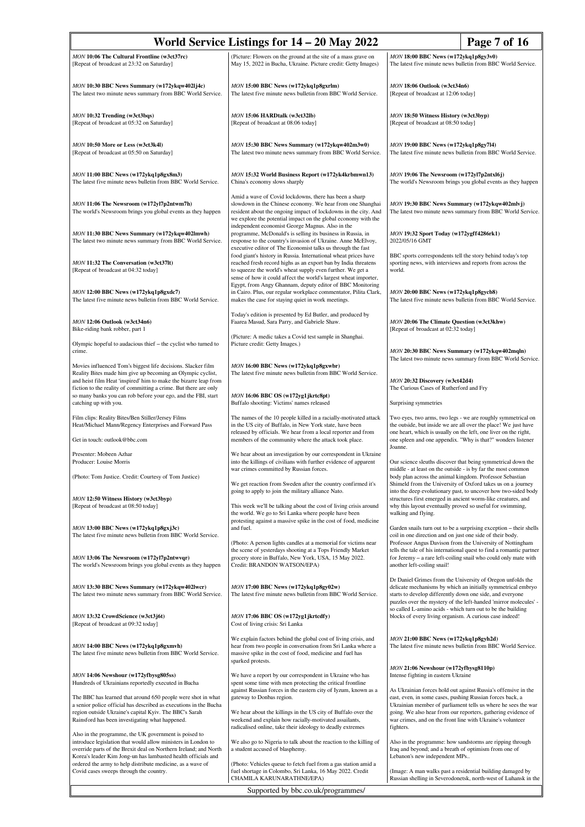| World Service Listings for 14 – 20 May 2022                                                                                                                                                                                                                                                                               | Page 7 of 16                                                                                                                                                                                                                                                                          |                                                                                                                                                                                                                                                                                                                                          |
|---------------------------------------------------------------------------------------------------------------------------------------------------------------------------------------------------------------------------------------------------------------------------------------------------------------------------|---------------------------------------------------------------------------------------------------------------------------------------------------------------------------------------------------------------------------------------------------------------------------------------|------------------------------------------------------------------------------------------------------------------------------------------------------------------------------------------------------------------------------------------------------------------------------------------------------------------------------------------|
| MON 10:06 The Cultural Frontline (w3ct37rc)<br>[Repeat of broadcast at 23:32 on Saturday]                                                                                                                                                                                                                                 | (Picture: Flowers on the ground at the site of a mass grave on<br>May 15, 2022 in Bucha, Ukraine. Picture credit: Getty Images)                                                                                                                                                       | MON 18:00 BBC News (w172ykq1p8gy3v0)<br>The latest five minute news bulletin from BBC World Service.                                                                                                                                                                                                                                     |
| MON 10:30 BBC News Summary (w172ykqw4021j4c)<br>The latest two minute news summary from BBC World Service.                                                                                                                                                                                                                | MON 15:00 BBC News (w172ykq1p8gxrlm)<br>The latest five minute news bulletin from BBC World Service.                                                                                                                                                                                  | MON 18:06 Outlook (w3ct34n6)<br>[Repeat of broadcast at 12:06 today]                                                                                                                                                                                                                                                                     |
| MON 10:32 Trending (w3ct3bqs)<br>[Repeat of broadcast at 05:32 on Saturday]                                                                                                                                                                                                                                               | MON 15:06 HARDtalk (w3ct32lb)<br>[Repeat of broadcast at 08:06 today]                                                                                                                                                                                                                 | MON 18:50 Witness History (w3ct3byp)<br>[Repeat of broadcast at 08:50 today]                                                                                                                                                                                                                                                             |
| MON 10:50 More or Less (w3ct3k4l)<br>[Repeat of broadcast at 05:50 on Saturday]                                                                                                                                                                                                                                           | MON 15:30 BBC News Summary (w172ykqw402m3w0)<br>The latest two minute news summary from BBC World Service.                                                                                                                                                                            | MON 19:00 BBC News (w172ykq1p8gy7l4)<br>The latest five minute news bulletin from BBC World Service.                                                                                                                                                                                                                                     |
| MON 11:00 BBC News (w172ykq1p8gx8m3)<br>The latest five minute news bulletin from BBC World Service.                                                                                                                                                                                                                      | MON 15:32 World Business Report (w172yk4krbmwn13)<br>China's economy slows sharply                                                                                                                                                                                                    | MON 19:06 The Newsroom (w172yl7p2ntxl6j)<br>The world's Newsroom brings you global events as they happen                                                                                                                                                                                                                                 |
| MON 11:06 The Newsroom (w172yl7p2ntwm7h)<br>The world's Newsroom brings you global events as they happen                                                                                                                                                                                                                  | Amid a wave of Covid lockdowns, there has been a sharp<br>slowdown in the Chinese economy. We hear from one Shanghai<br>resident about the ongoing impact of lockdowns in the city. And<br>we explore the potential impact on the global economy with the                             | MON 19:30 BBC News Summary (w172ykqw402mlvj)<br>The latest two minute news summary from BBC World Service.                                                                                                                                                                                                                               |
| MON 11:30 BBC News Summary (w172ykqw402lmwh)<br>The latest two minute news summary from BBC World Service.                                                                                                                                                                                                                | independent economist George Magnus. Also in the<br>programme, McDonald's is selling its business in Russia, in<br>response to the country's invasion of Ukraine. Anne McElvoy,<br>executive editor of The Economist talks us through the fast                                        | MON 19:32 Sport Today (w172ygff4286rk1)<br>2022/05/16 GMT                                                                                                                                                                                                                                                                                |
| MON 11:32 The Conversation (w3ct37lt)<br>[Repeat of broadcast at 04:32 today]                                                                                                                                                                                                                                             | food giant's history in Russia. International wheat prices have<br>reached fresh record highs as an export ban by India threatens<br>to squeeze the world's wheat supply even further. We get a<br>sense of how it could affect the world's largest wheat importer,                   | BBC sports correspondents tell the story behind today's top<br>sporting news, with interviews and reports from across the<br>world.                                                                                                                                                                                                      |
| MON 12:00 BBC News (w172ykq1p8gxdc7)<br>The latest five minute news bulletin from BBC World Service.                                                                                                                                                                                                                      | Egypt, from Angy Ghannam, deputy editor of BBC Monitoring<br>in Cairo. Plus, our regular workplace commentator, Pilita Clark,<br>makes the case for staying quiet in work meetings.                                                                                                   | MON 20:00 BBC News (w172ykq1p8gycb8)<br>The latest five minute news bulletin from BBC World Service.                                                                                                                                                                                                                                     |
| MON 12:06 Outlook (w3ct34n6)<br>Bike-riding bank robber, part 1                                                                                                                                                                                                                                                           | Today's edition is presented by Ed Butler, and produced by<br>Faarea Masud, Sara Parry, and Gabriele Shaw.<br>(Picture: A medic takes a Covid test sample in Shanghai.                                                                                                                | MON 20:06 The Climate Question (w3ct3khw)<br>[Repeat of broadcast at 02:32 today]                                                                                                                                                                                                                                                        |
| Olympic hopeful to audacious thief - the cyclist who turned to<br>crime.                                                                                                                                                                                                                                                  | Picture credit: Getty Images.)                                                                                                                                                                                                                                                        | MON 20:30 BBC News Summary (w172ykqw402mqln)                                                                                                                                                                                                                                                                                             |
| Movies influenced Tom's biggest life decisions. Slacker film<br>Reality Bites made him give up becoming an Olympic cyclist,<br>and heist film Heat 'inspired' him to make the bizarre leap from                                                                                                                           | MON 16:00 BBC News (w172ykq1p8gxwbr)<br>The latest five minute news bulletin from BBC World Service.                                                                                                                                                                                  | The latest two minute news summary from BBC World Service.<br><b>MON 20:32 Discovery (w3ct42d4)</b>                                                                                                                                                                                                                                      |
| fiction to the reality of committing a crime. But there are only<br>so many banks you can rob before your ego, and the FBI, start<br>catching up with you.                                                                                                                                                                | MON 16:06 BBC OS (w172yg1jkrtc8pt)<br>Buffalo shooting: Victims' names released                                                                                                                                                                                                       | The Curious Cases of Rutherford and Fry<br>Surprising symmetries                                                                                                                                                                                                                                                                         |
| Film clips: Reality Bites/Ben Stiller/Jersey Films<br>Heat/Michael Mann/Regency Enterprises and Forward Pass                                                                                                                                                                                                              | The names of the 10 people killed in a racially-motivated attack<br>in the US city of Buffalo, in New York state, have been<br>released by officials. We hear from a local reporter and from                                                                                          | Two eyes, two arms, two legs - we are roughly symmetrical on<br>the outside, but inside we are all over the place! We just have<br>one heart, which is usually on the left, one liver on the right,                                                                                                                                      |
| Get in touch: outlook@bbc.com<br>Presenter: Mobeen Azhar                                                                                                                                                                                                                                                                  | members of the community where the attack took place.<br>We hear about an investigation by our correspondent in Ukraine                                                                                                                                                               | one spleen and one appendix. "Why is that?" wonders listener<br>Joanne.                                                                                                                                                                                                                                                                  |
| Producer: Louise Morris                                                                                                                                                                                                                                                                                                   | into the killings of civilians with further evidence of apparent<br>war crimes committed by Russian forces.                                                                                                                                                                           | Our science sleuths discover that being symmetrical down the<br>middle - at least on the outside - is by far the most common                                                                                                                                                                                                             |
| (Photo: Tom Justice. Credit: Courtesy of Tom Justice)<br>MON 12:50 Witness History (w3ct3byp)                                                                                                                                                                                                                             | We get reaction from Sweden after the country confirmed it's<br>going to apply to join the military alliance Nato.                                                                                                                                                                    | body plan across the animal kingdom. Professor Sebastian<br>Shimeld from the University of Oxford takes us on a journey<br>into the deep evolutionary past, to uncover how two-sided body<br>structures first emerged in ancient worm-like creatures, and                                                                                |
| [Repeat of broadcast at 08:50 today]                                                                                                                                                                                                                                                                                      | This week we'll be talking about the cost of living crisis around<br>the world. We go to Sri Lanka where people have been<br>protesting against a massive spike in the cost of food, medicine                                                                                         | why this layout eventually proved so useful for swimming,<br>walking and flying.                                                                                                                                                                                                                                                         |
| MON 13:00 BBC News (w172ykq1p8gxj3c)<br>The latest five minute news bulletin from BBC World Service.                                                                                                                                                                                                                      | and fuel.<br>(Photo: A person lights candles at a memorial for victims near<br>the scene of yesterdays shooting at a Tops Friendly Market                                                                                                                                             | Garden snails turn out to be a surprising exception - their shells<br>coil in one direction and on just one side of their body.<br>Professor Angus Davison from the University of Nottingham<br>tells the tale of his international quest to find a romantic partner                                                                     |
| MON 13:06 The Newsroom (w172yl7p2ntwvqr)<br>The world's Newsroom brings you global events as they happen                                                                                                                                                                                                                  | grocery store in Buffalo, New York, USA, 15 May 2022.<br>Credit: BRANDON WATSON/EPA)                                                                                                                                                                                                  | for Jeremy - a rare left-coiling snail who could only mate with<br>another left-coiling snail!                                                                                                                                                                                                                                           |
| MON 13:30 BBC News Summary (w172ykqw402lwcr)<br>The latest two minute news summary from BBC World Service.                                                                                                                                                                                                                | MON 17:00 BBC News (w172ykq1p8gy02w)<br>The latest five minute news bulletin from BBC World Service.                                                                                                                                                                                  | Dr Daniel Grimes from the University of Oregon unfolds the<br>delicate mechanisms by which an initially symmetrical embryo<br>starts to develop differently down one side, and everyone<br>puzzles over the mystery of the left-handed 'mirror molecules' -                                                                              |
| MON 13:32 CrowdScience (w3ct3j6t)<br>[Repeat of broadcast at 09:32 today]                                                                                                                                                                                                                                                 | MON 17:06 BBC OS (w172yg1jkrtcdfy)<br>Cost of living crisis: Sri Lanka                                                                                                                                                                                                                | so called L-amino acids - which turn out to be the building<br>blocks of every living organism. A curious case indeed!                                                                                                                                                                                                                   |
| MON 14:00 BBC News (w172ykq1p8gxmvh)<br>The latest five minute news bulletin from BBC World Service.                                                                                                                                                                                                                      | We explain factors behind the global cost of living crisis, and<br>hear from two people in conversation from Sri Lanka where a<br>massive spike in the cost of food, medicine and fuel has<br>sparked protests.                                                                       | MON 21:00 BBC News (w172ykq1p8gyh2d)<br>The latest five minute news bulletin from BBC World Service.                                                                                                                                                                                                                                     |
| MON 14:06 Newshour (w172yfbysg805ss)<br>Hundreds of Ukrainians reportedly executed in Bucha                                                                                                                                                                                                                               | We have a report by our correspondent in Ukraine who has<br>spent some time with men protecting the critical frontline                                                                                                                                                                | MON 21:06 Newshour (w172yfbysg8110p)<br>Intense fighting in eastern Ukraine                                                                                                                                                                                                                                                              |
| The BBC has learned that around 650 people were shot in what<br>a senior police official has described as executions in the Bucha<br>region outside Ukraine's capital Kyiv. The BBC's Sarah<br>Rainsford has been investigating what happened.                                                                            | against Russian forces in the eastern city of Iyzum, known as a<br>gateway to Donbas region.<br>We hear about the killings in the US city of Buffalo over the<br>weekend and explain how racially-motivated assailants,<br>radicalised online, take their ideology to deadly extremes | As Ukrainian forces hold out against Russia's offensive in the<br>east, even, in some cases, pushing Russian forces back, a<br>Ukrainian member of parliament tells us where he sees the war<br>going. We also hear from our reporters, gathering evidence of<br>war crimes, and on the front line with Ukraine's volunteer<br>fighters. |
| Also in the programme, the UK government is poised to<br>introduce legislation that would allow ministers in London to<br>override parts of the Brexit deal on Northern Ireland; and North<br>Korea's leader Kim Jong-un has lambasted health officials and<br>ordered the army to help distribute medicine, as a wave of | We also go to Nigeria to talk about the reaction to the killing of<br>a student accused of blasphemy.<br>(Photo: Vehicles queue to fetch fuel from a gas station amid a                                                                                                               | Also in the programme: how sandstorms are ripping through<br>Iraq and beyond; and a breath of optimism from one of<br>Lebanon's new independent MPs                                                                                                                                                                                      |
| Covid cases sweeps through the country.                                                                                                                                                                                                                                                                                   | fuel shortage in Colombo, Sri Lanka, 16 May 2022. Credit<br>CHAMILA KARUNARATHNE/EPA)                                                                                                                                                                                                 | (Image: A man walks past a residential building damaged by<br>Russian shelling in Severodonetsk, north-west of Luhansk in the                                                                                                                                                                                                            |

Supported by bbc.co.uk/programmes/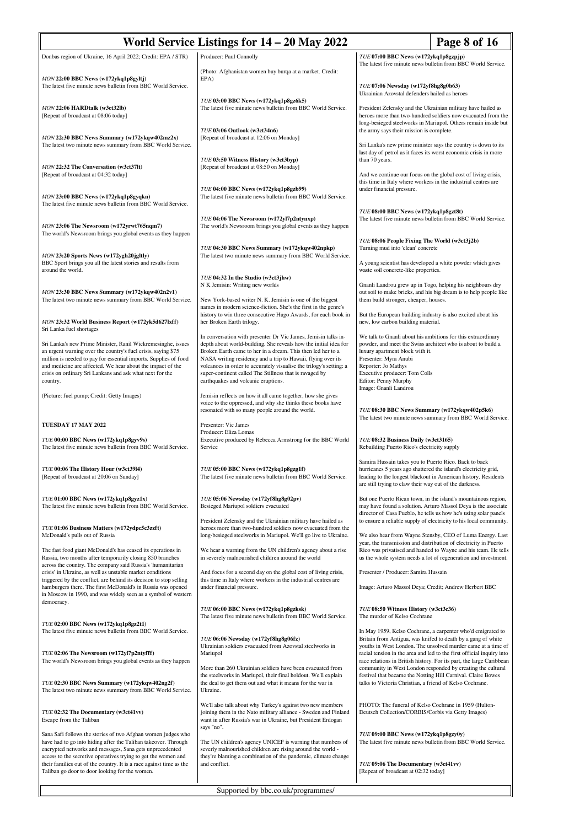| World Service Listings for 14 – 20 May 2022                                                                                                                                                                                                                                                                                             |                                                                                                                                                                                                                                                                                                                                                                          |                                                                                                                                                                                                          | Page 8 of 16                                                                                                                                                                                                                                                         |
|-----------------------------------------------------------------------------------------------------------------------------------------------------------------------------------------------------------------------------------------------------------------------------------------------------------------------------------------|--------------------------------------------------------------------------------------------------------------------------------------------------------------------------------------------------------------------------------------------------------------------------------------------------------------------------------------------------------------------------|----------------------------------------------------------------------------------------------------------------------------------------------------------------------------------------------------------|----------------------------------------------------------------------------------------------------------------------------------------------------------------------------------------------------------------------------------------------------------------------|
| Donbas region of Ukraine, 16 April 2022; Credit: EPA / STR)                                                                                                                                                                                                                                                                             | Producer: Paul Connolly                                                                                                                                                                                                                                                                                                                                                  | TUE 07:00 BBC News (w172ykq1p8gzpjp)                                                                                                                                                                     |                                                                                                                                                                                                                                                                      |
|                                                                                                                                                                                                                                                                                                                                         | (Photo: Afghanistan women buy burqa at a market. Credit:                                                                                                                                                                                                                                                                                                                 |                                                                                                                                                                                                          | The latest five minute news bulletin from BBC World Service.                                                                                                                                                                                                         |
| MON 22:00 BBC News (w172ykq1p8gyltj)<br>The latest five minute news bulletin from BBC World Service.                                                                                                                                                                                                                                    | EPA)                                                                                                                                                                                                                                                                                                                                                                     | TUE 07:06 Newsday (w172yf8hg8g0b63)<br>Ukrainian Azovstal defenders hailed as heroes                                                                                                                     |                                                                                                                                                                                                                                                                      |
| MON 22:06 HARDtalk (w3ct32lb)<br>[Repeat of broadcast at 08:06 today]                                                                                                                                                                                                                                                                   | TUE 03:00 BBC News (w172ykq1p8gz6k5)<br>The latest five minute news bulletin from BBC World Service.<br>TUE 03:06 Outlook (w3ct34n6)                                                                                                                                                                                                                                     | the army says their mission is complete.                                                                                                                                                                 | President Zelensky and the Ukrainian military have hailed as<br>heroes more than two-hundred soldiers now evacuated from the<br>long-besieged steelworks in Mariupol. Others remain inside but                                                                       |
| MON 22:30 BBC News Summary (w172ykqw402mz2x)<br>The latest two minute news summary from BBC World Service.                                                                                                                                                                                                                              | [Repeat of broadcast at 12:06 on Monday]                                                                                                                                                                                                                                                                                                                                 |                                                                                                                                                                                                          | Sri Lanka's new prime minister says the country is down to its<br>last day of petrol as it faces its worst economic crisis in more                                                                                                                                   |
| MON 22:32 The Conversation (w3ct37lt)<br>[Repeat of broadcast at 04:32 today]                                                                                                                                                                                                                                                           | TUE 03:50 Witness History (w3ct3byp)<br>[Repeat of broadcast at 08:50 on Monday]                                                                                                                                                                                                                                                                                         | than 70 years.<br>this time in Italy where workers in the industrial centres are                                                                                                                         | And we continue our focus on the global cost of living crisis,                                                                                                                                                                                                       |
| MON 23:00 BBC News (w172ykq1p8gyqkn)<br>The latest five minute news bulletin from BBC World Service.                                                                                                                                                                                                                                    | TUE 04:00 BBC News (w172ykq1p8gzb99)<br>The latest five minute news bulletin from BBC World Service.                                                                                                                                                                                                                                                                     | under financial pressure.                                                                                                                                                                                |                                                                                                                                                                                                                                                                      |
| MON 23:06 The Newsroom (w172yrwt765nqm7)<br>The world's Newsroom brings you global events as they happen                                                                                                                                                                                                                                | TUE 04:06 The Newsroom (w172yl7p2ntynxp)<br>The world's Newsroom brings you global events as they happen                                                                                                                                                                                                                                                                 | TUE 08:00 BBC News (w172ykq1p8gzt8t)                                                                                                                                                                     | The latest five minute news bulletin from BBC World Service.                                                                                                                                                                                                         |
| MON 23:20 Sports News (w172ygh20jgltly)<br>BBC Sport brings you all the latest stories and results from                                                                                                                                                                                                                                 | TUE 04:30 BBC News Summary (w172ykqw402npkp)<br>The latest two minute news summary from BBC World Service.                                                                                                                                                                                                                                                               | TUE 08:06 People Fixing The World (w3ct3j2b)<br>Turning mud into 'clean' concrete<br>A young scientist has developed a white powder which gives                                                          |                                                                                                                                                                                                                                                                      |
| around the world.                                                                                                                                                                                                                                                                                                                       | TUE 04:32 In the Studio (w3ct3jhw)<br>N K Jemisin: Writing new worlds                                                                                                                                                                                                                                                                                                    | waste soil concrete-like properties.                                                                                                                                                                     | Gnanli Landrou grew up in Togo, helping his neighbours dry                                                                                                                                                                                                           |
| MON 23:30 BBC News Summary (w172ykqw402n2v1)<br>The latest two minute news summary from BBC World Service.                                                                                                                                                                                                                              | New York-based writer N. K. Jemisin is one of the biggest<br>names in modern science-fiction. She's the first in the genre's<br>history to win three consecutive Hugo Awards, for each book in                                                                                                                                                                           | them build stronger, cheaper, houses.<br>But the European building industry is also excited about his                                                                                                    | out soil to make bricks, and his big dream is to help people like                                                                                                                                                                                                    |
| MON 23:32 World Business Report (w172yk5d6271xff)<br>Sri Lanka fuel shortages                                                                                                                                                                                                                                                           | her Broken Earth trilogy.<br>In conversation with presenter Dr Vic James, Jemisin talks in-                                                                                                                                                                                                                                                                              | new, low carbon building material.<br>We talk to Gnanli about his ambitions for this extraordinary                                                                                                       |                                                                                                                                                                                                                                                                      |
| Sri Lanka's new Prime Minister, Ranil Wickremesinghe, issues<br>an urgent warning over the country's fuel crisis, saying \$75<br>million is needed to pay for essential imports. Supplies of food<br>and medicine are affected. We hear about the impact of the<br>crisis on ordinary Sri Lankans and ask what next for the<br>country. | depth about world-building. She reveals how the initial idea for<br>Broken Earth came to her in a dream. This then led her to a<br>NASA writing residency and a trip to Hawaii, flying over its<br>volcanoes in order to accurately visualise the trilogy's setting: a<br>super-continent called The Stillness that is ravaged by<br>earthquakes and volcanic eruptions. | powder, and meet the Swiss architect who is about to build a<br>luxury apartment block with it.<br>Presenter: Myra Anubi<br>Reporter: Jo Mathys<br>Executive producer: Tom Colls<br>Editor: Penny Murphy |                                                                                                                                                                                                                                                                      |
|                                                                                                                                                                                                                                                                                                                                         |                                                                                                                                                                                                                                                                                                                                                                          | Image: Gnanli Landrou                                                                                                                                                                                    |                                                                                                                                                                                                                                                                      |
| (Picture: fuel pump; Credit: Getty Images)                                                                                                                                                                                                                                                                                              | Jemisin reflects on how it all came together, how she gives<br>voice to the oppressed, and why she thinks these books have<br>resonated with so many people around the world.                                                                                                                                                                                            | TUE 08:30 BBC News Summary (w172ykqw402p5k6)                                                                                                                                                             | The latest two minute news summary from BBC World Service.                                                                                                                                                                                                           |
| TUESDAY 17 MAY 2022                                                                                                                                                                                                                                                                                                                     | Presenter: Vic James<br>Producer: Eliza Lomas                                                                                                                                                                                                                                                                                                                            |                                                                                                                                                                                                          |                                                                                                                                                                                                                                                                      |
| TUE 00:00 BBC News (w172ykq1p8gyv9s)<br>The latest five minute news bulletin from BBC World Service.                                                                                                                                                                                                                                    | Executive produced by Rebecca Armstrong for the BBC World<br>Service                                                                                                                                                                                                                                                                                                     | TUE 08:32 Business Daily (w3ct3165)<br>Rebuilding Puerto Rico's electricity supply                                                                                                                       |                                                                                                                                                                                                                                                                      |
| TUE 00:06 The History Hour (w3ct3914)<br>[Repeat of broadcast at 20:06 on Sunday]                                                                                                                                                                                                                                                       | TUE 05:00 BBC News (w172ykq1p8gzg1f)<br>The latest five minute news bulletin from BBC World Service.                                                                                                                                                                                                                                                                     | Samira Hussain takes you to Puerto Rico. Back to back<br>hurricanes 5 years ago shattered the island's electricity grid,<br>are still trying to claw their way out of the darkness.                      | leading to the longest blackout in American history. Residents                                                                                                                                                                                                       |
| TUE 01:00 BBC News (w172ykq1p8gyz1x)<br>The latest five minute news bulletin from BBC World Service.                                                                                                                                                                                                                                    | TUE 05:06 Newsday (w172yf8hg8g02pv)<br>Besieged Mariupol soldiers evacuated                                                                                                                                                                                                                                                                                              |                                                                                                                                                                                                          | But one Puerto Rican town, in the island's mountainous region,<br>may have found a solution. Arturo Massol Deya is the associate<br>director of Casa Pueblo, he tells us how he's using solar panels                                                                 |
| TUE 01:06 Business Matters (w172ydpc5c3zzft)<br>McDonald's pulls out of Russia                                                                                                                                                                                                                                                          | President Zelensky and the Ukrainian military have hailed as<br>heroes more than two-hundred soldiers now evacuated from the<br>long-besieged steelworks in Mariupol. We'll go live to Ukraine.                                                                                                                                                                          |                                                                                                                                                                                                          | to ensure a reliable supply of electricity to his local community.<br>We also hear from Wayne Stensby, CEO of Luma Energy. Last<br>year, the transmission and distribution of electricity in Puerto                                                                  |
| The fast food giant McDonald's has ceased its operations in<br>Russia, two months after temporarily closing 850 branches<br>across the country. The company said Russia's 'humanitarian                                                                                                                                                 | We hear a warning from the UN children's agency about a rise<br>in severely malnourished children around the world                                                                                                                                                                                                                                                       |                                                                                                                                                                                                          | Rico was privatised and handed to Wayne and his team. He tells<br>us the whole system needs a lot of regeneration and investment.                                                                                                                                    |
| crisis' in Ukraine, as well as unstable market conditions<br>triggered by the conflict, are behind its decision to stop selling<br>hamburgers there. The first McDonald's in Russia was opened<br>in Moscow in 1990, and was widely seen as a symbol of western                                                                         | And focus for a second day on the global cost of living crisis,<br>this time in Italy where workers in the industrial centres are<br>under financial pressure.                                                                                                                                                                                                           | Presenter / Producer: Samira Hussain<br>Image: Arturo Massol Deya; Credit; Andrew Herbert BBC                                                                                                            |                                                                                                                                                                                                                                                                      |
| democracy.<br>TUE 02:00 BBC News (w172ykq1p8gz2t1)                                                                                                                                                                                                                                                                                      | TUE 06:00 BBC News (w172ykq1p8gzksk)<br>The latest five minute news bulletin from BBC World Service.                                                                                                                                                                                                                                                                     | TUE 08:50 Witness History (w3ct3c36)<br>The murder of Kelso Cochrane                                                                                                                                     |                                                                                                                                                                                                                                                                      |
| The latest five minute news bulletin from BBC World Service.<br>TUE 02:06 The Newsroom (w172yl7p2ntyfff)                                                                                                                                                                                                                                | TUE 06:06 Newsday (w172yf8hg8g06fz)<br>Ukrainian soldiers evacuated from Azovstal steelworks in<br>Mariupol                                                                                                                                                                                                                                                              |                                                                                                                                                                                                          | In May 1959, Kelso Cochrane, a carpenter who'd emigrated to<br>Britain from Antigua, was knifed to death by a gang of white<br>youths in West London. The unsolved murder came at a time of<br>racial tension in the area and led to the first official inquiry into |
| The world's Newsroom brings you global events as they happen<br>TUE 02:30 BBC News Summary (w172ykqw402ng2f)<br>The latest two minute news summary from BBC World Service.                                                                                                                                                              | More than 260 Ukrainian soldiers have been evacuated from<br>the steelworks in Mariupol, their final holdout. We'll explain<br>the deal to get them out and what it means for the war in<br>Ukraine.                                                                                                                                                                     | festival that became the Notting Hill Carnival. Claire Bowes<br>talks to Victoria Christian, a friend of Kelso Cochrane.                                                                                 | race relations in British history. For its part, the large Caribbean<br>community in West London responded by creating the cultural                                                                                                                                  |
| TUE 02:32 The Documentary (w3ct41vv)<br>Escape from the Taliban                                                                                                                                                                                                                                                                         | We'll also talk about why Turkey's against two new members<br>joining them in the Nato military alliance - Sweden and Finland<br>want in after Russia's war in Ukraine, but President Erdogan<br>says "no".                                                                                                                                                              | PHOTO: The funeral of Kelso Cochrane in 1959 (Hulton-<br>Deutsch Collection/CORBIS/Corbis via Getty Images)                                                                                              |                                                                                                                                                                                                                                                                      |
| Sana Safi follows the stories of two Afghan women judges who<br>have had to go into hiding after the Taliban takeover. Through<br>encrypted networks and messages, Sana gets unprecedented<br>access to the secretive operatives trying to get the women and                                                                            | The UN children's agency UNICEF is warning that numbers of<br>severly malnourished children are rising around the world -<br>they're blaming a combination of the pandemic, climate change                                                                                                                                                                               | TUE 09:00 BBC News (w172ykq1p8gzy0y)                                                                                                                                                                     | The latest five minute news bulletin from BBC World Service.                                                                                                                                                                                                         |
| their families out of the country. It is a race against time as the<br>Taliban go door to door looking for the women.                                                                                                                                                                                                                   | and conflict.                                                                                                                                                                                                                                                                                                                                                            | TUE 09:06 The Documentary (w3ct41vv)<br>[Repeat of broadcast at 02:32 today]                                                                                                                             |                                                                                                                                                                                                                                                                      |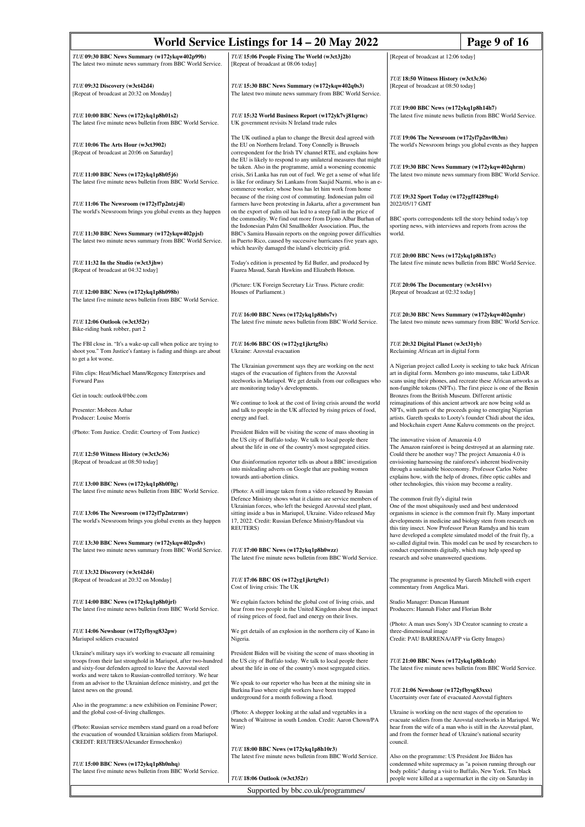| TUE 09:30 BBC News Summary (w172ykqw402p99b)<br>TUE 15:06 People Fixing The World (w3ct3j2b)<br>[Repeat of broadcast at 12:06 today]<br>The latest two minute news summary from BBC World Service.<br>[Repeat of broadcast at 08:06 today]<br>TUE 18:50 Witness History (w3ct3c36)<br>[Repeat of broadcast at 08:50 today]<br>TUE 09:32 Discovery (w3ct42d4)<br>TUE 15:30 BBC News Summary (w172ykqw402q0s3)<br>[Repeat of broadcast at 20:32 on Monday]<br>The latest two minute news summary from BBC World Service.<br>TUE 19:00 BBC News (w172ykq1p8h14h7)<br>TUE 10:00 BBC News (w172ykq1p8h01s2)<br>TUE 15:32 World Business Report (w172yk7vj81qrnc)<br>The latest five minute news bulletin from BBC World Service.<br>The latest five minute news bulletin from BBC World Service.<br>UK government revisits N Ireland trade rules<br>The UK outlined a plan to change the Brexit deal agreed with<br>TUE 19:06 The Newsroom (w172yl7p2nv0h3m)<br>TUE 10:06 The Arts Hour (w3ct3902)<br>the EU on Northern Ireland. Tony Connelly is Brussels<br>The world's Newsroom brings you global events as they happen<br>[Repeat of broadcast at 20:06 on Saturday]<br>correspondent for the Irish TV channel RTE, and explains how<br>the EU is likely to respond to any unilateral measures that might<br>TUE 19:30 BBC News Summary (w172ykqw402qhrm)<br>be taken. Also in the programme, amid a worsening economic<br>crisis, Sri Lanka has run out of fuel. We get a sense of what life<br>TUE 11:00 BBC News (w172ykq1p8h05j6)<br>The latest five minute news bulletin from BBC World Service.<br>is like for ordinary Sri Lankans from Saajid Nazmi, who is an e-<br>commerce worker, whose boss has let him work from home<br>TUE 19:32 Sport Today (w172ygff4289ng4)<br>because of the rising cost of commuting. Indonesian palm oil<br>2022/05/17 GMT<br>TUE 11:06 The Newsroom (w172yl7p2ntzj4l)<br>farmers have been protesting in Jakarta, after a government ban<br>The world's Newsroom brings you global events as they happen<br>on the export of palm oil has led to a steep fall in the price of<br>the commodity. We find out more from Djono Albar Burhan of<br>BBC sports correspondents tell the story behind today's top<br>sporting news, with interviews and reports from across the<br>the Indonesian Palm Oil Smallholder Association. Plus, the<br>TUE 11:30 BBC News Summary (w172ykqw402pjsl)<br>BBC's Samira Hussain reports on the ongoing power difficulties<br>world.<br>in Puerto Rico, caused by successive hurricanes five years ago,<br>The latest two minute news summary from BBC World Service.<br>which heavily damaged the island's electricity grid.<br>TUE 20:00 BBC News (w172ykq1p8h187c)<br>The latest five minute news bulletin from BBC World Service.<br>TUE 11:32 In the Studio (w3ct3jhw)<br>Today's edition is presented by Ed Butler, and produced by<br>Faarea Masud, Sarah Hawkins and Elizabeth Hotson.<br>[Repeat of broadcast at 04:32 today]<br>TUE 20:06 The Documentary (w3ct41vv)<br>(Picture: UK Foreign Secretary Liz Truss. Picture credit:<br>TUE 12:00 BBC News (w172ykq1p8h098b)<br>Houses of Parliament.)<br>[Repeat of broadcast at 02:32 today]<br>The latest five minute news bulletin from BBC World Service.<br>TUE 16:00 BBC News (w172ykq1p8h0s7v)<br>TUE 20:30 BBC News Summary (w172ykqw402qmhr)<br>The latest five minute news bulletin from BBC World Service.<br>TUE 12:06 Outlook (w3ct352r)<br>Bike-riding bank robber, part 2<br>The FBI close in. "It's a wake-up call when police are trying to<br>TUE 16:06 BBC OS (w172yg1jkrtg5lx)<br>TUE 20:32 Digital Planet (w3ct31yb)<br>shoot you." Tom Justice's fantasy is fading and things are about<br>Ukraine: Azovstal evacuation<br>Reclaiming African art in digital form<br>to get a lot worse.<br>The Ukrainian government says they are working on the next<br>Film clips: Heat/Michael Mann/Regency Enterprises and<br>stages of the evacuation of fighters from the Azovstal<br>art in digital form. Members go into museums, take LiDAR<br>Forward Pass<br>steelworks in Mariupol. We get details from our colleagues who<br>are monitoring today's developments.<br>Get in touch: outlook@bbc.com<br>Bronzes from the British Museum. Different artistic<br>We continue to look at the cost of living crisis around the world<br>reimaginations of this ancient artwork are now being sold as<br>and talk to people in the UK affected by rising prices of food,<br>Presenter: Mobeen Azhar<br>NFTs, with parts of the proceeds going to emerging Nigerian<br>Producer: Louise Morris<br>energy and fuel.<br>artists. Gareth speaks to Looty's founder Chidi about the idea,<br>and blockchain expert Anne Kaluvu comments on the project.<br>President Biden will be visiting the scene of mass shooting in<br>(Photo: Tom Justice. Credit: Courtesy of Tom Justice)<br>the US city of Buffalo today. We talk to local people there<br>The innovative vision of Amazonia 4.0<br>The Amazon rainforest is being destroyed at an alarming rate.<br>about the life in one of the country's most segregated cities.<br>TUE 12:50 Witness History (w3ct3c36)<br>Could there be another way? The project Amazonia 4.0 is<br>[Repeat of broadcast at 08:50 today]<br>Our disinformation reporter tells us about a BBC investigation<br>envisioning harnessing the rainforest's inherent biodiversity<br>into misleading adverts on Google that are pushing women<br>through a sustainable bioeconomy. Professor Carlos Nobre<br>explains how, with the help of drones, fibre optic cables and<br>towards anti-abortion clinics.<br>TUE 13:00 BBC News (w172ykq1p8h0f0g)<br>other technologies, this vision may become a reality.<br>The latest five minute news bulletin from BBC World Service.<br>(Photo: A still image taken from a video released by Russian<br>Defence Ministry shows what it claims are service members of<br>The common fruit fly's digital twin<br>Ukrainian forces, who left the besieged Azovstal steel plant,<br>One of the most ubiquitously used and best understood<br>TUE 13:06 The Newsroom (w172yl7p2ntzrmv)<br>sitting inside a bus in Mariupol, Ukraine. Video released May<br>organisms in science is the common fruit fly. Many important<br>The world's Newsroom brings you global events as they happen<br>17, 2022. Credit: Russian Defence Ministry/Handout via<br>developments in medicine and biology stem from research on<br>this tiny insect. Now Professor Pavan Ramdya and his team<br><b>REUTERS</b> )<br>have developed a complete simulated model of the fruit fly, a<br>TUE 13:30 BBC News Summary (w172ykqw402ps8v)<br>so-called digital twin. This model can be used by researchers to<br>The latest two minute news summary from BBC World Service.<br>TUE 17:00 BBC News (w172ykq1p8h0wzz)<br>conduct experiments digitally, which may help speed up<br>The latest five minute news bulletin from BBC World Service.<br>research and solve unanswered questions.<br>TUE 13:32 Discovery (w3ct42d4)<br>[Repeat of broadcast at 20:32 on Monday]<br>TUE 17:06 BBC OS (w172yg1jkrtg9c1)<br>The programme is presented by Gareth Mitchell with expert<br>Cost of living crisis: The UK<br>commentary from Angelica Mari.<br>TUE 14:00 BBC News (w172ykq1p8h0jrl)<br>We explain factors behind the global cost of living crisis, and<br>Studio Manager: Duncan Hannant<br>The latest five minute news bulletin from BBC World Service.<br>hear from two people in the United Kingdom about the impact<br>Producers: Hannah Fisher and Florian Bohr<br>of rising prices of food, fuel and energy on their lives.<br>(Photo: A man uses Sony's 3D Creator scanning to create a<br>TUE 14:06 Newshour (w172yfbysg832pw)<br>We get details of an explosion in the northern city of Kano in<br>three-dimensional image<br>Nigeria.<br>Credit: PAU BARRENA/AFP via Getty Images)<br>Mariupol soldiers evacuated<br>Ukraine's military says it's working to evacuate all remaining<br>President Biden will be visiting the scene of mass shooting in<br>troops from their last stronghold in Mariupol, after two-hundred<br>the US city of Buffalo today. We talk to local people there<br>TUE 21:00 BBC News (w172ykq1p8h1czh)<br>The latest five minute news bulletin from BBC World Service.<br>and sixty-four defenders agreed to leave the Azovstal steel<br>about the life in one of the country's most segregated cities.<br>works and were taken to Russian-controlled territory. We hear<br>from an advisor to the Ukrainian defence ministry, and get the<br>We speak to our reporter who has been at the mining site in<br>Burkina Faso where eight workers have been trapped<br>TUE 21:06 Newshour (w172yfbysg83xxs)<br>latest news on the ground.<br>underground for a month following a flood.<br>Uncertainty over fate of evacuated Azovstal fighters<br>Also in the programme: a new exhibition on Feminine Power;<br>and the global cost-of-living challenges.<br>(Photo: A shopper looking at the salad and vegetables in a<br>Ukraine is working on the next stages of the operation to<br>branch of Waitrose in south London. Credit: Aaron Chown/PA<br>(Photo: Russian service members stand guard on a road before<br>Wire)<br>hear from the wife of a man who is still in the Azovstal plant,<br>the evacuation of wounded Ukrainian soldiers from Mariupol.<br>and from the former head of Ukraine's national security<br>CREDIT: REUTERS/Alexander Ermochenko)<br>council.<br>TUE 18:00 BBC News (w172ykq1p8h10r3)<br>The latest five minute news bulletin from BBC World Service.<br>Also on the programme: US President Joe Biden has<br>condemned white supremacy as "a poison running through our<br>TUE 15:00 BBC News (w172ykq1p8h0nhq)<br>The latest five minute news bulletin from BBC World Service.<br>body politic" during a visit to Buffalo, New York. Ten black<br>TUE 18:06 Outlook (w3ct352r)<br>people were killed at a supermarket in the city on Saturday in | World Service Listings for 14 – 20 May 2022<br>Page 9 of 16 |                                    |                                                                                                                                     |
|--------------------------------------------------------------------------------------------------------------------------------------------------------------------------------------------------------------------------------------------------------------------------------------------------------------------------------------------------------------------------------------------------------------------------------------------------------------------------------------------------------------------------------------------------------------------------------------------------------------------------------------------------------------------------------------------------------------------------------------------------------------------------------------------------------------------------------------------------------------------------------------------------------------------------------------------------------------------------------------------------------------------------------------------------------------------------------------------------------------------------------------------------------------------------------------------------------------------------------------------------------------------------------------------------------------------------------------------------------------------------------------------------------------------------------------------------------------------------------------------------------------------------------------------------------------------------------------------------------------------------------------------------------------------------------------------------------------------------------------------------------------------------------------------------------------------------------------------------------------------------------------------------------------------------------------------------------------------------------------------------------------------------------------------------------------------------------------------------------------------------------------------------------------------------------------------------------------------------------------------------------------------------------------------------------------------------------------------------------------------------------------------------------------------------------------------------------------------------------------------------------------------------------------------------------------------------------------------------------------------------------------------------------------------------------------------------------------------------------------------------------------------------------------------------------------------------------------------------------------------------------------------------------------------------------------------------------------------------------------------------------------------------------------------------------------------------------------------------------------------------------------------------------------------------------------------------------------------------------------------------------------------------------------------------------------------------------------------------------------------------------------------------------------------------------------------------------------------------------------------------------------------------------------------------------------------------------------------------------------------------------------------------------------------------------------------------------------------------------------------------------------------------------------------------------------------------------------------------------------------------------------------------------------------------------------------------------------------------------------------------------------------------------------------------------------------------------------------------------------------------------------------------------------------------------------------------------------------------------------------------------------------------------------------------------------------------------------------------------------------------------------------------------------------------------------------------------------------------------------------------------------------------------------------------------------------------------------------------------------------------------------------------------------------------------------------------------------------------------------------------------------------------------------------------------------------------------------------------------------------------------------------------------------------------------------------------------------------------------------------------------------------------------------------------------------------------------------------------------------------------------------------------------------------------------------------------------------------------------------------------------------------------------------------------------------------------------------------------------------------------------------------------------------------------------------------------------------------------------------------------------------------------------------------------------------------------------------------------------------------------------------------------------------------------------------------------------------------------------------------------------------------------------------------------------------------------------------------------------------------------------------------------------------------------------------------------------------------------------------------------------------------------------------------------------------------------------------------------------------------------------------------------------------------------------------------------------------------------------------------------------------------------------------------------------------------------------------------------------------------------------------------------------------------------------------------------------------------------------------------------------------------------------------------------------------------------------------------------------------------------------------------------------------------------------------------------------------------------------------------------------------------------------------------------------------------------------------------------------------------------------------------------------------------------------------------------------------------------------------------------------------------------------------------------------------------------------------------------------------------------------------------------------------------------------------------------------------------------------------------------------------------------------------------------------------------------------------------------------------------------------------------------------------------------------------------------------------------------------------------------------------------------------------------------------------------------------------------------------------------------------------------------------------------------------------------------------------------------------------------------------------------------------------------------------------------------------------------------------------------------------------------------------------------------------------------------------------------------------------------------------------------------------------------------------------------------------------------------------------------------------------------------------------------------------------------------------------------------------------------------------------------------------------------------------------------------------------------------------------------------------------------------------------------------------------------------------------------------------------------------------------------------------------------------------------------------------------------------------------------------------------------------------------------------------------------------------------------------------------------------------------------------------------------------------------------------------------------------------------------------------------------------------------------------------------------------------------------------------------------------------------------------------------------------------------------------------------------------------------------------------------------------------------------------------------------------------------------------------------------------------------------------------------------------------------------------------------------------------------------------------------------------------------------------------------------------------------------------------------------------------------------------------------------------------------------------------------------------------------------------------------------------------------------------------------------------------------------------------------------------------------------------------------------------------------------------------------------------------------------------------------------------------------------------------------------------------------------------------------------------------------------------------------------------------------------------------------------------|-------------------------------------------------------------|------------------------------------|-------------------------------------------------------------------------------------------------------------------------------------|
|                                                                                                                                                                                                                                                                                                                                                                                                                                                                                                                                                                                                                                                                                                                                                                                                                                                                                                                                                                                                                                                                                                                                                                                                                                                                                                                                                                                                                                                                                                                                                                                                                                                                                                                                                                                                                                                                                                                                                                                                                                                                                                                                                                                                                                                                                                                                                                                                                                                                                                                                                                                                                                                                                                                                                                                                                                                                                                                                                                                                                                                                                                                                                                                                                                                                                                                                                                                                                                                                                                                                                                                                                                                                                                                                                                                                                                                                                                                                                                                                                                                                                                                                                                                                                                                                                                                                                                                                                                                                                                                                                                                                                                                                                                                                                                                                                                                                                                                                                                                                                                                                                                                                                                                                                                                                                                                                                                                                                                                                                                                                                                                                                                                                                                                                                                                                                                                                                                                                                                                                                                                                                                                                                                                                                                                                                                                                                                                                                                                                                                                                                                                                                                                                                                                                                                                                                                                                                                                                                                                                                                                                                                                                                                                                                                                                                                                                                                                                                                                                                                                                                                                                                                                                                                                                                                                                                                                                                                                                                                                                                                                                                                                                                                                                                                                                                                                                                                                                                                                                                                                                                                                                                                                                                                                                                                                                                                                                                                                                                                                                                                                                                                                                                                                                                                                                                                                                                                                                                                                                                                                                                                                                                                                                                                                                                                                                                                                                                                                                                                                                                                                                                                  |                                                             |                                    |                                                                                                                                     |
|                                                                                                                                                                                                                                                                                                                                                                                                                                                                                                                                                                                                                                                                                                                                                                                                                                                                                                                                                                                                                                                                                                                                                                                                                                                                                                                                                                                                                                                                                                                                                                                                                                                                                                                                                                                                                                                                                                                                                                                                                                                                                                                                                                                                                                                                                                                                                                                                                                                                                                                                                                                                                                                                                                                                                                                                                                                                                                                                                                                                                                                                                                                                                                                                                                                                                                                                                                                                                                                                                                                                                                                                                                                                                                                                                                                                                                                                                                                                                                                                                                                                                                                                                                                                                                                                                                                                                                                                                                                                                                                                                                                                                                                                                                                                                                                                                                                                                                                                                                                                                                                                                                                                                                                                                                                                                                                                                                                                                                                                                                                                                                                                                                                                                                                                                                                                                                                                                                                                                                                                                                                                                                                                                                                                                                                                                                                                                                                                                                                                                                                                                                                                                                                                                                                                                                                                                                                                                                                                                                                                                                                                                                                                                                                                                                                                                                                                                                                                                                                                                                                                                                                                                                                                                                                                                                                                                                                                                                                                                                                                                                                                                                                                                                                                                                                                                                                                                                                                                                                                                                                                                                                                                                                                                                                                                                                                                                                                                                                                                                                                                                                                                                                                                                                                                                                                                                                                                                                                                                                                                                                                                                                                                                                                                                                                                                                                                                                                                                                                                                                                                                                                                                  |                                                             |                                    |                                                                                                                                     |
|                                                                                                                                                                                                                                                                                                                                                                                                                                                                                                                                                                                                                                                                                                                                                                                                                                                                                                                                                                                                                                                                                                                                                                                                                                                                                                                                                                                                                                                                                                                                                                                                                                                                                                                                                                                                                                                                                                                                                                                                                                                                                                                                                                                                                                                                                                                                                                                                                                                                                                                                                                                                                                                                                                                                                                                                                                                                                                                                                                                                                                                                                                                                                                                                                                                                                                                                                                                                                                                                                                                                                                                                                                                                                                                                                                                                                                                                                                                                                                                                                                                                                                                                                                                                                                                                                                                                                                                                                                                                                                                                                                                                                                                                                                                                                                                                                                                                                                                                                                                                                                                                                                                                                                                                                                                                                                                                                                                                                                                                                                                                                                                                                                                                                                                                                                                                                                                                                                                                                                                                                                                                                                                                                                                                                                                                                                                                                                                                                                                                                                                                                                                                                                                                                                                                                                                                                                                                                                                                                                                                                                                                                                                                                                                                                                                                                                                                                                                                                                                                                                                                                                                                                                                                                                                                                                                                                                                                                                                                                                                                                                                                                                                                                                                                                                                                                                                                                                                                                                                                                                                                                                                                                                                                                                                                                                                                                                                                                                                                                                                                                                                                                                                                                                                                                                                                                                                                                                                                                                                                                                                                                                                                                                                                                                                                                                                                                                                                                                                                                                                                                                                                                                  |                                                             |                                    |                                                                                                                                     |
|                                                                                                                                                                                                                                                                                                                                                                                                                                                                                                                                                                                                                                                                                                                                                                                                                                                                                                                                                                                                                                                                                                                                                                                                                                                                                                                                                                                                                                                                                                                                                                                                                                                                                                                                                                                                                                                                                                                                                                                                                                                                                                                                                                                                                                                                                                                                                                                                                                                                                                                                                                                                                                                                                                                                                                                                                                                                                                                                                                                                                                                                                                                                                                                                                                                                                                                                                                                                                                                                                                                                                                                                                                                                                                                                                                                                                                                                                                                                                                                                                                                                                                                                                                                                                                                                                                                                                                                                                                                                                                                                                                                                                                                                                                                                                                                                                                                                                                                                                                                                                                                                                                                                                                                                                                                                                                                                                                                                                                                                                                                                                                                                                                                                                                                                                                                                                                                                                                                                                                                                                                                                                                                                                                                                                                                                                                                                                                                                                                                                                                                                                                                                                                                                                                                                                                                                                                                                                                                                                                                                                                                                                                                                                                                                                                                                                                                                                                                                                                                                                                                                                                                                                                                                                                                                                                                                                                                                                                                                                                                                                                                                                                                                                                                                                                                                                                                                                                                                                                                                                                                                                                                                                                                                                                                                                                                                                                                                                                                                                                                                                                                                                                                                                                                                                                                                                                                                                                                                                                                                                                                                                                                                                                                                                                                                                                                                                                                                                                                                                                                                                                                                                                  |                                                             |                                    |                                                                                                                                     |
|                                                                                                                                                                                                                                                                                                                                                                                                                                                                                                                                                                                                                                                                                                                                                                                                                                                                                                                                                                                                                                                                                                                                                                                                                                                                                                                                                                                                                                                                                                                                                                                                                                                                                                                                                                                                                                                                                                                                                                                                                                                                                                                                                                                                                                                                                                                                                                                                                                                                                                                                                                                                                                                                                                                                                                                                                                                                                                                                                                                                                                                                                                                                                                                                                                                                                                                                                                                                                                                                                                                                                                                                                                                                                                                                                                                                                                                                                                                                                                                                                                                                                                                                                                                                                                                                                                                                                                                                                                                                                                                                                                                                                                                                                                                                                                                                                                                                                                                                                                                                                                                                                                                                                                                                                                                                                                                                                                                                                                                                                                                                                                                                                                                                                                                                                                                                                                                                                                                                                                                                                                                                                                                                                                                                                                                                                                                                                                                                                                                                                                                                                                                                                                                                                                                                                                                                                                                                                                                                                                                                                                                                                                                                                                                                                                                                                                                                                                                                                                                                                                                                                                                                                                                                                                                                                                                                                                                                                                                                                                                                                                                                                                                                                                                                                                                                                                                                                                                                                                                                                                                                                                                                                                                                                                                                                                                                                                                                                                                                                                                                                                                                                                                                                                                                                                                                                                                                                                                                                                                                                                                                                                                                                                                                                                                                                                                                                                                                                                                                                                                                                                                                                                  |                                                             |                                    | The latest two minute news summary from BBC World Service.                                                                          |
|                                                                                                                                                                                                                                                                                                                                                                                                                                                                                                                                                                                                                                                                                                                                                                                                                                                                                                                                                                                                                                                                                                                                                                                                                                                                                                                                                                                                                                                                                                                                                                                                                                                                                                                                                                                                                                                                                                                                                                                                                                                                                                                                                                                                                                                                                                                                                                                                                                                                                                                                                                                                                                                                                                                                                                                                                                                                                                                                                                                                                                                                                                                                                                                                                                                                                                                                                                                                                                                                                                                                                                                                                                                                                                                                                                                                                                                                                                                                                                                                                                                                                                                                                                                                                                                                                                                                                                                                                                                                                                                                                                                                                                                                                                                                                                                                                                                                                                                                                                                                                                                                                                                                                                                                                                                                                                                                                                                                                                                                                                                                                                                                                                                                                                                                                                                                                                                                                                                                                                                                                                                                                                                                                                                                                                                                                                                                                                                                                                                                                                                                                                                                                                                                                                                                                                                                                                                                                                                                                                                                                                                                                                                                                                                                                                                                                                                                                                                                                                                                                                                                                                                                                                                                                                                                                                                                                                                                                                                                                                                                                                                                                                                                                                                                                                                                                                                                                                                                                                                                                                                                                                                                                                                                                                                                                                                                                                                                                                                                                                                                                                                                                                                                                                                                                                                                                                                                                                                                                                                                                                                                                                                                                                                                                                                                                                                                                                                                                                                                                                                                                                                                                                  |                                                             |                                    |                                                                                                                                     |
|                                                                                                                                                                                                                                                                                                                                                                                                                                                                                                                                                                                                                                                                                                                                                                                                                                                                                                                                                                                                                                                                                                                                                                                                                                                                                                                                                                                                                                                                                                                                                                                                                                                                                                                                                                                                                                                                                                                                                                                                                                                                                                                                                                                                                                                                                                                                                                                                                                                                                                                                                                                                                                                                                                                                                                                                                                                                                                                                                                                                                                                                                                                                                                                                                                                                                                                                                                                                                                                                                                                                                                                                                                                                                                                                                                                                                                                                                                                                                                                                                                                                                                                                                                                                                                                                                                                                                                                                                                                                                                                                                                                                                                                                                                                                                                                                                                                                                                                                                                                                                                                                                                                                                                                                                                                                                                                                                                                                                                                                                                                                                                                                                                                                                                                                                                                                                                                                                                                                                                                                                                                                                                                                                                                                                                                                                                                                                                                                                                                                                                                                                                                                                                                                                                                                                                                                                                                                                                                                                                                                                                                                                                                                                                                                                                                                                                                                                                                                                                                                                                                                                                                                                                                                                                                                                                                                                                                                                                                                                                                                                                                                                                                                                                                                                                                                                                                                                                                                                                                                                                                                                                                                                                                                                                                                                                                                                                                                                                                                                                                                                                                                                                                                                                                                                                                                                                                                                                                                                                                                                                                                                                                                                                                                                                                                                                                                                                                                                                                                                                                                                                                                                                  |                                                             |                                    |                                                                                                                                     |
|                                                                                                                                                                                                                                                                                                                                                                                                                                                                                                                                                                                                                                                                                                                                                                                                                                                                                                                                                                                                                                                                                                                                                                                                                                                                                                                                                                                                                                                                                                                                                                                                                                                                                                                                                                                                                                                                                                                                                                                                                                                                                                                                                                                                                                                                                                                                                                                                                                                                                                                                                                                                                                                                                                                                                                                                                                                                                                                                                                                                                                                                                                                                                                                                                                                                                                                                                                                                                                                                                                                                                                                                                                                                                                                                                                                                                                                                                                                                                                                                                                                                                                                                                                                                                                                                                                                                                                                                                                                                                                                                                                                                                                                                                                                                                                                                                                                                                                                                                                                                                                                                                                                                                                                                                                                                                                                                                                                                                                                                                                                                                                                                                                                                                                                                                                                                                                                                                                                                                                                                                                                                                                                                                                                                                                                                                                                                                                                                                                                                                                                                                                                                                                                                                                                                                                                                                                                                                                                                                                                                                                                                                                                                                                                                                                                                                                                                                                                                                                                                                                                                                                                                                                                                                                                                                                                                                                                                                                                                                                                                                                                                                                                                                                                                                                                                                                                                                                                                                                                                                                                                                                                                                                                                                                                                                                                                                                                                                                                                                                                                                                                                                                                                                                                                                                                                                                                                                                                                                                                                                                                                                                                                                                                                                                                                                                                                                                                                                                                                                                                                                                                                                                  |                                                             |                                    |                                                                                                                                     |
|                                                                                                                                                                                                                                                                                                                                                                                                                                                                                                                                                                                                                                                                                                                                                                                                                                                                                                                                                                                                                                                                                                                                                                                                                                                                                                                                                                                                                                                                                                                                                                                                                                                                                                                                                                                                                                                                                                                                                                                                                                                                                                                                                                                                                                                                                                                                                                                                                                                                                                                                                                                                                                                                                                                                                                                                                                                                                                                                                                                                                                                                                                                                                                                                                                                                                                                                                                                                                                                                                                                                                                                                                                                                                                                                                                                                                                                                                                                                                                                                                                                                                                                                                                                                                                                                                                                                                                                                                                                                                                                                                                                                                                                                                                                                                                                                                                                                                                                                                                                                                                                                                                                                                                                                                                                                                                                                                                                                                                                                                                                                                                                                                                                                                                                                                                                                                                                                                                                                                                                                                                                                                                                                                                                                                                                                                                                                                                                                                                                                                                                                                                                                                                                                                                                                                                                                                                                                                                                                                                                                                                                                                                                                                                                                                                                                                                                                                                                                                                                                                                                                                                                                                                                                                                                                                                                                                                                                                                                                                                                                                                                                                                                                                                                                                                                                                                                                                                                                                                                                                                                                                                                                                                                                                                                                                                                                                                                                                                                                                                                                                                                                                                                                                                                                                                                                                                                                                                                                                                                                                                                                                                                                                                                                                                                                                                                                                                                                                                                                                                                                                                                                                                  |                                                             |                                    |                                                                                                                                     |
|                                                                                                                                                                                                                                                                                                                                                                                                                                                                                                                                                                                                                                                                                                                                                                                                                                                                                                                                                                                                                                                                                                                                                                                                                                                                                                                                                                                                                                                                                                                                                                                                                                                                                                                                                                                                                                                                                                                                                                                                                                                                                                                                                                                                                                                                                                                                                                                                                                                                                                                                                                                                                                                                                                                                                                                                                                                                                                                                                                                                                                                                                                                                                                                                                                                                                                                                                                                                                                                                                                                                                                                                                                                                                                                                                                                                                                                                                                                                                                                                                                                                                                                                                                                                                                                                                                                                                                                                                                                                                                                                                                                                                                                                                                                                                                                                                                                                                                                                                                                                                                                                                                                                                                                                                                                                                                                                                                                                                                                                                                                                                                                                                                                                                                                                                                                                                                                                                                                                                                                                                                                                                                                                                                                                                                                                                                                                                                                                                                                                                                                                                                                                                                                                                                                                                                                                                                                                                                                                                                                                                                                                                                                                                                                                                                                                                                                                                                                                                                                                                                                                                                                                                                                                                                                                                                                                                                                                                                                                                                                                                                                                                                                                                                                                                                                                                                                                                                                                                                                                                                                                                                                                                                                                                                                                                                                                                                                                                                                                                                                                                                                                                                                                                                                                                                                                                                                                                                                                                                                                                                                                                                                                                                                                                                                                                                                                                                                                                                                                                                                                                                                                                                  |                                                             |                                    | The latest two minute news summary from BBC World Service.                                                                          |
|                                                                                                                                                                                                                                                                                                                                                                                                                                                                                                                                                                                                                                                                                                                                                                                                                                                                                                                                                                                                                                                                                                                                                                                                                                                                                                                                                                                                                                                                                                                                                                                                                                                                                                                                                                                                                                                                                                                                                                                                                                                                                                                                                                                                                                                                                                                                                                                                                                                                                                                                                                                                                                                                                                                                                                                                                                                                                                                                                                                                                                                                                                                                                                                                                                                                                                                                                                                                                                                                                                                                                                                                                                                                                                                                                                                                                                                                                                                                                                                                                                                                                                                                                                                                                                                                                                                                                                                                                                                                                                                                                                                                                                                                                                                                                                                                                                                                                                                                                                                                                                                                                                                                                                                                                                                                                                                                                                                                                                                                                                                                                                                                                                                                                                                                                                                                                                                                                                                                                                                                                                                                                                                                                                                                                                                                                                                                                                                                                                                                                                                                                                                                                                                                                                                                                                                                                                                                                                                                                                                                                                                                                                                                                                                                                                                                                                                                                                                                                                                                                                                                                                                                                                                                                                                                                                                                                                                                                                                                                                                                                                                                                                                                                                                                                                                                                                                                                                                                                                                                                                                                                                                                                                                                                                                                                                                                                                                                                                                                                                                                                                                                                                                                                                                                                                                                                                                                                                                                                                                                                                                                                                                                                                                                                                                                                                                                                                                                                                                                                                                                                                                                                                  |                                                             |                                    |                                                                                                                                     |
|                                                                                                                                                                                                                                                                                                                                                                                                                                                                                                                                                                                                                                                                                                                                                                                                                                                                                                                                                                                                                                                                                                                                                                                                                                                                                                                                                                                                                                                                                                                                                                                                                                                                                                                                                                                                                                                                                                                                                                                                                                                                                                                                                                                                                                                                                                                                                                                                                                                                                                                                                                                                                                                                                                                                                                                                                                                                                                                                                                                                                                                                                                                                                                                                                                                                                                                                                                                                                                                                                                                                                                                                                                                                                                                                                                                                                                                                                                                                                                                                                                                                                                                                                                                                                                                                                                                                                                                                                                                                                                                                                                                                                                                                                                                                                                                                                                                                                                                                                                                                                                                                                                                                                                                                                                                                                                                                                                                                                                                                                                                                                                                                                                                                                                                                                                                                                                                                                                                                                                                                                                                                                                                                                                                                                                                                                                                                                                                                                                                                                                                                                                                                                                                                                                                                                                                                                                                                                                                                                                                                                                                                                                                                                                                                                                                                                                                                                                                                                                                                                                                                                                                                                                                                                                                                                                                                                                                                                                                                                                                                                                                                                                                                                                                                                                                                                                                                                                                                                                                                                                                                                                                                                                                                                                                                                                                                                                                                                                                                                                                                                                                                                                                                                                                                                                                                                                                                                                                                                                                                                                                                                                                                                                                                                                                                                                                                                                                                                                                                                                                                                                                                                                  |                                                             |                                    | A Nigerian project called Looty is seeking to take back African<br>scans using their phones, and recreate these African artworks as |
|                                                                                                                                                                                                                                                                                                                                                                                                                                                                                                                                                                                                                                                                                                                                                                                                                                                                                                                                                                                                                                                                                                                                                                                                                                                                                                                                                                                                                                                                                                                                                                                                                                                                                                                                                                                                                                                                                                                                                                                                                                                                                                                                                                                                                                                                                                                                                                                                                                                                                                                                                                                                                                                                                                                                                                                                                                                                                                                                                                                                                                                                                                                                                                                                                                                                                                                                                                                                                                                                                                                                                                                                                                                                                                                                                                                                                                                                                                                                                                                                                                                                                                                                                                                                                                                                                                                                                                                                                                                                                                                                                                                                                                                                                                                                                                                                                                                                                                                                                                                                                                                                                                                                                                                                                                                                                                                                                                                                                                                                                                                                                                                                                                                                                                                                                                                                                                                                                                                                                                                                                                                                                                                                                                                                                                                                                                                                                                                                                                                                                                                                                                                                                                                                                                                                                                                                                                                                                                                                                                                                                                                                                                                                                                                                                                                                                                                                                                                                                                                                                                                                                                                                                                                                                                                                                                                                                                                                                                                                                                                                                                                                                                                                                                                                                                                                                                                                                                                                                                                                                                                                                                                                                                                                                                                                                                                                                                                                                                                                                                                                                                                                                                                                                                                                                                                                                                                                                                                                                                                                                                                                                                                                                                                                                                                                                                                                                                                                                                                                                                                                                                                                                                  |                                                             |                                    | non-fungible tokens (NFTs). The first piece is one of the Benin                                                                     |
|                                                                                                                                                                                                                                                                                                                                                                                                                                                                                                                                                                                                                                                                                                                                                                                                                                                                                                                                                                                                                                                                                                                                                                                                                                                                                                                                                                                                                                                                                                                                                                                                                                                                                                                                                                                                                                                                                                                                                                                                                                                                                                                                                                                                                                                                                                                                                                                                                                                                                                                                                                                                                                                                                                                                                                                                                                                                                                                                                                                                                                                                                                                                                                                                                                                                                                                                                                                                                                                                                                                                                                                                                                                                                                                                                                                                                                                                                                                                                                                                                                                                                                                                                                                                                                                                                                                                                                                                                                                                                                                                                                                                                                                                                                                                                                                                                                                                                                                                                                                                                                                                                                                                                                                                                                                                                                                                                                                                                                                                                                                                                                                                                                                                                                                                                                                                                                                                                                                                                                                                                                                                                                                                                                                                                                                                                                                                                                                                                                                                                                                                                                                                                                                                                                                                                                                                                                                                                                                                                                                                                                                                                                                                                                                                                                                                                                                                                                                                                                                                                                                                                                                                                                                                                                                                                                                                                                                                                                                                                                                                                                                                                                                                                                                                                                                                                                                                                                                                                                                                                                                                                                                                                                                                                                                                                                                                                                                                                                                                                                                                                                                                                                                                                                                                                                                                                                                                                                                                                                                                                                                                                                                                                                                                                                                                                                                                                                                                                                                                                                                                                                                                                                  |                                                             |                                    |                                                                                                                                     |
|                                                                                                                                                                                                                                                                                                                                                                                                                                                                                                                                                                                                                                                                                                                                                                                                                                                                                                                                                                                                                                                                                                                                                                                                                                                                                                                                                                                                                                                                                                                                                                                                                                                                                                                                                                                                                                                                                                                                                                                                                                                                                                                                                                                                                                                                                                                                                                                                                                                                                                                                                                                                                                                                                                                                                                                                                                                                                                                                                                                                                                                                                                                                                                                                                                                                                                                                                                                                                                                                                                                                                                                                                                                                                                                                                                                                                                                                                                                                                                                                                                                                                                                                                                                                                                                                                                                                                                                                                                                                                                                                                                                                                                                                                                                                                                                                                                                                                                                                                                                                                                                                                                                                                                                                                                                                                                                                                                                                                                                                                                                                                                                                                                                                                                                                                                                                                                                                                                                                                                                                                                                                                                                                                                                                                                                                                                                                                                                                                                                                                                                                                                                                                                                                                                                                                                                                                                                                                                                                                                                                                                                                                                                                                                                                                                                                                                                                                                                                                                                                                                                                                                                                                                                                                                                                                                                                                                                                                                                                                                                                                                                                                                                                                                                                                                                                                                                                                                                                                                                                                                                                                                                                                                                                                                                                                                                                                                                                                                                                                                                                                                                                                                                                                                                                                                                                                                                                                                                                                                                                                                                                                                                                                                                                                                                                                                                                                                                                                                                                                                                                                                                                                                  |                                                             |                                    |                                                                                                                                     |
|                                                                                                                                                                                                                                                                                                                                                                                                                                                                                                                                                                                                                                                                                                                                                                                                                                                                                                                                                                                                                                                                                                                                                                                                                                                                                                                                                                                                                                                                                                                                                                                                                                                                                                                                                                                                                                                                                                                                                                                                                                                                                                                                                                                                                                                                                                                                                                                                                                                                                                                                                                                                                                                                                                                                                                                                                                                                                                                                                                                                                                                                                                                                                                                                                                                                                                                                                                                                                                                                                                                                                                                                                                                                                                                                                                                                                                                                                                                                                                                                                                                                                                                                                                                                                                                                                                                                                                                                                                                                                                                                                                                                                                                                                                                                                                                                                                                                                                                                                                                                                                                                                                                                                                                                                                                                                                                                                                                                                                                                                                                                                                                                                                                                                                                                                                                                                                                                                                                                                                                                                                                                                                                                                                                                                                                                                                                                                                                                                                                                                                                                                                                                                                                                                                                                                                                                                                                                                                                                                                                                                                                                                                                                                                                                                                                                                                                                                                                                                                                                                                                                                                                                                                                                                                                                                                                                                                                                                                                                                                                                                                                                                                                                                                                                                                                                                                                                                                                                                                                                                                                                                                                                                                                                                                                                                                                                                                                                                                                                                                                                                                                                                                                                                                                                                                                                                                                                                                                                                                                                                                                                                                                                                                                                                                                                                                                                                                                                                                                                                                                                                                                                                                  |                                                             |                                    |                                                                                                                                     |
|                                                                                                                                                                                                                                                                                                                                                                                                                                                                                                                                                                                                                                                                                                                                                                                                                                                                                                                                                                                                                                                                                                                                                                                                                                                                                                                                                                                                                                                                                                                                                                                                                                                                                                                                                                                                                                                                                                                                                                                                                                                                                                                                                                                                                                                                                                                                                                                                                                                                                                                                                                                                                                                                                                                                                                                                                                                                                                                                                                                                                                                                                                                                                                                                                                                                                                                                                                                                                                                                                                                                                                                                                                                                                                                                                                                                                                                                                                                                                                                                                                                                                                                                                                                                                                                                                                                                                                                                                                                                                                                                                                                                                                                                                                                                                                                                                                                                                                                                                                                                                                                                                                                                                                                                                                                                                                                                                                                                                                                                                                                                                                                                                                                                                                                                                                                                                                                                                                                                                                                                                                                                                                                                                                                                                                                                                                                                                                                                                                                                                                                                                                                                                                                                                                                                                                                                                                                                                                                                                                                                                                                                                                                                                                                                                                                                                                                                                                                                                                                                                                                                                                                                                                                                                                                                                                                                                                                                                                                                                                                                                                                                                                                                                                                                                                                                                                                                                                                                                                                                                                                                                                                                                                                                                                                                                                                                                                                                                                                                                                                                                                                                                                                                                                                                                                                                                                                                                                                                                                                                                                                                                                                                                                                                                                                                                                                                                                                                                                                                                                                                                                                                                                  |                                                             |                                    |                                                                                                                                     |
|                                                                                                                                                                                                                                                                                                                                                                                                                                                                                                                                                                                                                                                                                                                                                                                                                                                                                                                                                                                                                                                                                                                                                                                                                                                                                                                                                                                                                                                                                                                                                                                                                                                                                                                                                                                                                                                                                                                                                                                                                                                                                                                                                                                                                                                                                                                                                                                                                                                                                                                                                                                                                                                                                                                                                                                                                                                                                                                                                                                                                                                                                                                                                                                                                                                                                                                                                                                                                                                                                                                                                                                                                                                                                                                                                                                                                                                                                                                                                                                                                                                                                                                                                                                                                                                                                                                                                                                                                                                                                                                                                                                                                                                                                                                                                                                                                                                                                                                                                                                                                                                                                                                                                                                                                                                                                                                                                                                                                                                                                                                                                                                                                                                                                                                                                                                                                                                                                                                                                                                                                                                                                                                                                                                                                                                                                                                                                                                                                                                                                                                                                                                                                                                                                                                                                                                                                                                                                                                                                                                                                                                                                                                                                                                                                                                                                                                                                                                                                                                                                                                                                                                                                                                                                                                                                                                                                                                                                                                                                                                                                                                                                                                                                                                                                                                                                                                                                                                                                                                                                                                                                                                                                                                                                                                                                                                                                                                                                                                                                                                                                                                                                                                                                                                                                                                                                                                                                                                                                                                                                                                                                                                                                                                                                                                                                                                                                                                                                                                                                                                                                                                                                                  |                                                             |                                    |                                                                                                                                     |
|                                                                                                                                                                                                                                                                                                                                                                                                                                                                                                                                                                                                                                                                                                                                                                                                                                                                                                                                                                                                                                                                                                                                                                                                                                                                                                                                                                                                                                                                                                                                                                                                                                                                                                                                                                                                                                                                                                                                                                                                                                                                                                                                                                                                                                                                                                                                                                                                                                                                                                                                                                                                                                                                                                                                                                                                                                                                                                                                                                                                                                                                                                                                                                                                                                                                                                                                                                                                                                                                                                                                                                                                                                                                                                                                                                                                                                                                                                                                                                                                                                                                                                                                                                                                                                                                                                                                                                                                                                                                                                                                                                                                                                                                                                                                                                                                                                                                                                                                                                                                                                                                                                                                                                                                                                                                                                                                                                                                                                                                                                                                                                                                                                                                                                                                                                                                                                                                                                                                                                                                                                                                                                                                                                                                                                                                                                                                                                                                                                                                                                                                                                                                                                                                                                                                                                                                                                                                                                                                                                                                                                                                                                                                                                                                                                                                                                                                                                                                                                                                                                                                                                                                                                                                                                                                                                                                                                                                                                                                                                                                                                                                                                                                                                                                                                                                                                                                                                                                                                                                                                                                                                                                                                                                                                                                                                                                                                                                                                                                                                                                                                                                                                                                                                                                                                                                                                                                                                                                                                                                                                                                                                                                                                                                                                                                                                                                                                                                                                                                                                                                                                                                                                  |                                                             |                                    |                                                                                                                                     |
|                                                                                                                                                                                                                                                                                                                                                                                                                                                                                                                                                                                                                                                                                                                                                                                                                                                                                                                                                                                                                                                                                                                                                                                                                                                                                                                                                                                                                                                                                                                                                                                                                                                                                                                                                                                                                                                                                                                                                                                                                                                                                                                                                                                                                                                                                                                                                                                                                                                                                                                                                                                                                                                                                                                                                                                                                                                                                                                                                                                                                                                                                                                                                                                                                                                                                                                                                                                                                                                                                                                                                                                                                                                                                                                                                                                                                                                                                                                                                                                                                                                                                                                                                                                                                                                                                                                                                                                                                                                                                                                                                                                                                                                                                                                                                                                                                                                                                                                                                                                                                                                                                                                                                                                                                                                                                                                                                                                                                                                                                                                                                                                                                                                                                                                                                                                                                                                                                                                                                                                                                                                                                                                                                                                                                                                                                                                                                                                                                                                                                                                                                                                                                                                                                                                                                                                                                                                                                                                                                                                                                                                                                                                                                                                                                                                                                                                                                                                                                                                                                                                                                                                                                                                                                                                                                                                                                                                                                                                                                                                                                                                                                                                                                                                                                                                                                                                                                                                                                                                                                                                                                                                                                                                                                                                                                                                                                                                                                                                                                                                                                                                                                                                                                                                                                                                                                                                                                                                                                                                                                                                                                                                                                                                                                                                                                                                                                                                                                                                                                                                                                                                                                                  |                                                             |                                    |                                                                                                                                     |
|                                                                                                                                                                                                                                                                                                                                                                                                                                                                                                                                                                                                                                                                                                                                                                                                                                                                                                                                                                                                                                                                                                                                                                                                                                                                                                                                                                                                                                                                                                                                                                                                                                                                                                                                                                                                                                                                                                                                                                                                                                                                                                                                                                                                                                                                                                                                                                                                                                                                                                                                                                                                                                                                                                                                                                                                                                                                                                                                                                                                                                                                                                                                                                                                                                                                                                                                                                                                                                                                                                                                                                                                                                                                                                                                                                                                                                                                                                                                                                                                                                                                                                                                                                                                                                                                                                                                                                                                                                                                                                                                                                                                                                                                                                                                                                                                                                                                                                                                                                                                                                                                                                                                                                                                                                                                                                                                                                                                                                                                                                                                                                                                                                                                                                                                                                                                                                                                                                                                                                                                                                                                                                                                                                                                                                                                                                                                                                                                                                                                                                                                                                                                                                                                                                                                                                                                                                                                                                                                                                                                                                                                                                                                                                                                                                                                                                                                                                                                                                                                                                                                                                                                                                                                                                                                                                                                                                                                                                                                                                                                                                                                                                                                                                                                                                                                                                                                                                                                                                                                                                                                                                                                                                                                                                                                                                                                                                                                                                                                                                                                                                                                                                                                                                                                                                                                                                                                                                                                                                                                                                                                                                                                                                                                                                                                                                                                                                                                                                                                                                                                                                                                                                  |                                                             |                                    |                                                                                                                                     |
|                                                                                                                                                                                                                                                                                                                                                                                                                                                                                                                                                                                                                                                                                                                                                                                                                                                                                                                                                                                                                                                                                                                                                                                                                                                                                                                                                                                                                                                                                                                                                                                                                                                                                                                                                                                                                                                                                                                                                                                                                                                                                                                                                                                                                                                                                                                                                                                                                                                                                                                                                                                                                                                                                                                                                                                                                                                                                                                                                                                                                                                                                                                                                                                                                                                                                                                                                                                                                                                                                                                                                                                                                                                                                                                                                                                                                                                                                                                                                                                                                                                                                                                                                                                                                                                                                                                                                                                                                                                                                                                                                                                                                                                                                                                                                                                                                                                                                                                                                                                                                                                                                                                                                                                                                                                                                                                                                                                                                                                                                                                                                                                                                                                                                                                                                                                                                                                                                                                                                                                                                                                                                                                                                                                                                                                                                                                                                                                                                                                                                                                                                                                                                                                                                                                                                                                                                                                                                                                                                                                                                                                                                                                                                                                                                                                                                                                                                                                                                                                                                                                                                                                                                                                                                                                                                                                                                                                                                                                                                                                                                                                                                                                                                                                                                                                                                                                                                                                                                                                                                                                                                                                                                                                                                                                                                                                                                                                                                                                                                                                                                                                                                                                                                                                                                                                                                                                                                                                                                                                                                                                                                                                                                                                                                                                                                                                                                                                                                                                                                                                                                                                                                                  |                                                             |                                    |                                                                                                                                     |
|                                                                                                                                                                                                                                                                                                                                                                                                                                                                                                                                                                                                                                                                                                                                                                                                                                                                                                                                                                                                                                                                                                                                                                                                                                                                                                                                                                                                                                                                                                                                                                                                                                                                                                                                                                                                                                                                                                                                                                                                                                                                                                                                                                                                                                                                                                                                                                                                                                                                                                                                                                                                                                                                                                                                                                                                                                                                                                                                                                                                                                                                                                                                                                                                                                                                                                                                                                                                                                                                                                                                                                                                                                                                                                                                                                                                                                                                                                                                                                                                                                                                                                                                                                                                                                                                                                                                                                                                                                                                                                                                                                                                                                                                                                                                                                                                                                                                                                                                                                                                                                                                                                                                                                                                                                                                                                                                                                                                                                                                                                                                                                                                                                                                                                                                                                                                                                                                                                                                                                                                                                                                                                                                                                                                                                                                                                                                                                                                                                                                                                                                                                                                                                                                                                                                                                                                                                                                                                                                                                                                                                                                                                                                                                                                                                                                                                                                                                                                                                                                                                                                                                                                                                                                                                                                                                                                                                                                                                                                                                                                                                                                                                                                                                                                                                                                                                                                                                                                                                                                                                                                                                                                                                                                                                                                                                                                                                                                                                                                                                                                                                                                                                                                                                                                                                                                                                                                                                                                                                                                                                                                                                                                                                                                                                                                                                                                                                                                                                                                                                                                                                                                                                  |                                                             |                                    |                                                                                                                                     |
|                                                                                                                                                                                                                                                                                                                                                                                                                                                                                                                                                                                                                                                                                                                                                                                                                                                                                                                                                                                                                                                                                                                                                                                                                                                                                                                                                                                                                                                                                                                                                                                                                                                                                                                                                                                                                                                                                                                                                                                                                                                                                                                                                                                                                                                                                                                                                                                                                                                                                                                                                                                                                                                                                                                                                                                                                                                                                                                                                                                                                                                                                                                                                                                                                                                                                                                                                                                                                                                                                                                                                                                                                                                                                                                                                                                                                                                                                                                                                                                                                                                                                                                                                                                                                                                                                                                                                                                                                                                                                                                                                                                                                                                                                                                                                                                                                                                                                                                                                                                                                                                                                                                                                                                                                                                                                                                                                                                                                                                                                                                                                                                                                                                                                                                                                                                                                                                                                                                                                                                                                                                                                                                                                                                                                                                                                                                                                                                                                                                                                                                                                                                                                                                                                                                                                                                                                                                                                                                                                                                                                                                                                                                                                                                                                                                                                                                                                                                                                                                                                                                                                                                                                                                                                                                                                                                                                                                                                                                                                                                                                                                                                                                                                                                                                                                                                                                                                                                                                                                                                                                                                                                                                                                                                                                                                                                                                                                                                                                                                                                                                                                                                                                                                                                                                                                                                                                                                                                                                                                                                                                                                                                                                                                                                                                                                                                                                                                                                                                                                                                                                                                                                                  |                                                             |                                    |                                                                                                                                     |
|                                                                                                                                                                                                                                                                                                                                                                                                                                                                                                                                                                                                                                                                                                                                                                                                                                                                                                                                                                                                                                                                                                                                                                                                                                                                                                                                                                                                                                                                                                                                                                                                                                                                                                                                                                                                                                                                                                                                                                                                                                                                                                                                                                                                                                                                                                                                                                                                                                                                                                                                                                                                                                                                                                                                                                                                                                                                                                                                                                                                                                                                                                                                                                                                                                                                                                                                                                                                                                                                                                                                                                                                                                                                                                                                                                                                                                                                                                                                                                                                                                                                                                                                                                                                                                                                                                                                                                                                                                                                                                                                                                                                                                                                                                                                                                                                                                                                                                                                                                                                                                                                                                                                                                                                                                                                                                                                                                                                                                                                                                                                                                                                                                                                                                                                                                                                                                                                                                                                                                                                                                                                                                                                                                                                                                                                                                                                                                                                                                                                                                                                                                                                                                                                                                                                                                                                                                                                                                                                                                                                                                                                                                                                                                                                                                                                                                                                                                                                                                                                                                                                                                                                                                                                                                                                                                                                                                                                                                                                                                                                                                                                                                                                                                                                                                                                                                                                                                                                                                                                                                                                                                                                                                                                                                                                                                                                                                                                                                                                                                                                                                                                                                                                                                                                                                                                                                                                                                                                                                                                                                                                                                                                                                                                                                                                                                                                                                                                                                                                                                                                                                                                                                  |                                                             |                                    | evacuate soldiers from the Azovstal steelworks in Mariupol. We                                                                      |
|                                                                                                                                                                                                                                                                                                                                                                                                                                                                                                                                                                                                                                                                                                                                                                                                                                                                                                                                                                                                                                                                                                                                                                                                                                                                                                                                                                                                                                                                                                                                                                                                                                                                                                                                                                                                                                                                                                                                                                                                                                                                                                                                                                                                                                                                                                                                                                                                                                                                                                                                                                                                                                                                                                                                                                                                                                                                                                                                                                                                                                                                                                                                                                                                                                                                                                                                                                                                                                                                                                                                                                                                                                                                                                                                                                                                                                                                                                                                                                                                                                                                                                                                                                                                                                                                                                                                                                                                                                                                                                                                                                                                                                                                                                                                                                                                                                                                                                                                                                                                                                                                                                                                                                                                                                                                                                                                                                                                                                                                                                                                                                                                                                                                                                                                                                                                                                                                                                                                                                                                                                                                                                                                                                                                                                                                                                                                                                                                                                                                                                                                                                                                                                                                                                                                                                                                                                                                                                                                                                                                                                                                                                                                                                                                                                                                                                                                                                                                                                                                                                                                                                                                                                                                                                                                                                                                                                                                                                                                                                                                                                                                                                                                                                                                                                                                                                                                                                                                                                                                                                                                                                                                                                                                                                                                                                                                                                                                                                                                                                                                                                                                                                                                                                                                                                                                                                                                                                                                                                                                                                                                                                                                                                                                                                                                                                                                                                                                                                                                                                                                                                                                                                  |                                                             |                                    |                                                                                                                                     |
|                                                                                                                                                                                                                                                                                                                                                                                                                                                                                                                                                                                                                                                                                                                                                                                                                                                                                                                                                                                                                                                                                                                                                                                                                                                                                                                                                                                                                                                                                                                                                                                                                                                                                                                                                                                                                                                                                                                                                                                                                                                                                                                                                                                                                                                                                                                                                                                                                                                                                                                                                                                                                                                                                                                                                                                                                                                                                                                                                                                                                                                                                                                                                                                                                                                                                                                                                                                                                                                                                                                                                                                                                                                                                                                                                                                                                                                                                                                                                                                                                                                                                                                                                                                                                                                                                                                                                                                                                                                                                                                                                                                                                                                                                                                                                                                                                                                                                                                                                                                                                                                                                                                                                                                                                                                                                                                                                                                                                                                                                                                                                                                                                                                                                                                                                                                                                                                                                                                                                                                                                                                                                                                                                                                                                                                                                                                                                                                                                                                                                                                                                                                                                                                                                                                                                                                                                                                                                                                                                                                                                                                                                                                                                                                                                                                                                                                                                                                                                                                                                                                                                                                                                                                                                                                                                                                                                                                                                                                                                                                                                                                                                                                                                                                                                                                                                                                                                                                                                                                                                                                                                                                                                                                                                                                                                                                                                                                                                                                                                                                                                                                                                                                                                                                                                                                                                                                                                                                                                                                                                                                                                                                                                                                                                                                                                                                                                                                                                                                                                                                                                                                                                                  |                                                             |                                    |                                                                                                                                     |
|                                                                                                                                                                                                                                                                                                                                                                                                                                                                                                                                                                                                                                                                                                                                                                                                                                                                                                                                                                                                                                                                                                                                                                                                                                                                                                                                                                                                                                                                                                                                                                                                                                                                                                                                                                                                                                                                                                                                                                                                                                                                                                                                                                                                                                                                                                                                                                                                                                                                                                                                                                                                                                                                                                                                                                                                                                                                                                                                                                                                                                                                                                                                                                                                                                                                                                                                                                                                                                                                                                                                                                                                                                                                                                                                                                                                                                                                                                                                                                                                                                                                                                                                                                                                                                                                                                                                                                                                                                                                                                                                                                                                                                                                                                                                                                                                                                                                                                                                                                                                                                                                                                                                                                                                                                                                                                                                                                                                                                                                                                                                                                                                                                                                                                                                                                                                                                                                                                                                                                                                                                                                                                                                                                                                                                                                                                                                                                                                                                                                                                                                                                                                                                                                                                                                                                                                                                                                                                                                                                                                                                                                                                                                                                                                                                                                                                                                                                                                                                                                                                                                                                                                                                                                                                                                                                                                                                                                                                                                                                                                                                                                                                                                                                                                                                                                                                                                                                                                                                                                                                                                                                                                                                                                                                                                                                                                                                                                                                                                                                                                                                                                                                                                                                                                                                                                                                                                                                                                                                                                                                                                                                                                                                                                                                                                                                                                                                                                                                                                                                                                                                                                                                  |                                                             | Supported by bbc.co.uk/programmes/ |                                                                                                                                     |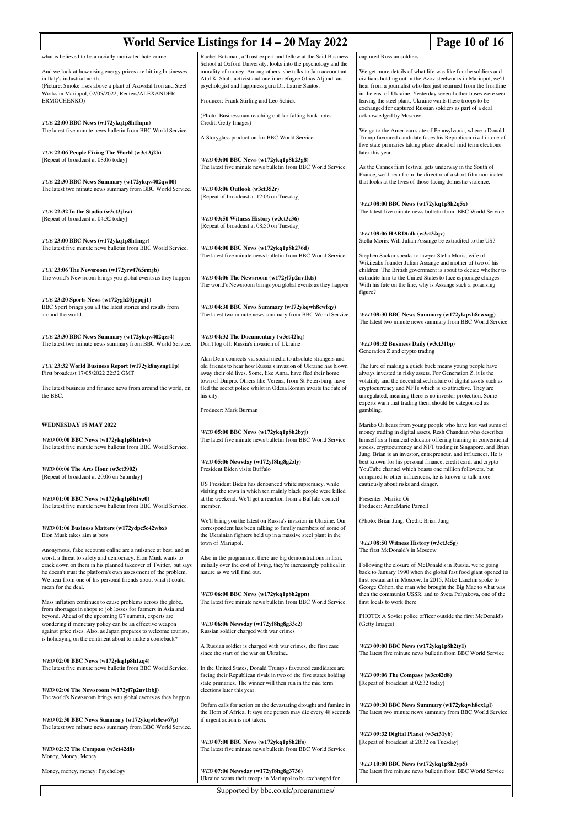| World Service Listings for 14 – 20 May 2022<br>Page 10 of 16                                                                                                                                                                                                                                   |                                                                                                                                                                                                                                                                                                                                                                    |                                                                                                                                                                                                                                                                                                                                                                   |  |
|------------------------------------------------------------------------------------------------------------------------------------------------------------------------------------------------------------------------------------------------------------------------------------------------|--------------------------------------------------------------------------------------------------------------------------------------------------------------------------------------------------------------------------------------------------------------------------------------------------------------------------------------------------------------------|-------------------------------------------------------------------------------------------------------------------------------------------------------------------------------------------------------------------------------------------------------------------------------------------------------------------------------------------------------------------|--|
| what is believed to be a racially motivated hate crime.<br>And we look at how rising energy prices are hitting businesses<br>in Italy's industrial north.<br>(Picture: Smoke rises above a plant of Azovstal Iron and Steel<br>Works in Mariupol, 02/05/2022, Reuters/ALEXANDER<br>ERMOCHENKO) | Rachel Botsman, a Trust expert and fellow at the Said Business<br>School at Oxford University, looks into the psychology and the<br>morality of money. Among others, she talks to Jain accountant<br>Atul K. Shah, activist and onetime refugee Ghias Aljundi and<br>psychologist and happiness guru Dr. Laurie Santos.<br>Producer: Frank Stirling and Leo Schick | captured Russian soldiers<br>We get more details of what life was like for the soldiers and<br>civilians holding out in the Azov steelworks in Mariupol, we'll<br>hear from a journalist who has just returned from the frontline<br>in the east of Ukraine. Yesterday several other buses were seen<br>leaving the steel plant. Ukraine wants these troops to be |  |
| TUE 22:00 BBC News (w172ykq1p8h1hqm)<br>The latest five minute news bulletin from BBC World Service.                                                                                                                                                                                           | (Photo: Businessman reaching out for falling bank notes.<br>Credit: Getty Images)<br>A Storyglass production for BBC World Service                                                                                                                                                                                                                                 | exchanged for captured Russian soldiers as part of a deal<br>acknowledged by Moscow.<br>We go to the American state of Pennsylvania, where a Donald<br>Trump favoured candidate faces his Republican rival in one of<br>five state primaries taking place ahead of mid term elections                                                                             |  |
| TUE 22:06 People Fixing The World (w3ct3j2b)<br>[Repeat of broadcast at 08:06 today]                                                                                                                                                                                                           | WED 03:00 BBC News (w172ykq1p8h23g8)<br>The latest five minute news bulletin from BBC World Service.                                                                                                                                                                                                                                                               | later this year.<br>As the Cannes film festival gets underway in the South of<br>France, we'll hear from the director of a short film nominated                                                                                                                                                                                                                   |  |
| TUE 22:30 BBC News Summary (w172ykqw402qw00)<br>The latest two minute news summary from BBC World Service.<br>TUE 22:32 In the Studio (w3ct3jhw)                                                                                                                                               | WED 03:06 Outlook (w3ct352r)<br>[Repeat of broadcast at 12:06 on Tuesday]                                                                                                                                                                                                                                                                                          | that looks at the lives of those facing domestic violence.<br>WED 08:00 BBC News (w172ykq1p8h2q5x)<br>The latest five minute news bulletin from BBC World Service.                                                                                                                                                                                                |  |
| [Repeat of broadcast at 04:32 today]<br>TUE 23:00 BBC News (w172ykq1p8h1mgr)<br>The latest five minute news bulletin from BBC World Service.                                                                                                                                                   | WED 03:50 Witness History (w3ct3c36)<br>[Repeat of broadcast at 08:50 on Tuesday]<br>WED 04:00 BBC News (w172ykq1p8h276d)                                                                                                                                                                                                                                          | WED 08:06 HARDtalk (w3ct32qv)<br>Stella Moris: Will Julian Assange be extradited to the US?                                                                                                                                                                                                                                                                       |  |
| TUE 23:06 The Newsroom (w172yrwt765rmjb)<br>The world's Newsroom brings you global events as they happen                                                                                                                                                                                       | The latest five minute news bulletin from BBC World Service.<br>WED 04:06 The Newsroom (w172yl7p2nv1kts)<br>The world's Newsroom brings you global events as they happen                                                                                                                                                                                           | Stephen Sackur speaks to lawyer Stella Moris, wife of<br>Wikileaks founder Julian Assange and mother of two of his<br>children. The British government is about to decide whether to<br>extradite him to the United States to face espionage charges.<br>With his fate on the line, why is Assange such a polarising                                              |  |
| TUE 23:20 Sports News (w172ygh20jgpqj1)<br>BBC Sport brings you all the latest stories and results from<br>around the world.                                                                                                                                                                   | WED 04:30 BBC News Summary (w172ykqwh8cwfqy)<br>The latest two minute news summary from BBC World Service.                                                                                                                                                                                                                                                         | figure?<br>WED 08:30 BBC News Summary (w172ykqwh8cwxqg)<br>The latest two minute news summary from BBC World Service.                                                                                                                                                                                                                                             |  |
| TUE 23:30 BBC News Summary (w172ykqw402qzr4)<br>The latest two minute news summary from BBC World Service.                                                                                                                                                                                     | WED 04:32 The Documentary (w3ct42bq)<br>Don't log off: Russia's invasion of Ukraine                                                                                                                                                                                                                                                                                | WED 08:32 Business Daily (w3ct31bp)<br>Generation Z and crypto trading                                                                                                                                                                                                                                                                                            |  |
| TUE 23:32 World Business Report (w172yk8nyzng11p)<br>First broadcast 17/05/2022 22:32 GMT                                                                                                                                                                                                      | Alan Dein connects via social media to absolute strangers and<br>old friends to hear how Russia's invasion of Ukraine has blown<br>away their old lives. Some, like Anna, have fled their home<br>town of Dnipro. Others like Verena, from St Petersburg, have                                                                                                     | The lure of making a quick buck means young people have<br>always invested in risky assets. For Generation Z, it is the<br>volatility and the decentralised nature of digital assets such as                                                                                                                                                                      |  |
| The latest business and finance news from around the world, on<br>the BBC.                                                                                                                                                                                                                     | fled the secret police whilst in Odesa Roman awaits the fate of<br>his city.<br>Producer: Mark Burman                                                                                                                                                                                                                                                              | cryptocurrency and NFTs which is so attractive. They are<br>unregulated, meaning there is no investor protection. Some<br>experts warn that trading them should be categorised as<br>gambling.                                                                                                                                                                    |  |
| <b>WEDNESDAY 18 MAY 2022</b><br>WED 00:00 BBC News (w172ykq1p8h1r6w)<br>The latest five minute news bulletin from BBC World Service.                                                                                                                                                           | WED 05:00 BBC News (w172ykq1p8h2byj)<br>The latest five minute news bulletin from BBC World Service.                                                                                                                                                                                                                                                               | Mariko Oi hears from young people who have lost vast sums of<br>money trading in digital assets, Resh Chandran who describes<br>himself as a financial educator offering training in conventional<br>stocks, cryptocurrency and NFT trading in Singapore, and Brian<br>Jung. Brian is an investor, entrepreneur, and influencer. He is                            |  |
| WED 00:06 The Arts Hour (w3ct3902)<br>[Repeat of broadcast at 20:06 on Saturday]                                                                                                                                                                                                               | WED 05:06 Newsday (w172yf8hg8g2zly)<br>President Biden visits Buffalo<br>US President Biden has denounced white supremacy, while<br>visiting the town in which ten mainly black people were killed                                                                                                                                                                 | best known for his personal finance, credit card, and crypto<br>YouTube channel which boasts one million followers, but<br>compared to other influencers, he is known to talk more<br>cautiously about risks and danger.                                                                                                                                          |  |
| WED 01:00 BBC News (w172ykq1p8h1vz0)<br>The latest five minute news bulletin from BBC World Service.                                                                                                                                                                                           | at the weekend. We'll get a reaction from a Buffalo council<br>member.                                                                                                                                                                                                                                                                                             | Presenter: Mariko Oi<br>Producer: AnneMarie Parnell                                                                                                                                                                                                                                                                                                               |  |
| WED 01:06 Business Matters (w172ydpc5c42wbx)<br>Elon Musk takes aim at bots<br>Anonymous, fake accounts online are a nuisance at best, and at                                                                                                                                                  | We'll bring you the latest on Russia's invasion in Ukraine. Our<br>correspondent has been talking to family members of some of<br>the Ukrainian fighters held up in a massive steel plant in the<br>town of Mariupol.                                                                                                                                              | (Photo: Brian Jung. Credit: Brian Jung<br>WED 08:50 Witness History (w3ct3c5g)<br>The first McDonald's in Moscow                                                                                                                                                                                                                                                  |  |
| worst, a threat to safety and democracy. Elon Musk wants to<br>crack down on them in his planned takeover of Twitter, but says<br>he doesn't trust the platform's own assessment of the problem.<br>We hear from one of his personal friends about what it could<br>mean for the deal.         | Also in the programme, there are big demonstrations in Iran,<br>initially over the cost of living, they're increasingly political in<br>nature as we will find out.                                                                                                                                                                                                | Following the closure of McDonald's in Russia, we're going<br>back to January 1990 when the global fast food giant opened its<br>first restaurant in Moscow. In 2015, Mike Lanchin spoke to<br>George Cohon, the man who brought the Big Mac to what was                                                                                                          |  |
| Mass inflation continues to cause problems across the globe,<br>from shortages in shops to job losses for farmers in Asia and<br>beyond. Ahead of the upcoming G7 summit, experts are<br>wondering if monetary policy can be an effective weapon                                               | WED 06:00 BBC News (w172ykq1p8h2gpn)<br>The latest five minute news bulletin from BBC World Service.<br>WED 06:06 Newsday (w172yf8hg8g33c2)                                                                                                                                                                                                                        | then the communist USSR, and to Sveta Polyakova, one of the<br>first locals to work there.<br>PHOTO: A Soviet police officer outside the first McDonald's<br>(Getty Images)                                                                                                                                                                                       |  |
| against price rises. Also, as Japan prepares to welcome tourists,<br>is holidaying on the continent about to make a comeback?                                                                                                                                                                  | Russian soldier charged with war crimes<br>A Russian soldier is charged with war crimes, the first case<br>since the start of the war on Ukraine                                                                                                                                                                                                                   | WED 09:00 BBC News (w172ykq1p8h2ty1)<br>The latest five minute news bulletin from BBC World Service.                                                                                                                                                                                                                                                              |  |
| WED 02:00 BBC News (w172ykq1p8h1zq4)<br>The latest five minute news bulletin from BBC World Service.<br>WED 02:06 The Newsroom (w172yl7p2nv1bbj)                                                                                                                                               | In the United States, Donald Trump's favoured candidates are<br>facing their Republican rivals in two of the five states holding<br>state primaries. The winner will then run in the mid term<br>elections later this year.                                                                                                                                        | WED 09:06 The Compass (w3ct42d8)<br>[Repeat of broadcast at 02:32 today]                                                                                                                                                                                                                                                                                          |  |
| The world's Newsroom brings you global events as they happen<br>WED 02:30 BBC News Summary (w172ykqwh8cw67p)<br>The latest two minute news summary from BBC World Service.                                                                                                                     | Oxfam calls for action on the devastating drought and famine in<br>the Horn of Africa. It says one person may die every 48 seconds<br>if urgent action is not taken.                                                                                                                                                                                               | WED 09:30 BBC News Summary (w172ykqwh8cx1gl)<br>The latest two minute news summary from BBC World Service.                                                                                                                                                                                                                                                        |  |
| WED 02:32 The Compass (w3ct42d8)<br>Money, Money, Money                                                                                                                                                                                                                                        | WED 07:00 BBC News (w172ykq1p8h2lfs)<br>The latest five minute news bulletin from BBC World Service.                                                                                                                                                                                                                                                               | WED 09:32 Digital Planet (w3ct31yb)<br>[Repeat of broadcast at 20:32 on Tuesday]                                                                                                                                                                                                                                                                                  |  |
| Money, money, money: Psychology                                                                                                                                                                                                                                                                | WED 07:06 Newsday (w172yf8hg8g3736)<br>Ukraine wants their troops in Mariupol to be exchanged for                                                                                                                                                                                                                                                                  | WED 10:00 BBC News (w172ykq1p8h2yp5)<br>The latest five minute news bulletin from BBC World Service.                                                                                                                                                                                                                                                              |  |
| Supported by bbc.co.uk/programmes/                                                                                                                                                                                                                                                             |                                                                                                                                                                                                                                                                                                                                                                    |                                                                                                                                                                                                                                                                                                                                                                   |  |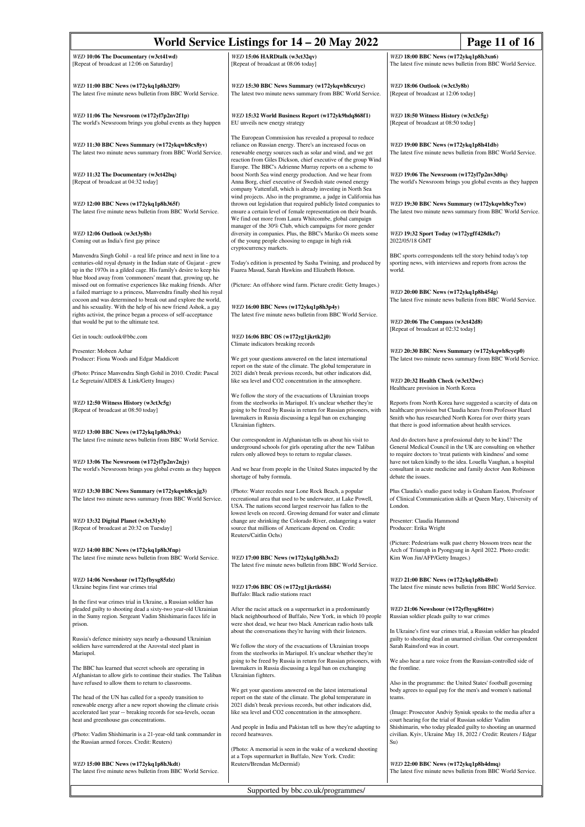| World Service Listings for 14 – 20 May 2022<br>Page 11 of 16                                                                                                                                                                                                              |                                                                                                                                                                                                                                                                                     |                                                                                                                                                                                                                                                     |  |
|---------------------------------------------------------------------------------------------------------------------------------------------------------------------------------------------------------------------------------------------------------------------------|-------------------------------------------------------------------------------------------------------------------------------------------------------------------------------------------------------------------------------------------------------------------------------------|-----------------------------------------------------------------------------------------------------------------------------------------------------------------------------------------------------------------------------------------------------|--|
| WED 10:06 The Documentary (w3ct41wd)<br>[Repeat of broadcast at 12:06 on Saturday]                                                                                                                                                                                        | WED 15:06 HARDtalk (w3ct32qv)<br>[Repeat of broadcast at 08:06 today]                                                                                                                                                                                                               | WED 18:00 BBC News (w172ykq1p8h3xn6)<br>The latest five minute news bulletin from BBC World Service.                                                                                                                                                |  |
| WED 11:00 BBC News (w172ykq1p8h32f9)<br>The latest five minute news bulletin from BBC World Service.                                                                                                                                                                      | WED 15:30 BBC News Summary (w172ykqwh8cxryc)<br>The latest two minute news summary from BBC World Service.                                                                                                                                                                          | WED 18:06 Outlook (w3ct3y8b)<br>[Repeat of broadcast at 12:06 today]                                                                                                                                                                                |  |
| WED 11:06 The Newsroom (w172yl7p2nv2f1p)<br>The world's Newsroom brings you global events as they happen                                                                                                                                                                  | WED 15:32 World Business Report (w172yk9hdq868f1)<br>EU unveils new energy strategy                                                                                                                                                                                                 | WED 18:50 Witness History (w3ct3c5g)<br>[Repeat of broadcast at 08:50 today]                                                                                                                                                                        |  |
| WED 11:30 BBC News Summary (w172ykqwh8cx8yv)<br>The latest two minute news summary from BBC World Service.                                                                                                                                                                | The European Commission has revealed a proposal to reduce<br>reliance on Russian energy. There's an increased focus on<br>renewable energy sources such as solar and wind, and we get<br>reaction from Giles Dickson, chief executive of the group Wind                             | WED 19:00 BBC News (w172ykq1p8h41db)<br>The latest five minute news bulletin from BBC World Service.                                                                                                                                                |  |
| WED 11:32 The Documentary (w3ct42bq)<br>[Repeat of broadcast at 04:32 today]                                                                                                                                                                                              | Europe. The BBC's Adrienne Murray reports on a scheme to<br>boost North Sea wind energy production. And we hear from<br>Anna Borg, chief executive of Swedish state owned energy<br>company Vattenfall, which is already investing in North Sea                                     | WED 19:06 The Newsroom (w172yl7p2nv3d0q)<br>The world's Newsroom brings you global events as they happen                                                                                                                                            |  |
| WED 12:00 BBC News (w172ykq1p8h365f)<br>The latest five minute news bulletin from BBC World Service.                                                                                                                                                                      | wind projects. Also in the programme, a judge in California has<br>thrown out legislation that required publicly listed companies to<br>ensure a certain level of female representation on their boards.<br>We find out more from Laura Whitcombe, global campaign                  | WED 19:30 BBC News Summary (w172ykqwh8cy7xw)<br>The latest two minute news summary from BBC World Service.                                                                                                                                          |  |
| WED 12:06 Outlook (w3ct3y8b)<br>Coming out as India's first gay prince                                                                                                                                                                                                    | manager of the 30% Club, which campaigns for more gender<br>diversity in companies. Plus, the BBC's Mariko Oi meets some<br>of the young people choosing to engage in high risk<br>cryptocurrency markets.                                                                          | WED 19:32 Sport Today (w172ygff428dkc7)<br>2022/05/18 GMT                                                                                                                                                                                           |  |
| Manvendra Singh Gohil - a real life prince and next in line to a<br>centuries-old royal dynasty in the Indian state of Gujarat - grew<br>up in the 1970s in a gilded cage. His family's desire to keep his<br>blue blood away from 'commoners' meant that, growing up, he | Today's edition is presented by Sasha Twining, and produced by<br>Faarea Masud, Sarah Hawkins and Elizabeth Hotson.                                                                                                                                                                 | BBC sports correspondents tell the story behind today's top<br>sporting news, with interviews and reports from across the<br>world.                                                                                                                 |  |
| missed out on formative experiences like making friends. After<br>a failed marriage to a princess, Manvendra finally shed his royal<br>cocoon and was determined to break out and explore the world,<br>and his sexuality. With the help of his new friend Ashok, a gay   | (Picture: An offshore wind farm. Picture credit: Getty Images.)<br>WED 16:00 BBC News (w172ykq1p8h3p4y)                                                                                                                                                                             | WED 20:00 BBC News (w172ykq1p8h454g)<br>The latest five minute news bulletin from BBC World Service.                                                                                                                                                |  |
| rights activist, the prince began a process of self-acceptance<br>that would be put to the ultimate test.<br>Get in touch: outlook@bbc.com                                                                                                                                | The latest five minute news bulletin from BBC World Service.<br>WED 16:06 BBC OS (w172yg1jkrtk2j0)                                                                                                                                                                                  | WED 20:06 The Compass (w3ct42d8)<br>[Repeat of broadcast at 02:32 today]                                                                                                                                                                            |  |
| Presenter: Mobeen Azhar<br>Producer: Fiona Woods and Edgar Maddicott                                                                                                                                                                                                      | Climate indicators breaking records<br>We get your questions answered on the latest international                                                                                                                                                                                   | WED 20:30 BBC News Summary (w172ykqwh8cycp0)<br>The latest two minute news summary from BBC World Service.                                                                                                                                          |  |
| (Photo: Prince Manvendra Singh Gohil in 2010. Credit: Pascal<br>Le Segretain/AIDES & Link/Getty Images)                                                                                                                                                                   | report on the state of the climate. The global temperature in<br>2021 didn't break previous records, but other indicators did,<br>like sea level and CO2 concentration in the atmosphere.                                                                                           | WED 20:32 Health Check (w3ct32wc)<br>Healthcare provision in North Korea                                                                                                                                                                            |  |
| WED 12:50 Witness History (w3ct3c5g)<br>[Repeat of broadcast at 08:50 today]                                                                                                                                                                                              | We follow the story of the evacuations of Ukrainian troops<br>from the steelworks in Mariupol. It's unclear whether they're<br>going to be freed by Russia in return for Russian prisoners, with<br>lawmakers in Russia discussing a legal ban on exchanging<br>Ukrainian fighters. | Reports from North Korea have suggested a scarcity of data on<br>healthcare provision but Claudia hears from Professor Hazel<br>Smith who has researched North Korea for over thirty years<br>that there is good information about health services. |  |
| WED 13:00 BBC News (w172ykq1p8h39xk)<br>The latest five minute news bulletin from BBC World Service.                                                                                                                                                                      | Our correspondent in Afghanistan tells us about his visit to<br>underground schools for girls operating after the new Taliban<br>rulers only allowed boys to return to regular classes.                                                                                             | And do doctors have a professional duty to be kind? The<br>General Medical Council in the UK are consulting on whether<br>to require doctors to 'treat patients with kindness' and some                                                             |  |
| WED 13:06 The Newsroom (w172yl7p2nv2njy)<br>The world's Newsroom brings you global events as they happen                                                                                                                                                                  | And we hear from people in the United States impacted by the<br>shortage of baby formula.                                                                                                                                                                                           | have not taken kindly to the idea. Louella Vaughan, a hospital<br>consultant in acute medicine and family doctor Ann Robinson<br>debate the issues.                                                                                                 |  |
| WED 13:30 BBC News Summary (w172ykqwh8cxjg3)<br>The latest two minute news summary from BBC World Service.                                                                                                                                                                | (Photo: Water recedes near Lone Rock Beach, a popular<br>recreational area that used to be underwater, at Lake Powell,<br>USA. The nations second largest reservoir has fallen to the<br>lowest levels on record. Growing demand for water and climate                              | Plus Claudia's studio guest today is Graham Easton, Professor<br>of Clinical Communication skills at Queen Mary, University of<br>London.                                                                                                           |  |
| WED 13:32 Digital Planet (w3ct31yb)<br>[Repeat of broadcast at 20:32 on Tuesday]                                                                                                                                                                                          | change are shrinking the Colorado River, endangering a water<br>source that millions of Americans depend on. Credit:<br>Reuters/Caitlin Ochs)                                                                                                                                       | Presenter: Claudia Hammond<br>Producer: Erika Wright                                                                                                                                                                                                |  |
| WED 14:00 BBC News (w172ykq1p8h3fnp)<br>The latest five minute news bulletin from BBC World Service.                                                                                                                                                                      | WED 17:00 BBC News (w172ykq1p8h3sx2)<br>The latest five minute news bulletin from BBC World Service.                                                                                                                                                                                | (Picture: Pedestrians walk past cherry blossom trees near the<br>Arch of Triumph in Pyongyang in April 2022. Photo credit:<br>Kim Won Jin/AFP/Getty Images.)                                                                                        |  |
| WED 14:06 Newshour (w172yfbysg85zlz)<br>Ukraine begins first war crimes trial                                                                                                                                                                                             | WED 17:06 BBC OS (w172yg1jkrtk684)<br>Buffalo: Black radio stations react                                                                                                                                                                                                           | WED 21:00 BBC News (w172ykq1p8h48wl)<br>The latest five minute news bulletin from BBC World Service.                                                                                                                                                |  |
| In the first war crimes trial in Ukraine, a Russian soldier has<br>pleaded guilty to shooting dead a sixty-two year-old Ukrainian<br>in the Sumy region. Sergeant Vadim Shishimarin faces life in<br>prison.                                                              | After the racist attack on a supermarket in a predominantly<br>black neighbourhood of Buffalo, New York, in which 10 people<br>were shot dead, we hear two black American radio hosts talk<br>about the conversations they're having with their listeners.                          | WED 21:06 Newshour (w172yfbysg86ttw)<br>Russian soldier pleads guilty to war crimes<br>In Ukraine's first war crimes trial, a Russian soldier has pleaded                                                                                           |  |
| Russia's defence ministry says nearly a-thousand Ukrainian<br>soldiers have surrendered at the Azovstal steel plant in<br>Mariupol.                                                                                                                                       | We follow the story of the evacuations of Ukrainian troops<br>from the steelworks in Mariupol. It's unclear whether they're                                                                                                                                                         | guilty to shooting dead an unarmed civilian. Our correspondent<br>Sarah Rainsford was in court.<br>We also hear a rare voice from the Russian-controlled side of                                                                                    |  |
| The BBC has learned that secret schools are operating in<br>Afghanistan to allow girls to continue their studies. The Taliban<br>have refused to allow them to return to classrooms.                                                                                      | going to be freed by Russia in return for Russian prisoners, with<br>lawmakers in Russia discussing a legal ban on exchanging<br>Ukrainian fighters.                                                                                                                                | the frontline.<br>Also in the programme: the United States' football governing                                                                                                                                                                      |  |
| The head of the UN has called for a speedy transition to<br>renewable energy after a new report showing the climate crisis<br>accelerated last year -- breaking records for sea-levels, ocean<br>heat and greenhouse gas concentrations.                                  | We get your questions answered on the latest international<br>report on the state of the climate. The global temperature in<br>2021 didn't break previous records, but other indicators did,<br>like sea level and CO2 concentration in the atmosphere.                             | body agrees to equal pay for the men's and women's national<br>teams.<br>(Image: Prosecutor Andviy Syniuk speaks to the media after a<br>court hearing for the trial of Russian soldier Vadim                                                       |  |
| (Photo: Vadim Shishimarin is a 21-year-old tank commander in<br>the Russian armed forces. Credit: Reuters)                                                                                                                                                                | And people in India and Pakistan tell us how they're adapting to<br>record heatwaves.                                                                                                                                                                                               | Shishimarin, who today pleaded guilty to shooting an unarmed<br>civilian. Kyiv, Ukraine May 18, 2022 / Credit: Reuters / Edgar<br>Su)                                                                                                               |  |
| WED 15:00 BBC News (w172ykq1p8h3kdt)<br>The latest five minute news bulletin from BBC World Service.                                                                                                                                                                      | (Photo: A memorial is seen in the wake of a weekend shooting<br>at a Tops supermarket in Buffalo, New York. Credit:<br>Reuters/Brendan McDermid)                                                                                                                                    | WED 22:00 BBC News (w172ykq1p8h4dmq)<br>The latest five minute news bulletin from BBC World Service.                                                                                                                                                |  |
| Supported by bbc.co.uk/programmes/                                                                                                                                                                                                                                        |                                                                                                                                                                                                                                                                                     |                                                                                                                                                                                                                                                     |  |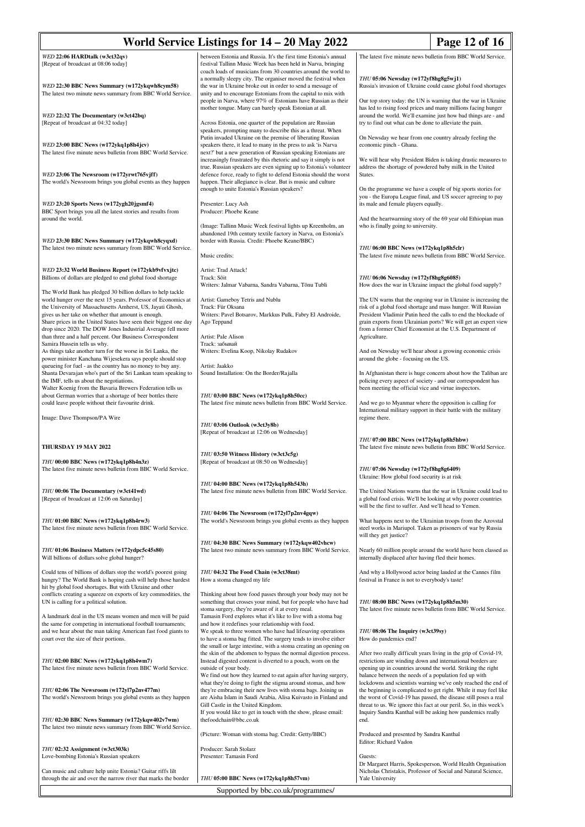| World Service Listings for 14 – 20 May 2022<br>Page 12 of 16                                                                                                                                                                                                                                                                                                                            |                                                                                                                                                                                                                                                                                                                                                                                                       |                                                                                                                                                                                                                                                                                                                                                                                                              |  |
|-----------------------------------------------------------------------------------------------------------------------------------------------------------------------------------------------------------------------------------------------------------------------------------------------------------------------------------------------------------------------------------------|-------------------------------------------------------------------------------------------------------------------------------------------------------------------------------------------------------------------------------------------------------------------------------------------------------------------------------------------------------------------------------------------------------|--------------------------------------------------------------------------------------------------------------------------------------------------------------------------------------------------------------------------------------------------------------------------------------------------------------------------------------------------------------------------------------------------------------|--|
| WED 22:06 HARDtalk (w3ct32qv)<br>[Repeat of broadcast at 08:06 today]                                                                                                                                                                                                                                                                                                                   | between Estonia and Russia. It's the first time Estonia's annual<br>festival Tallinn Music Week has been held in Narva, bringing                                                                                                                                                                                                                                                                      | The latest five minute news bulletin from BBC World Service.                                                                                                                                                                                                                                                                                                                                                 |  |
| WED 22:30 BBC News Summary (w172ykqwh8cym58)<br>The latest two minute news summary from BBC World Service.                                                                                                                                                                                                                                                                              | coach loads of musicians from 30 countries around the world to<br>a normally sleepy city. The organiser moved the festival when<br>the war in Ukraine broke out in order to send a message of<br>unity and to encourage Estonians from the capital to mix with                                                                                                                                        | THU 05:06 Newsday (w172yf8hg8g5wj1)<br>Russia's invasion of Ukraine could cause global food shortages                                                                                                                                                                                                                                                                                                        |  |
| WED 22:32 The Documentary (w3ct42bq)<br>[Repeat of broadcast at 04:32 today]                                                                                                                                                                                                                                                                                                            | people in Narva, where 97% of Estonians have Russian as their<br>mother tongue. Many can barely speak Estonian at all.<br>Across Estonia, one quarter of the population are Russian                                                                                                                                                                                                                   | Our top story today: the UN is warning that the war in Ukraine<br>has led to rising food prices and many millions facing hunger<br>around the world. We'll examine just how bad things are - and<br>try to find out what can be done to alleviate the pain.                                                                                                                                                  |  |
|                                                                                                                                                                                                                                                                                                                                                                                         | speakers, prompting many to describe this as a threat. When<br>Putin invaded Ukraine on the premise of liberating Russian                                                                                                                                                                                                                                                                             | On Newsday we hear from one country already feeling the                                                                                                                                                                                                                                                                                                                                                      |  |
| WED 23:00 BBC News (w172ykq1p8h4jcv)<br>The latest five minute news bulletin from BBC World Service.                                                                                                                                                                                                                                                                                    | speakers there, it lead to many in the press to ask 'is Narva<br>next?' but a new generation of Russian speaking Estonians are<br>increasingly frustrated by this rhetoric and say it simply is not                                                                                                                                                                                                   | economic pinch - Ghana.<br>We will hear why President Biden is taking drastic measures to                                                                                                                                                                                                                                                                                                                    |  |
| WED 23:06 The Newsroom (w172yrwt765vjff)<br>The world's Newsroom brings you global events as they happen                                                                                                                                                                                                                                                                                | true. Russian speakers are even signing up to Estonia's volunteer<br>defence force, ready to fight to defend Estonia should the worst<br>happen. Their allegiance is clear. But is music and culture<br>enough to unite Estonia's Russian speakers?                                                                                                                                                   | address the shortage of powdered baby milk in the United<br>States.<br>On the programme we have a couple of big sports stories for                                                                                                                                                                                                                                                                           |  |
| WED 23:20 Sports News (w172ygh20jgsmf4)<br>BBC Sport brings you all the latest stories and results from                                                                                                                                                                                                                                                                                 | Presenter: Lucy Ash<br>Producer: Phoebe Keane                                                                                                                                                                                                                                                                                                                                                         | you - the Europa League final, and US soccer agreeing to pay<br>its male and female players equally.                                                                                                                                                                                                                                                                                                         |  |
| around the world.                                                                                                                                                                                                                                                                                                                                                                       | (Image: Tallinn Music Week festival lights up Kreenholm, an<br>abandoned 19th century textile factory in Narva, on Estonia's                                                                                                                                                                                                                                                                          | And the heartwarming story of the 69 year old Ethiopian man<br>who is finally going to university.                                                                                                                                                                                                                                                                                                           |  |
| WED 23:30 BBC News Summary (w172ykqwh8cyqxd)<br>The latest two minute news summary from BBC World Service.                                                                                                                                                                                                                                                                              | border with Russia. Credit: Phoebe Keane/BBC)<br>Music credits:                                                                                                                                                                                                                                                                                                                                       | THU 06:00 BBC News (w172ykq1p8h5clr)<br>The latest five minute news bulletin from BBC World Service.                                                                                                                                                                                                                                                                                                         |  |
| WED 23:32 World Business Report (w172ykb9vfvxjtc)<br>Billions of dollars are pledged to end global food shortage                                                                                                                                                                                                                                                                        | Artist: Trad Attack!<br>Track: Sõit<br>Writers: Jalmar Vabarna, Sandra Vabarna, Tõnu Tubli                                                                                                                                                                                                                                                                                                            | THU 06:06 Newsday (w172yf8hg8g6085)<br>How does the war in Ukraine impact the global food supply?                                                                                                                                                                                                                                                                                                            |  |
| The World Bank has pledged 30 billion dollars to help tackle<br>world hunger over the next 15 years. Professor of Economics at<br>the University of Massachusetts Amherst, US, Jayati Ghosh,<br>gives us her take on whether that amount is enough.<br>Share prices in the United States have seen their biggest one day<br>drop since 2020. The DOW Jones Industrial Average fell more | Artist: Gameboy Tetris and Nublu<br>Track: Für Oksana<br>Writers: Pavel Botsarov, Markkus Pulk, Fabry El Androide,<br>Ago Teppand                                                                                                                                                                                                                                                                     | The UN warns that the ongoing war in Ukraine is increasing the<br>risk of a global food shortage and mass hunger. Will Russian<br>President Vladimir Putin heed the calls to end the blockade of<br>grain exports from Ukrainian ports? We will get an expert view<br>from a former Chief Economist at the U.S. Department of                                                                                |  |
| than three and a half percent. Our Business Correspondent<br>Samira Hussein tells us why.                                                                                                                                                                                                                                                                                               | Artist: Pale Alison<br>Track: забывай                                                                                                                                                                                                                                                                                                                                                                 | Agriculture.                                                                                                                                                                                                                                                                                                                                                                                                 |  |
| As things take another turn for the worse in Sri Lanka, the<br>power minister Kanchana Wijesekera says people should stop<br>queueing for fuel - as the country has no money to buy any.                                                                                                                                                                                                | Writers: Evelina Koop, Nikolay Rudakov<br>Artist: Jaakko                                                                                                                                                                                                                                                                                                                                              | And on Newsday we'll hear about a growing economic crisis<br>around the globe - focusing on the US.                                                                                                                                                                                                                                                                                                          |  |
| Shanta Devarajan who's part of the Sri Lankan team speaking to<br>the IMF, tells us about the negotiations.<br>Walter Koenig from the Bavaria Brewers Federation tells us                                                                                                                                                                                                               | Sound Installation: On the Border/Rajalla                                                                                                                                                                                                                                                                                                                                                             | In Afghanistan there is huge concern about how the Taliban are<br>policing every aspect of society - and our correspondent has<br>been meeting the official vice and virtue inspectors.                                                                                                                                                                                                                      |  |
| about German worries that a shortage of beer bottles there<br>could leave people without their favourite drink.                                                                                                                                                                                                                                                                         | THU 03:00 BBC News (w172ykq1p8h50cc)<br>The latest five minute news bulletin from BBC World Service.                                                                                                                                                                                                                                                                                                  | And we go to Myanmar where the opposition is calling for<br>International military support in their battle with the military                                                                                                                                                                                                                                                                                 |  |
| Image: Dave Thompson/PA Wire                                                                                                                                                                                                                                                                                                                                                            | THU 03:06 Outlook (w3ct3v8b)                                                                                                                                                                                                                                                                                                                                                                          | regime there.                                                                                                                                                                                                                                                                                                                                                                                                |  |
| THURSDAY 19 MAY 2022                                                                                                                                                                                                                                                                                                                                                                    | [Repeat of broadcast at 12:06 on Wednesday]                                                                                                                                                                                                                                                                                                                                                           | THU 07:00 BBC News (w172ykq1p8h5hbw)<br>The latest five minute news bulletin from BBC World Service.                                                                                                                                                                                                                                                                                                         |  |
| THU 00:00 BBC News (w172ykq1p8h4n3z)                                                                                                                                                                                                                                                                                                                                                    | THU 03:50 Witness History (w3ct3c5g)<br>[Repeat of broadcast at 08:50 on Wednesday]                                                                                                                                                                                                                                                                                                                   |                                                                                                                                                                                                                                                                                                                                                                                                              |  |
| The latest five minute news bulletin from BBC World Service.                                                                                                                                                                                                                                                                                                                            |                                                                                                                                                                                                                                                                                                                                                                                                       | THU 07:06 Newsday (w172yf8hg8g6409)<br>Ukraine: How global food security is at risk                                                                                                                                                                                                                                                                                                                          |  |
| THU 00:06 The Documentary (w3ct41wd)<br>[Repeat of broadcast at 12:06 on Saturday]                                                                                                                                                                                                                                                                                                      | THU 04:00 BBC News (w172ykq1p8h543h)<br>The latest five minute news bulletin from BBC World Service.                                                                                                                                                                                                                                                                                                  | The United Nations warns that the war in Ukraine could lead to<br>a global food crisis. We'll be looking at why poorer countries<br>will be the first to suffer. And we'll head to Yemen.                                                                                                                                                                                                                    |  |
| THU 01:00 BBC News (w172ykq1p8h4rw3)<br>The latest five minute news bulletin from BBC World Service.                                                                                                                                                                                                                                                                                    | THU 04:06 The Newsroom (w172yl7p2nv4gqw)<br>The world's Newsroom brings you global events as they happen                                                                                                                                                                                                                                                                                              | What happens next to the Ukrainian troops from the Azovstal<br>steel works in Mariupol. Taken as prisoners of war by Russia<br>will they get justice?                                                                                                                                                                                                                                                        |  |
| THU 01:06 Business Matters (w172ydpc5c45s80)<br>Will billions of dollars solve global hunger?                                                                                                                                                                                                                                                                                           | THU 04:30 BBC News Summary (w172ykqw402vhcw)<br>The latest two minute news summary from BBC World Service.                                                                                                                                                                                                                                                                                            | Nearly 60 million people around the world have been classed as<br>internally displaced after having fled their homes.                                                                                                                                                                                                                                                                                        |  |
| Could tens of billions of dollars stop the world's poorest going<br>hungry? The World Bank is hoping cash will help those hardest<br>hit by global food shortages. But with Ukraine and other                                                                                                                                                                                           | THU 04:32 The Food Chain (w3ct38mt)<br>How a stoma changed my life                                                                                                                                                                                                                                                                                                                                    | And why a Hollywood actor being lauded at the Cannes film<br>festival in France is not to everybody's taste!                                                                                                                                                                                                                                                                                                 |  |
| conflicts creating a squeeze on exports of key commodities, the<br>UN is calling for a political solution.                                                                                                                                                                                                                                                                              | Thinking about how food passes through your body may not be<br>something that crosses your mind, but for people who have had<br>stoma surgery, they're aware of it at every meal.                                                                                                                                                                                                                     | THU 08:00 BBC News (w172ykq1p8h5m30)<br>The latest five minute news bulletin from BBC World Service.                                                                                                                                                                                                                                                                                                         |  |
| A landmark deal in the US means women and men will be paid<br>the same for competing in international football tournaments;<br>and we hear about the man taking American fast food giants to<br>court over the size of their portions.                                                                                                                                                  | Tamasin Ford explores what it's like to live with a stoma bag<br>and how it redefines your relationship with food.<br>We speak to three women who have had lifesaving operations<br>to have a stoma bag fitted. The surgery tends to involve either                                                                                                                                                   | THU 08:06 The Inquiry (w3ct39sy)<br>How do pandemics end?                                                                                                                                                                                                                                                                                                                                                    |  |
| THU 02:00 BBC News (w172ykq1p8h4wm7)<br>The latest five minute news bulletin from BBC World Service.                                                                                                                                                                                                                                                                                    | the small or large intestine, with a stoma creating an opening on<br>the skin of the abdomen to bypass the normal digestion process.<br>Instead digested content is diverted to a pouch, worn on the<br>outside of your body.                                                                                                                                                                         | After two really difficult years living in the grip of Covid-19,<br>restrictions are winding down and international borders are<br>opening up in countries around the world. Striking the right                                                                                                                                                                                                              |  |
| THU 02:06 The Newsroom (w172yl7p2nv477m)<br>The world's Newsroom brings you global events as they happen<br>THU 02:30 BBC News Summary (w172ykqw402v7wm)                                                                                                                                                                                                                                | We find out how they learned to eat again after having surgery,<br>what they're doing to fight the stigma around stomas, and how<br>they're embracing their new lives with stoma bags. Joining us<br>are Aisha Islam in Saudi Arabia, Alisa Kuivasto in Finland and<br>Gill Castle in the United Kingdom.<br>If you would like to get in touch with the show, please email:<br>thefoodchain@bbc.co.uk | balance between the needs of a population fed up with<br>lockdowns and scientists warning we've only reached the end of<br>the beginning is complicated to get right. While it may feel like<br>the worst of Covid-19 has passed, the disease still poses a real<br>threat to us. We ignore this fact at our peril. So, in this week's<br>Inquiry Sandra Kanthal will be asking how pandemics really<br>end. |  |
| The latest two minute news summary from BBC World Service.                                                                                                                                                                                                                                                                                                                              | (Picture: Woman with stoma bag. Credit: Getty/BBC)                                                                                                                                                                                                                                                                                                                                                    | Produced and presented by Sandra Kanthal<br>Editor: Richard Vadon                                                                                                                                                                                                                                                                                                                                            |  |
| THU 02:32 Assignment (w3ct303k)<br>Love-bombing Estonia's Russian speakers                                                                                                                                                                                                                                                                                                              | Producer: Sarah Stolarz<br>Presenter: Tamasin Ford                                                                                                                                                                                                                                                                                                                                                    | Guests:                                                                                                                                                                                                                                                                                                                                                                                                      |  |
| Can music and culture help unite Estonia? Guitar riffs lilt<br>through the air and over the narrow river that marks the border                                                                                                                                                                                                                                                          | THU 05:00 BBC News (w172ykq1p8h57vm)                                                                                                                                                                                                                                                                                                                                                                  | Dr Margaret Harris, Spokesperson, World Health Organisation<br>Nicholas Christakis, Professor of Social and Natural Science,<br>Yale University                                                                                                                                                                                                                                                              |  |
| Supported by bbc.co.uk/programmes/                                                                                                                                                                                                                                                                                                                                                      |                                                                                                                                                                                                                                                                                                                                                                                                       |                                                                                                                                                                                                                                                                                                                                                                                                              |  |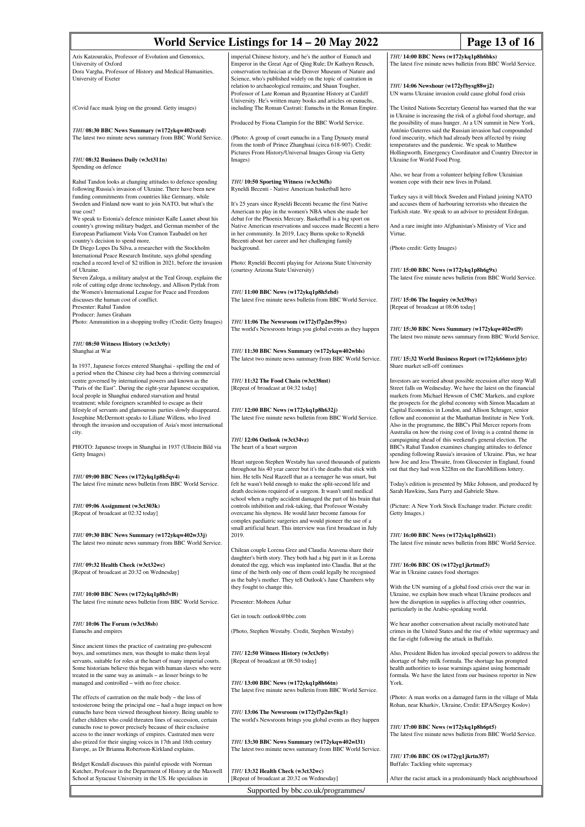| World Service Listings for 14 - 20 May 2022                                                                                                                                                                                                                                                                                                                                                                                                                                                                                                                                                                              | Page 13 of 16                                                                                                                                                                                                                                                                                                                                                                                                                                                                     |                                                                                                                                                                                                                                                                                                                                                                                                                                                                                                                                                                                                                                                                                                                                                                                                                                                                                                                                                                                                                                                                                                                                                                                                                                                           |  |  |  |  |
|--------------------------------------------------------------------------------------------------------------------------------------------------------------------------------------------------------------------------------------------------------------------------------------------------------------------------------------------------------------------------------------------------------------------------------------------------------------------------------------------------------------------------------------------------------------------------------------------------------------------------|-----------------------------------------------------------------------------------------------------------------------------------------------------------------------------------------------------------------------------------------------------------------------------------------------------------------------------------------------------------------------------------------------------------------------------------------------------------------------------------|-----------------------------------------------------------------------------------------------------------------------------------------------------------------------------------------------------------------------------------------------------------------------------------------------------------------------------------------------------------------------------------------------------------------------------------------------------------------------------------------------------------------------------------------------------------------------------------------------------------------------------------------------------------------------------------------------------------------------------------------------------------------------------------------------------------------------------------------------------------------------------------------------------------------------------------------------------------------------------------------------------------------------------------------------------------------------------------------------------------------------------------------------------------------------------------------------------------------------------------------------------------|--|--|--|--|
| Aris Katzourakis, Professor of Evolution and Genomics,<br>University of Oxford<br>Dora Vargha, Professor of History and Medical Humanities,<br>University of Exeter                                                                                                                                                                                                                                                                                                                                                                                                                                                      | imperial Chinese history, and he's the author of Eunuch and<br>Emperor in the Great Age of Qing Rule; Dr Kathryn Reusch,<br>conservation technician at the Denver Museum of Nature and<br>Science, who's published widely on the topic of castration in<br>relation to archaeological remains; and Shaun Tougher,                                                                                                                                                                 | THU 14:00 BBC News (w172ykq1p8h6bks)<br>The latest five minute news bulletin from BBC World Service.<br>THU 14:06 Newshour (w172yfbysg88wj2)                                                                                                                                                                                                                                                                                                                                                                                                                                                                                                                                                                                                                                                                                                                                                                                                                                                                                                                                                                                                                                                                                                              |  |  |  |  |
| (Covid face mask lying on the ground. Getty images)                                                                                                                                                                                                                                                                                                                                                                                                                                                                                                                                                                      | Professor of Late Roman and Byzantine History at Cardiff<br>University. He's written many books and articles on eunuchs,<br>including The Roman Castrati: Eunuchs in the Roman Empire.<br>Produced by Fiona Clampin for the BBC World Service.                                                                                                                                                                                                                                    | UN warns Ukraine invasion could cause global food crisis<br>The United Nations Secretary General has warned that the war<br>in Ukraine is increasing the risk of a global food shortage, and<br>the possibility of mass hunger. At a UN summit in New York,<br>António Guterres said the Russian invasion had compounded<br>food insecurity, which had already been affected by rising<br>temperatures and the pandemic. We speak to Matthew<br>Hollingworth, Emergency Coordinator and Country Director in<br>Ukraine for World Food Prog.<br>Also, we hear from a volunteer helping fellow Ukrainian<br>women cope with their new lives in Poland.<br>Turkey says it will block Sweden and Finland joining NATO<br>and accuses them of harbouring terrorists who threaten the<br>Turkish state. We speak to an advisor to president Erdogan.<br>And a rare insight into Afghanistan's Ministry of Vice and<br>Virtue.<br>(Photo credit: Getty Images)<br>THU 15:00 BBC News (w172ykq1p8h6g9x)<br>The latest five minute news bulletin from BBC World Service.<br>THU 15:06 The Inquiry (w3ct39sy)<br>[Repeat of broadcast at 08:06 today]<br>THU 15:30 BBC News Summary (w172ykqw402wtl9)<br>The latest two minute news summary from BBC World Service. |  |  |  |  |
| THU 08:30 BBC News Summary (w172ykqw402vzcd)<br>The latest two minute news summary from BBC World Service.<br>THU 08:32 Business Daily (w3ct311n)                                                                                                                                                                                                                                                                                                                                                                                                                                                                        | (Photo: A group of court eunuchs in a Tang Dynasty mural<br>from the tomb of Prince Zhanghuai (circa 618-907). Credit:<br>Pictures From History/Universal Images Group via Getty<br>Images)                                                                                                                                                                                                                                                                                       |                                                                                                                                                                                                                                                                                                                                                                                                                                                                                                                                                                                                                                                                                                                                                                                                                                                                                                                                                                                                                                                                                                                                                                                                                                                           |  |  |  |  |
| Spending on defence                                                                                                                                                                                                                                                                                                                                                                                                                                                                                                                                                                                                      |                                                                                                                                                                                                                                                                                                                                                                                                                                                                                   |                                                                                                                                                                                                                                                                                                                                                                                                                                                                                                                                                                                                                                                                                                                                                                                                                                                                                                                                                                                                                                                                                                                                                                                                                                                           |  |  |  |  |
| Rahul Tandon looks at changing attitudes to defence spending<br>following Russia's invasion of Ukraine. There have been new<br>funding commitments from countries like Germany, while<br>Sweden and Finland now want to join NATO, but what's the<br>true cost?<br>We speak to Estonia's defence minister Kalle Laanet about his<br>country's growing military budget, and German member of the<br>European Parliament Viola Von Cramon Taubadel on her<br>country's decision to spend more.<br>Dr Diego Lopes Da Silva, a researcher with the Stockholm<br>International Peace Research Institute, says global spending | THU 10:50 Sporting Witness (w3ct36fh)<br>Ryneldi Becenti - Native American basketball hero<br>It's 25 years since Ryneldi Becenti became the first Native<br>American to play in the women's NBA when she made her<br>debut for the Phoenix Mercury. Basketball is a big sport on<br>Native American reservations and success made Becenti a hero<br>in her community. In 2019, Lucy Burns spoke to Ryneldi<br>Becenti about her career and her challenging family<br>background. |                                                                                                                                                                                                                                                                                                                                                                                                                                                                                                                                                                                                                                                                                                                                                                                                                                                                                                                                                                                                                                                                                                                                                                                                                                                           |  |  |  |  |
| reached a record level of \$2 trillion in 2021, before the invasion<br>of Ukraine.<br>Steven Zaloga, a military analyst at the Teal Group, explains the<br>role of cutting edge drone technology, and Allison Pytlak from                                                                                                                                                                                                                                                                                                                                                                                                | Photo: Ryneldi Becenti playing for Arizona State University<br>(courtesy Arizona State University)                                                                                                                                                                                                                                                                                                                                                                                |                                                                                                                                                                                                                                                                                                                                                                                                                                                                                                                                                                                                                                                                                                                                                                                                                                                                                                                                                                                                                                                                                                                                                                                                                                                           |  |  |  |  |
| the Women's International League for Peace and Freedom<br>discusses the human cost of conflict.<br>Presenter: Rahul Tandon<br>Producer: James Graham                                                                                                                                                                                                                                                                                                                                                                                                                                                                     | THU 11:00 BBC News (w172ykq1p8h5zbd)<br>The latest five minute news bulletin from BBC World Service.                                                                                                                                                                                                                                                                                                                                                                              |                                                                                                                                                                                                                                                                                                                                                                                                                                                                                                                                                                                                                                                                                                                                                                                                                                                                                                                                                                                                                                                                                                                                                                                                                                                           |  |  |  |  |
| Photo: Ammunition in a shopping trolley (Credit: Getty Images)<br>THU 08:50 Witness History (w3ct3c0y)                                                                                                                                                                                                                                                                                                                                                                                                                                                                                                                   | THU 11:06 The Newsroom (w172yl7p2nv59ys)<br>The world's Newsroom brings you global events as they happen                                                                                                                                                                                                                                                                                                                                                                          |                                                                                                                                                                                                                                                                                                                                                                                                                                                                                                                                                                                                                                                                                                                                                                                                                                                                                                                                                                                                                                                                                                                                                                                                                                                           |  |  |  |  |
| Shanghai at War<br>In 1937, Japanese forces entered Shanghai - spelling the end of                                                                                                                                                                                                                                                                                                                                                                                                                                                                                                                                       | THU 11:30 BBC News Summary (w172ykqw402wbls)<br>The latest two minute news summary from BBC World Service.                                                                                                                                                                                                                                                                                                                                                                        | THU 15:32 World Business Report (w172yk66msvjylz)<br>Share market sell-off continues<br>Investors are worried about possible recession after steep Wall<br>Street falls on Wednesday. We have the latest on the financial<br>markets from Michael Hewson of CMC Markets, and explore<br>the prospects for the global economy with Simon Macadam at<br>Capital Economics in London, and Allison Schrager, senior<br>fellow and economist at the Manhattan Institute in New York.<br>Also in the programme, the BBC's Phil Mercer reports from<br>Australia on how the rising cost of living is a central theme in<br>campaigning ahead of this weekend's general election. The<br>BBC's Rahul Tandon examines changing attitudes to defence<br>spending following Russia's invasion of Ukraine. Plus, we hear<br>how Joe and Jess Thwaite, from Gloucester in England, found                                                                                                                                                                                                                                                                                                                                                                               |  |  |  |  |
| a period when the Chinese city had been a thriving commercial<br>centre governed by international powers and known as the<br>"Paris of the East". During the eight-year Japanese occupation,<br>local people in Shanghai endured starvation and brutal<br>treatment; while foreigners scrambled to escape as their<br>lifestyle of servants and glamourous parties slowly disappeared.<br>Josephine McDermott speaks to Liliane Willens, who lived<br>through the invasion and occupation of Asia's most international                                                                                                   | THU 11:32 The Food Chain (w3ct38mt)<br>[Repeat of broadcast at 04:32 today]<br>THU 12:00 BBC News (w172ykq1p8h632j)<br>The latest five minute news bulletin from BBC World Service.                                                                                                                                                                                                                                                                                               |                                                                                                                                                                                                                                                                                                                                                                                                                                                                                                                                                                                                                                                                                                                                                                                                                                                                                                                                                                                                                                                                                                                                                                                                                                                           |  |  |  |  |
| city.<br>PHOTO: Japanese troops in Shanghai in 1937 (Ullstein Bild via<br>Getty Images)                                                                                                                                                                                                                                                                                                                                                                                                                                                                                                                                  | THU 12:06 Outlook (w3ct34vz)<br>The heart of a heart surgeon<br>Heart surgeon Stephen Westaby has saved thousands of patients                                                                                                                                                                                                                                                                                                                                                     |                                                                                                                                                                                                                                                                                                                                                                                                                                                                                                                                                                                                                                                                                                                                                                                                                                                                                                                                                                                                                                                                                                                                                                                                                                                           |  |  |  |  |
| THU 09:00 BBC News (w172ykq1p8h5qv4)<br>The latest five minute news bulletin from BBC World Service.                                                                                                                                                                                                                                                                                                                                                                                                                                                                                                                     | throughout his 40 year career but it's the deaths that stick with<br>him. He tells Neal Razzell that as a teenager he was smart, but<br>felt he wasn't bold enough to make the split-second life and<br>death decisions required of a surgeon. It wasn't until medical                                                                                                                                                                                                            | out that they had won \$228m on the EuroMillions lottery.<br>Today's edition is presented by Mike Johnson, and produced by<br>Sarah Hawkins, Sara Parry and Gabriele Shaw.                                                                                                                                                                                                                                                                                                                                                                                                                                                                                                                                                                                                                                                                                                                                                                                                                                                                                                                                                                                                                                                                                |  |  |  |  |
| THU 09:06 Assignment (w3ct303k)<br>[Repeat of broadcast at 02:32 today]                                                                                                                                                                                                                                                                                                                                                                                                                                                                                                                                                  | school when a rugby accident damaged the part of his brain that<br>controls inhibition and risk-taking, that Professor Westaby<br>overcame his shyness. He would later become famous for<br>complex paediatric surgeries and would pioneer the use of a                                                                                                                                                                                                                           | (Picture: A New York Stock Exchange trader. Picture credit:<br>Getty Images.)                                                                                                                                                                                                                                                                                                                                                                                                                                                                                                                                                                                                                                                                                                                                                                                                                                                                                                                                                                                                                                                                                                                                                                             |  |  |  |  |
| THU 09:30 BBC News Summary (w172ykqw402w33j)<br>The latest two minute news summary from BBC World Service.                                                                                                                                                                                                                                                                                                                                                                                                                                                                                                               | small artificial heart. This interview was first broadcast in July<br>2019.                                                                                                                                                                                                                                                                                                                                                                                                       | THU 16:00 BBC News (w172ykq1p8h6l21)<br>The latest five minute news bulletin from BBC World Service.                                                                                                                                                                                                                                                                                                                                                                                                                                                                                                                                                                                                                                                                                                                                                                                                                                                                                                                                                                                                                                                                                                                                                      |  |  |  |  |
| THU 09:32 Health Check (w3ct32wc)<br>[Repeat of broadcast at 20:32 on Wednesday]                                                                                                                                                                                                                                                                                                                                                                                                                                                                                                                                         | Chilean couple Lorena Grez and Claudia Aravena share their<br>daughter's birth story. They both had a big part in it as Lorena<br>donated the egg, which was implanted into Claudia. But at the<br>time of the birth only one of them could legally be recognised<br>as the baby's mother. They tell Outlook's Jane Chambers why                                                                                                                                                  | THU 16:06 BBC OS (w172yg1jkrtmzf3)<br>War in Ukraine causes food shortages                                                                                                                                                                                                                                                                                                                                                                                                                                                                                                                                                                                                                                                                                                                                                                                                                                                                                                                                                                                                                                                                                                                                                                                |  |  |  |  |
| THU 10:00 BBC News (w172ykq1p8h5vl8)<br>The latest five minute news bulletin from BBC World Service.                                                                                                                                                                                                                                                                                                                                                                                                                                                                                                                     | they fought to change this.<br>Presenter: Mobeen Azhar                                                                                                                                                                                                                                                                                                                                                                                                                            | With the UN warning of a global food crisis over the war in<br>Ukraine, we explain how much wheat Ukraine produces and<br>how the disruption in supplies is affecting other countries,<br>particularly in the Arabic-speaking world.                                                                                                                                                                                                                                                                                                                                                                                                                                                                                                                                                                                                                                                                                                                                                                                                                                                                                                                                                                                                                      |  |  |  |  |
| THU 10:06 The Forum (w3ct38sb)<br>Eunuchs and empires                                                                                                                                                                                                                                                                                                                                                                                                                                                                                                                                                                    | Get in touch: outlook@bbc.com<br>(Photo, Stephen Westaby. Credit, Stephen Westaby)                                                                                                                                                                                                                                                                                                                                                                                                | We hear another conversation about racially motivated hate<br>crimes in the United States and the rise of white supremacy and                                                                                                                                                                                                                                                                                                                                                                                                                                                                                                                                                                                                                                                                                                                                                                                                                                                                                                                                                                                                                                                                                                                             |  |  |  |  |
| Since ancient times the practice of castrating pre-pubescent<br>boys, and sometimes men, was thought to make them loyal<br>servants, suitable for roles at the heart of many imperial courts.<br>Some historians believe this began with human slaves who were<br>treated in the same way as animals – as lesser beings to be<br>managed and controlled - with no free choice.                                                                                                                                                                                                                                           | THU 12:50 Witness History (w3ct3c0y)<br>[Repeat of broadcast at 08:50 today]<br>THU 13:00 BBC News (w172ykq1p8h66tn)                                                                                                                                                                                                                                                                                                                                                              | the far-right following the attack in Buffalo.<br>Also, President Biden has invoked special powers to address the<br>shortage of baby milk formula. The shortage has prompted<br>health authorities to issue warnings against using homemade<br>formula. We have the latest from our business reporter in New<br>York.<br>(Photo: A man works on a damaged farm in the village of Mala<br>Rohan, near Kharkiv, Ukraine, Credit: EPA/Sergey Koslov)<br>THU 17:00 BBC News (w172ykq1p8h6pt5)<br>The latest five minute news bulletin from BBC World Service.<br>THU 17:06 BBC OS (w172yg1jkrtn357)<br>Buffalo: Tackling white supremacy<br>After the racist attack in a predominantly black neighbourhood                                                                                                                                                                                                                                                                                                                                                                                                                                                                                                                                                   |  |  |  |  |
| The effects of castration on the male body – the loss of<br>testosterone being the principal one – had a huge impact on how<br>eunuchs have been viewed throughout history. Being unable to<br>father children who could threaten lines of succession, certain<br>eunuchs rose to power precisely because of their exclusive                                                                                                                                                                                                                                                                                             | The latest five minute news bulletin from BBC World Service.<br>THU 13:06 The Newsroom (w172yl7p2nv5kg1)<br>The world's Newsroom brings you global events as they happen                                                                                                                                                                                                                                                                                                          |                                                                                                                                                                                                                                                                                                                                                                                                                                                                                                                                                                                                                                                                                                                                                                                                                                                                                                                                                                                                                                                                                                                                                                                                                                                           |  |  |  |  |
| access to the inner workings of empires. Castrated men were<br>also prized for their singing voices in 17th and 18th century<br>Europe, as Dr Brianna Robertson-Kirkland explains.                                                                                                                                                                                                                                                                                                                                                                                                                                       | THU 13:30 BBC News Summary (w172ykqw402wl31)<br>The latest two minute news summary from BBC World Service.                                                                                                                                                                                                                                                                                                                                                                        |                                                                                                                                                                                                                                                                                                                                                                                                                                                                                                                                                                                                                                                                                                                                                                                                                                                                                                                                                                                                                                                                                                                                                                                                                                                           |  |  |  |  |
| Bridget Kendall discusses this painful episode with Norman<br>Kutcher, Professor in the Department of History at the Maxwell<br>School at Syracuse University in the US. He specialises in                                                                                                                                                                                                                                                                                                                                                                                                                               | THU 13:32 Health Check (w3ct32wc)<br>[Repeat of broadcast at 20:32 on Wednesday]                                                                                                                                                                                                                                                                                                                                                                                                  |                                                                                                                                                                                                                                                                                                                                                                                                                                                                                                                                                                                                                                                                                                                                                                                                                                                                                                                                                                                                                                                                                                                                                                                                                                                           |  |  |  |  |
| Supported by bbc.co.uk/programmes/                                                                                                                                                                                                                                                                                                                                                                                                                                                                                                                                                                                       |                                                                                                                                                                                                                                                                                                                                                                                                                                                                                   |                                                                                                                                                                                                                                                                                                                                                                                                                                                                                                                                                                                                                                                                                                                                                                                                                                                                                                                                                                                                                                                                                                                                                                                                                                                           |  |  |  |  |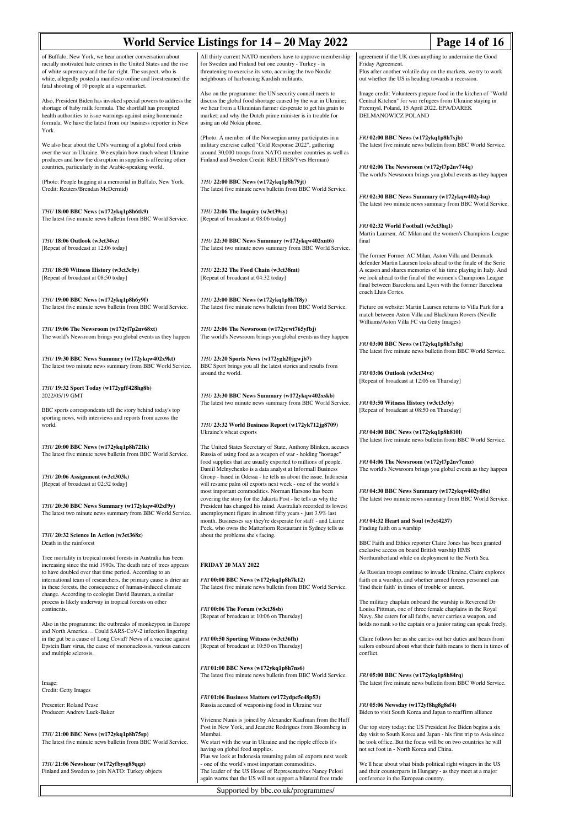| World Service Listings for 14 – 20 May 2022                                                                                                                                                                                                                                                                   | Page 14 of 16                                                                                                                                                                                                                                                                         |                                                                                                                                                                                                                                                              |  |
|---------------------------------------------------------------------------------------------------------------------------------------------------------------------------------------------------------------------------------------------------------------------------------------------------------------|---------------------------------------------------------------------------------------------------------------------------------------------------------------------------------------------------------------------------------------------------------------------------------------|--------------------------------------------------------------------------------------------------------------------------------------------------------------------------------------------------------------------------------------------------------------|--|
| of Buffalo, New York, we hear another conversation about<br>racially motivated hate crimes in the United States and the rise<br>of white supremacy and the far-right. The suspect, who is<br>white, allegedly posted a manifesto online and livestreamed the<br>fatal shooting of 10 people at a supermarket. | All thirty current NATO members have to approve membership<br>for Sweden and Finland but one country - Turkey - is<br>threatening to exercise its veto, accusing the two Nordic<br>neighbours of harbouring Kurdish militants.                                                        | agreement if the UK does anything to undermine the Good<br>Friday Agreement.<br>Plus after another volatile day on the markets, we try to work<br>out whether the US is heading towards a recession.                                                         |  |
| Also, President Biden has invoked special powers to address the<br>shortage of baby milk formula. The shortfall has prompted<br>health authorities to issue warnings against using homemade<br>formula. We have the latest from our business reporter in New<br>York.                                         | Also on the programme: the UN security council meets to<br>discuss the global food shortage caused by the war in Ukraine;<br>we hear from a Ukrainian farmer desperate to get his grain to<br>market; and why the Dutch prime minister is in trouble for<br>using an old Nokia phone. | Image credit: Volunteers prepare food in the kitchen of "World<br>Central Kitchen" for war refugees from Ukraine staying in<br>Przemysl, Poland, 15 April 2022. EPA/DAREK<br>DELMANOWICZ POLAND                                                              |  |
| We also hear about the UN's warning of a global food crisis<br>over the war in Ukraine. We explain how much wheat Ukraine<br>produces and how the disruption in supplies is affecting other<br>countries, particularly in the Arabic-speaking world.                                                          | (Photo: A member of the Norwegian army participates in a<br>military exercise called "Cold Response 2022", gathering<br>around 30,000 troops from NATO member countries as well as<br>Finland and Sweden Credit: REUTERS/Yves Herman)                                                 | FRI 02:00 BBC News (w172ykq1p8h7sjb)<br>The latest five minute news bulletin from BBC World Service.<br>FRI 02:06 The Newsroom (w172yl7p2nv744q)                                                                                                             |  |
| (Photo: People hugging at a memorial in Buffalo, New York.<br>Credit: Reuters/Brendan McDermid)                                                                                                                                                                                                               | THU 22:00 BBC News (w172ykq1p8h79jt)<br>The latest five minute news bulletin from BBC World Service.                                                                                                                                                                                  | The world's Newsroom brings you global events as they happen<br>FRI 02:30 BBC News Summary (w172ykqw402y4sq)                                                                                                                                                 |  |
| THU 18:00 BBC News (w172ykq1p8h6tk9)<br>The latest five minute news bulletin from BBC World Service.                                                                                                                                                                                                          | THU 22:06 The Inquiry (w3ct39sy)<br>[Repeat of broadcast at 08:06 today]                                                                                                                                                                                                              | The latest two minute news summary from BBC World Service.<br>FRI 02:32 World Football (w3ct3hq1)                                                                                                                                                            |  |
| THU 18:06 Outlook (w3ct34vz)<br>[Repeat of broadcast at 12:06 today]                                                                                                                                                                                                                                          | THU 22:30 BBC News Summary (w172ykqw402xnt6)<br>The latest two minute news summary from BBC World Service.                                                                                                                                                                            | Martin Laursen, AC Milan and the women's Champions League<br>final<br>The former Former AC Milan, Aston Villa and Denmark                                                                                                                                    |  |
| THU 18:50 Witness History (w3ct3c0y)<br>[Repeat of broadcast at 08:50 today]                                                                                                                                                                                                                                  | THU 22:32 The Food Chain (w3ct38mt)<br>[Repeat of broadcast at 04:32 today]                                                                                                                                                                                                           | defender Martin Laursen looks ahead to the finale of the Serie<br>A season and shares memories of his time playing in Italy. And<br>we look ahead to the final of the women's Champions League<br>final between Barcelona and Lyon with the former Barcelona |  |
| THU 19:00 BBC News (w172ykq1p8h6y9f)<br>The latest five minute news bulletin from BBC World Service.                                                                                                                                                                                                          | THU 23:00 BBC News (w172ykq1p8h7f8y)<br>The latest five minute news bulletin from BBC World Service.                                                                                                                                                                                  | coach Lluis Cortes.<br>Picture on website: Martin Laursen returns to Villa Park for a<br>match between Aston Villa and Blackburn Rovers (Neville                                                                                                             |  |
| THU 19:06 The Newsroom (w172y17p2nv68xt)<br>The world's Newsroom brings you global events as they happen                                                                                                                                                                                                      | THU 23:06 The Newsroom (w172yrwt765yfbj)<br>The world's Newsroom brings you global events as they happen                                                                                                                                                                              | Williams/Aston Villa FC via Getty Images)<br>FRI 03:00 BBC News (w172ykq1p8h7x8g)<br>The latest five minute news bulletin from BBC World Service.                                                                                                            |  |
| THU 19:30 BBC News Summary (w172ykqw402x9kt)<br>The latest two minute news summary from BBC World Service.                                                                                                                                                                                                    | THU 23:20 Sports News (w172ygh20jgwjb7)<br>BBC Sport brings you all the latest stories and results from<br>around the world.                                                                                                                                                          | FRI 03:06 Outlook (w3ct34vz)<br>[Repeat of broadcast at 12:06 on Thursday]                                                                                                                                                                                   |  |
| THU 19:32 Sport Today (w172ygff428hg8b)<br>2022/05/19 GMT                                                                                                                                                                                                                                                     | THU 23:30 BBC News Summary (w172ykqw402xskb)<br>The latest two minute news summary from BBC World Service.                                                                                                                                                                            | FRI 03:50 Witness History (w3ct3c0y)                                                                                                                                                                                                                         |  |
| BBC sports correspondents tell the story behind today's top<br>sporting news, with interviews and reports from across the<br>world.                                                                                                                                                                           | THU 23:32 World Business Report (w172yk712jg8709)<br>Ukraine's wheat exports                                                                                                                                                                                                          | [Repeat of broadcast at 08:50 on Thursday]<br>FRI 04:00 BBC News (w172ykq1p8h810l)                                                                                                                                                                           |  |
| THU 20:00 BBC News (w172ykq1p8h721k)<br>The latest five minute news bulletin from BBC World Service.                                                                                                                                                                                                          | The United States Secretary of State, Anthony Blinken, accuses<br>Russia of using food as a weapon of war - holding "hostage"<br>food supplies that are usually exported to millions of people.                                                                                       | The latest five minute news bulletin from BBC World Service.<br>FRI 04:06 The Newsroom (w172yl7p2nv7cmz)                                                                                                                                                     |  |
| THU 20:06 Assignment (w3ct303k)<br>[Repeat of broadcast at 02:32 today]                                                                                                                                                                                                                                       | Daniil Melnychenko is a data analyst at Informall Business<br>Group - based in Odessa - he tells us about the issue. Indonesia<br>will resume palm oil exports next week - one of the world's<br>most important commodities. Norman Harsono has been                                  | The world's Newsroom brings you global events as they happen<br>FRI 04:30 BBC News Summary (w172ykqw402yd8z)                                                                                                                                                 |  |
| THU 20:30 BBC News Summary (w172ykqw402xf9y)<br>The latest two minute news summary from BBC World Service.                                                                                                                                                                                                    | covering the story for the Jakarta Post - he tells us why the<br>President has changed his mind. Australia's recorded its lowest<br>unemployment figure in almost fifty years - just 3.9% last<br>month. Businesses say they're desperate for staff - and Liarne                      | The latest two minute news summary from BBC World Service.<br>FRI 04:32 Heart and Soul (w3ct4237)                                                                                                                                                            |  |
| THU 20:32 Science In Action (w3ct368z)<br>Death in the rainforest                                                                                                                                                                                                                                             | Peek, who owns the Matterhorn Restaurant in Sydney tells us<br>about the problems she's facing.                                                                                                                                                                                       | Finding faith on a warship<br>BBC Faith and Ethics reporter Claire Jones has been granted<br>exclusive access on board British warship HMS                                                                                                                   |  |
| Tree mortality in tropical moist forests in Australia has been<br>increasing since the mid 1980s. The death rate of trees appears<br>to have doubled over that time period. According to an<br>international team of researchers, the primary cause is drier air                                              | <b>FRIDAY 20 MAY 2022</b><br>FRI 00:00 BBC News (w172ykq1p8h7k12)                                                                                                                                                                                                                     | Northumberland while on deployment to the North Sea.<br>As Russian troops continue to invade Ukraine, Claire explores<br>faith on a warship, and whether armed forces personnel can                                                                          |  |
| in these forests, the consequence of human-induced climate<br>change. According to ecologist David Bauman, a similar<br>process is likely underway in tropical forests on other<br>continents.                                                                                                                | The latest five minute news bulletin from BBC World Service.<br>FRI 00:06 The Forum (w3ct38sb)                                                                                                                                                                                        | 'find their faith' in times of trouble or unrest.<br>The military chaplain onboard the warship is Reverend Dr<br>Louisa Pittman, one of three female chaplains in the Royal                                                                                  |  |
| Also in the programme: the outbreaks of monkeypox in Europe<br>and North America Could SARS-CoV-2 infection lingering<br>in the gut be a cause of Long Covid? News of a vaccine against                                                                                                                       | [Repeat of broadcast at 10:06 on Thursday]<br>FRI 00:50 Sporting Witness (w3ct36fh)                                                                                                                                                                                                   | Navy. She caters for all faiths, never carries a weapon, and<br>holds no rank so the captain or a junior rating can speak freely.<br>Claire follows her as she carries out her duties and hears from                                                         |  |
| Epstein Barr virus, the cause of mononucleosis, various cancers<br>and multiple sclerosis.                                                                                                                                                                                                                    | [Repeat of broadcast at 10:50 on Thursday]<br>FRI 01:00 BBC News (w172ykq1p8h7ns6)                                                                                                                                                                                                    | sailors onboard about what their faith means to them in times of<br>conflict.                                                                                                                                                                                |  |
| Image:<br>Credit: Getty Images                                                                                                                                                                                                                                                                                | The latest five minute news bulletin from BBC World Service.                                                                                                                                                                                                                          | FRI 05:00 BBC News (w172ykq1p8h84rq)<br>The latest five minute news bulletin from BBC World Service.                                                                                                                                                         |  |
| Presenter: Roland Pease<br>Producer: Andrew Luck-Baker                                                                                                                                                                                                                                                        | FRI 01:06 Business Matters (w172ydpc5c48p53)<br>Russia accused of weaponising food in Ukraine war<br>Vivienne Nunis is joined by Alexander Kaufman from the Huff                                                                                                                      | FRI 05:06 Newsday (w172yf8hg8g8sf4)<br>Biden to visit South Korea and Japan to reaffirm alliance                                                                                                                                                             |  |
| THU 21:00 BBC News (w172ykq1p8h75sp)<br>The latest five minute news bulletin from BBC World Service.                                                                                                                                                                                                          | Post in New York, and Jeanette Rodrigues from Bloomberg in<br>Mumbai.<br>We start with the war in Ukraine and the ripple effects it's<br>having on global food supplies.                                                                                                              | Our top story today: the US President Joe Biden begins a six<br>day visit to South Korea and Japan - his first trip to Asia since<br>he took office. But the focus will be on two countries he will<br>not set foot in - North Korea and China.              |  |
| THU 21:06 Newshour (w172yfbysg89qqz)<br>Finland and Sweden to join NATO: Turkey objects                                                                                                                                                                                                                       | Plus we look at Indonesia resuming palm oil exports next week<br>- one of the world's most important commodities.<br>The leader of the US House of Representatives Nancy Pelosi<br>again warns that the US will not support a bilateral free trade                                    | We'll hear about what binds political right wingers in the US<br>and their counterparts in Hungary - as they meet at a major<br>conference in the European country.                                                                                          |  |
|                                                                                                                                                                                                                                                                                                               | Supported by bbc.co.uk/programmes/                                                                                                                                                                                                                                                    |                                                                                                                                                                                                                                                              |  |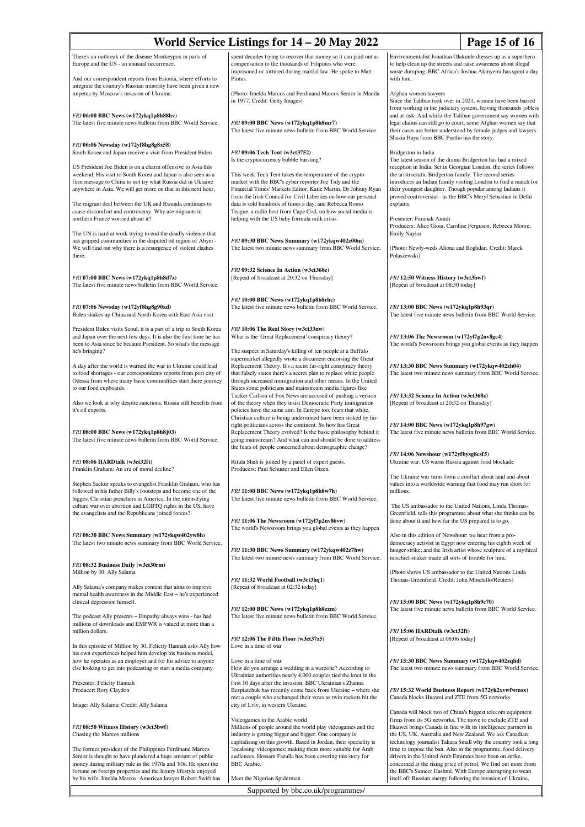| World Service Listings for 14 – 20 May 2022                                                                                                                                                                                                                                                                                 | Page 15 of 16                                                                                                                                                                                                                                                                                                                 |                                                                                                                                                                                                                                                                                                                                                                                                                                                                                                                                                                                                                                                                |  |
|-----------------------------------------------------------------------------------------------------------------------------------------------------------------------------------------------------------------------------------------------------------------------------------------------------------------------------|-------------------------------------------------------------------------------------------------------------------------------------------------------------------------------------------------------------------------------------------------------------------------------------------------------------------------------|----------------------------------------------------------------------------------------------------------------------------------------------------------------------------------------------------------------------------------------------------------------------------------------------------------------------------------------------------------------------------------------------------------------------------------------------------------------------------------------------------------------------------------------------------------------------------------------------------------------------------------------------------------------|--|
| There's an outbreak of the disease Monkeypox in parts of<br>Europe and the US - an unusual occurrence.<br>And our correspondent reports from Estonia, where efforts to                                                                                                                                                      | spent decades trying to recover that money so it can paid out as<br>compensation to the thousands of Filipinos who were<br>imprisoned or tortured during martial law. He spoke to Matt<br>Pintus.                                                                                                                             | Environmentalist Jonathan Olakunle dresses up as a superhero<br>to help clean up the streets and raise awareness about illegal<br>waste dumping. BBC Africa's Joshua Akinyemi has spent a day<br>with him.                                                                                                                                                                                                                                                                                                                                                                                                                                                     |  |
| integrate the country's Russian minority have been given a new<br>impetus by Moscow's invasion of Ukraine.                                                                                                                                                                                                                  | (Photo: Imelda Marcos and Ferdinand Marcos Senior in Manila<br>in 1977. Credit: Getty Images)                                                                                                                                                                                                                                 | Afghan women lawyers<br>Since the Taliban took over in 2021, women have been barred<br>from working in the judiciary system, leaving thousands jobless<br>and at risk. And whilst the Taliban government say women with<br>legal claims can still go to court, some Afghan women say that<br>their cases are better understood by female judges and lawyers.                                                                                                                                                                                                                                                                                                   |  |
| FRI 06:00 BBC News (w172ykq1p8h88hv)<br>The latest five minute news bulletin from BBC World Service.                                                                                                                                                                                                                        | FRI 09:00 BBC News (w172ykq1p8h8mr7)<br>The latest five minute news bulletin from BBC World Service.                                                                                                                                                                                                                          |                                                                                                                                                                                                                                                                                                                                                                                                                                                                                                                                                                                                                                                                |  |
| FRI 06:06 Newsday (w172yf8hg8g8x58)<br>South Korea and Japan receive a visit from President Biden                                                                                                                                                                                                                           | FRI 09:06 Tech Tent (w3ct3752)<br>Is the cryptocurrency bubble bursting?                                                                                                                                                                                                                                                      | Shazia Haya from BBC Pastho has the story.<br>Bridgerton in India<br>The latest season of the drama Bridgerton has had a mixed<br>reception in India. Set in Georgian London, the series follows<br>the aristrocratic Bridgerton family. The second series<br>introduces an Indian family visiting London to find a match for<br>their youngest daughter. Though popular among Indians it<br>proved controversial - as the BBC's Meryl Sebastian in Delhi<br>explains.<br>Presenter: Faranak Amidi<br>Producers: Alice Gioia, Caroline Ferguson, Rebecca Moore,<br><b>Emily Naylor</b><br>(Photo: Newly-weds Aliona and Boghdan. Credit: Marek<br>Polaszewski) |  |
| US President Joe Biden is on a charm offensive to Asia this<br>weekend. His visit to South Korea and Japan is also seen as a<br>firm message to China to not try what Russia did in Ukraine<br>anywhere in Asia. We will get more on that in this next hour.                                                                | This week Tech Tent takes the temperature of the crypto<br>market with the BBC's cyber reporter Joe Tidy and the<br>Financial Times' Markets Editor, Katie Martin. Dr Johnny Ryan<br>from the Irish Council for Civil Liberties on how our personal                                                                           |                                                                                                                                                                                                                                                                                                                                                                                                                                                                                                                                                                                                                                                                |  |
| The migrant deal between the UK and Rwanda continues to<br>cause discomfort and controversy. Why are migrants in<br>northern France worried about it?                                                                                                                                                                       | data is sold hundreds of times a day; and Rebecca Romo<br>Teague, a radio host from Cape Cod, on how social media is<br>helping with the US baby formula milk crisis.                                                                                                                                                         |                                                                                                                                                                                                                                                                                                                                                                                                                                                                                                                                                                                                                                                                |  |
| The UN is hard at work trying to end the deadly violence that<br>has gripped communities in the disputed oil region of Abyei -<br>We will find out why there is a resurgence of violent clashes<br>there.                                                                                                                   | FRI 09:30 BBC News Summary (w172ykqw402z00m)<br>The latest two minute news summary from BBC World Service.                                                                                                                                                                                                                    |                                                                                                                                                                                                                                                                                                                                                                                                                                                                                                                                                                                                                                                                |  |
| FRI 07:00 BBC News (w172ykq1p8h8d7z)<br>The latest five minute news bulletin from BBC World Service.                                                                                                                                                                                                                        | FRI 09:32 Science In Action (w3ct368z)<br>[Repeat of broadcast at 20:32 on Thursday]                                                                                                                                                                                                                                          | FRI 12:50 Witness History (w3ct3bwf)<br>[Repeat of broadcast at 08:50 today]                                                                                                                                                                                                                                                                                                                                                                                                                                                                                                                                                                                   |  |
| FRI 07:06 Newsday (w172yf8hg8g90xd)<br>Biden shakes up China and North Korea with East Asia visit                                                                                                                                                                                                                           | FRI 10:00 BBC News (w172ykq1p8h8rhc)<br>The latest five minute news bulletin from BBC World Service.                                                                                                                                                                                                                          | FRI 13:00 BBC News (w172ykq1p8h93qr)<br>The latest five minute news bulletin from BBC World Service.                                                                                                                                                                                                                                                                                                                                                                                                                                                                                                                                                           |  |
| President Biden visits Seoul, it is a part of a trip to South Korea<br>and Japan over the next few days. It is also the first time he has<br>been to Asia since he became President. So what's the message<br>he's bringing?                                                                                                | FRI 10:06 The Real Story (w3ct33nw)<br>What is the 'Great Replacement' conspiracy theory?<br>The suspect in Saturday's killing of ten people at a Buffalo                                                                                                                                                                     | FRI 13:06 The Newsroom (w172yl7p2nv8gc4)<br>The world's Newsroom brings you global events as they happen                                                                                                                                                                                                                                                                                                                                                                                                                                                                                                                                                       |  |
| A day after the world is warned the war in Ukraine could lead<br>to food shortages - our correspondents reports from port city of<br>Odessa from where many basic commodities start there journey<br>to our food cupboards.                                                                                                 | supermarket allegedly wrote a document endorsing the Great<br>Replacement Theory. It's a racist far-right conspiracy theory<br>that falsely states there's a secret plan to replace white people<br>through increased immigration and other means. In the United<br>States some politicians and mainstream media figures like | FRI 13:30 BBC News Summary (w172ykqw402zh04)<br>The latest two minute news summary from BBC World Service.                                                                                                                                                                                                                                                                                                                                                                                                                                                                                                                                                     |  |
| Also we look at why despite sanctions, Russia still benefits from<br>it's oil exports.                                                                                                                                                                                                                                      | Tucker Carlson of Fox News are accused of pushing a version<br>of the theory when they insist Democratic Party immigration<br>policies have the same aim. In Europe too, fears that white,<br>Christian culture is being undermined have been stoked by far-                                                                  | FRI 13:32 Science In Action (w3ct368z)<br>[Repeat of broadcast at 20:32 on Thursday]                                                                                                                                                                                                                                                                                                                                                                                                                                                                                                                                                                           |  |
| FRI 08:00 BBC News (w172ykq1p8h8j03)<br>The latest five minute news bulletin from BBC World Service.                                                                                                                                                                                                                        | right politicians across the continent. So how has Great<br>Replacement Theory evolved? Is the basic philosophy behind it<br>going mainstream? And what can and should be done to address<br>the fears of people concerned about demographic change?                                                                          | FRI 14:00 BBC News (w172ykq1p8h97gw)<br>The latest five minute news bulletin from BBC World Service.                                                                                                                                                                                                                                                                                                                                                                                                                                                                                                                                                           |  |
| FRI 08:06 HARDtalk (w3ct32ft)<br>Franklin Graham: An era of moral decline?                                                                                                                                                                                                                                                  | Ritula Shah is joined by a panel of expert guests.<br>Producers: Paul Schuster and Ellen Otzen.                                                                                                                                                                                                                               | FRI 14:06 Newshour (w172yfbysg8csf5)<br>Ukraine war: US warns Russia against food blockade                                                                                                                                                                                                                                                                                                                                                                                                                                                                                                                                                                     |  |
| Stephen Sackur speaks to evangelist Franklin Graham, who has<br>followed in his father Billy's footsteps and become one of the<br>biggest Christian preachers in America. In the intensifying<br>culture war over abortion and LGBTQ rights in the US, have                                                                 | FRI 11:00 BBC News (w172ykq1p8h8w7h)<br>The latest five minute news bulletin from BBC World Service.                                                                                                                                                                                                                          | The Ukraine war turns from a conflict about land and about<br>values into a worldwide warning that food may run short for<br>millions.<br>The US ambassador to the United Nations, Linda Thomas-                                                                                                                                                                                                                                                                                                                                                                                                                                                               |  |
| the evangelists and the Republicans joined forces?                                                                                                                                                                                                                                                                          | FRI 11:06 The Newsroom (w172yl7p2nv86vw)<br>The world's Newsroom brings you global events as they happen                                                                                                                                                                                                                      | Greenfield, tells this programme about what she thinks can be<br>done about it and how far the US prepared is to go.                                                                                                                                                                                                                                                                                                                                                                                                                                                                                                                                           |  |
| FRI 08:30 BBC News Summary (w172ykqw402yw8h)<br>The latest two minute news summary from BBC World Service.                                                                                                                                                                                                                  | FRI 11:30 BBC News Summary (w172ykqw402z7hw)<br>The latest two minute news summary from BBC World Service.                                                                                                                                                                                                                    | Also in this edition of Newshour: we hear from a pro-<br>democracy activist in Egypt now entering his eighth week of<br>hunger strike; and the Irish artist whose sculpture of a mythical<br>mischief-maker made all sorts of trouble for him.                                                                                                                                                                                                                                                                                                                                                                                                                 |  |
| FRI 08:32 Business Daily (w3ct30rm)<br>Million by 30: Ally Salama<br>Ally Salama's company makes content that aims to improve                                                                                                                                                                                               | FRI 11:32 World Football (w3ct3hq1)<br>[Repeat of broadcast at 02:32 today]                                                                                                                                                                                                                                                   | (Photo shows US ambassador to the United Nations Linda)<br>Thomas-Greenfield. Credit: John Minchillo/Reuters)                                                                                                                                                                                                                                                                                                                                                                                                                                                                                                                                                  |  |
| mental health awareness in the Middle East - he's experienced<br>clinical depression himself.                                                                                                                                                                                                                               | FRI 12:00 BBC News (w172ykq1p8h8zzm)                                                                                                                                                                                                                                                                                          | FRI 15:00 BBC News (w172ykq1p8h9c70)<br>The latest five minute news bulletin from BBC World Service.                                                                                                                                                                                                                                                                                                                                                                                                                                                                                                                                                           |  |
| The podcast Ally presents - Empathy always wins - has had<br>millions of downloads and EMPWR is valued at more than a<br>million dollars.                                                                                                                                                                                   | The latest five minute news bulletin from BBC World Service.<br>FRI 12:06 The Fifth Floor (w3ct37z5)                                                                                                                                                                                                                          | FRI 15:06 HARDtalk (w3ct32ft)<br>[Repeat of broadcast at 08:06 today]                                                                                                                                                                                                                                                                                                                                                                                                                                                                                                                                                                                          |  |
| In this episode of Million by 30, Felicity Hannah asks Ally how<br>his own experiences helped him develop his business model,<br>how he operates as an employer and for his advice to anyone                                                                                                                                | Love in a time of war<br>Love in a time of war                                                                                                                                                                                                                                                                                | FRI 15:30 BBC News Summary (w172ykqw402zqhd)                                                                                                                                                                                                                                                                                                                                                                                                                                                                                                                                                                                                                   |  |
| else looking to get into podcasting or start a media company.<br>Presenter: Felicity Hannah<br>Producer: Rory Claydon                                                                                                                                                                                                       | How do you arrange a wedding in a warzone? According to<br>Ukrainian authorities nearly 4,000 couples tied the knot in the<br>first 10 days after the invasion. BBC Ukrainian's Zhanna<br>Bezpiatchuk has recently come back from Ukraine - where she                                                                         | The latest two minute news summary from BBC World Service.<br>FRI 15:32 World Business Report (w172yk2xvwfwmsx)                                                                                                                                                                                                                                                                                                                                                                                                                                                                                                                                                |  |
| Image; Ally Salama: Credit; Ally Salama                                                                                                                                                                                                                                                                                     | met a couple who exchanged their vows as twin rockets hit the<br>city of Lviv, in western Ukraine.                                                                                                                                                                                                                            | Canada blocks Huawei and ZTE from 5G networks<br>Canada will block two of China's biggest telecom equipment                                                                                                                                                                                                                                                                                                                                                                                                                                                                                                                                                    |  |
| FRI 08:50 Witness History (w3ct3bwf)<br>Chasing the Marcos millions                                                                                                                                                                                                                                                         | Videogames in the Arabic world<br>Millions of people around the world play videogames and the<br>industry is getting bigger and bigger. One company is<br>capitalising on this growth. Based in Jordan, their speciality is                                                                                                   | firms from its 5G networks. The move to exclude ZTE and<br>Huawei brings Canada in line with its intelligence partners in<br>the US, UK, Australia and New Zealand. We ask Canadian<br>technology journalist Takara Small why the country took a long                                                                                                                                                                                                                                                                                                                                                                                                          |  |
| The former president of the Philippines Ferdinand Marcos<br>Senior is thought to have plundered a huge amount of public<br>money during military rule in the 1970s and '80s. He spent the<br>fortune on foreign properties and the luxury lifestyle enjoyed<br>by his wife, Imelda Marcos. American lawyer Robert Swift has | 'localising' videogames; making them more suitable for Arab<br>audiences. Hossam Fazulla has been covering this story for<br><b>BBC</b> Arabic.<br>Meet the Nigerian Spiderman                                                                                                                                                | time to impose the ban. Also in the programme, food delivery<br>drivers in the United Arab Emirates have been on strike,<br>concerned at the rising price of petrol. We find out more from<br>the BBC's Sameer Hashmi. With Europe attempting to wean<br>itself off Russian energy following the invasion of Ukraine,                                                                                                                                                                                                                                                                                                                                          |  |

Meet the Nigerian Spiderman

Supported by bbc.co.uk/programmes/